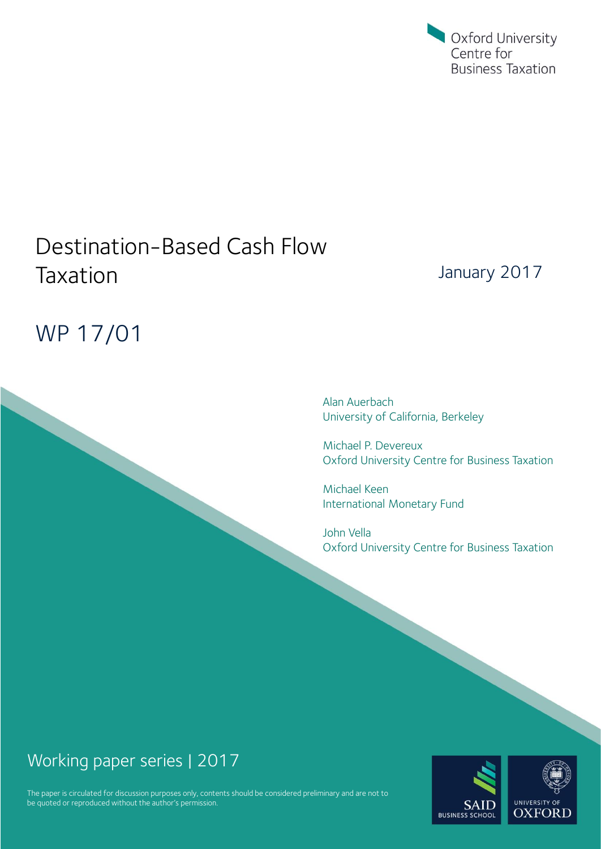

# Destination-Based Cash Flow Taxation

## January 2017

WP 17/01

Alan Auerbach University of California, Berkeley

Michael P. Devereux Oxford University Centre for Business Taxation

Michael Keen International Monetary Fund

John Vella Oxford University Centre for Business Taxation

## Working paper series | 2017

The paper is circulated for discussion purposes only, contents should be considered preliminary and are not to be quoted or reproduced without the author's permission.

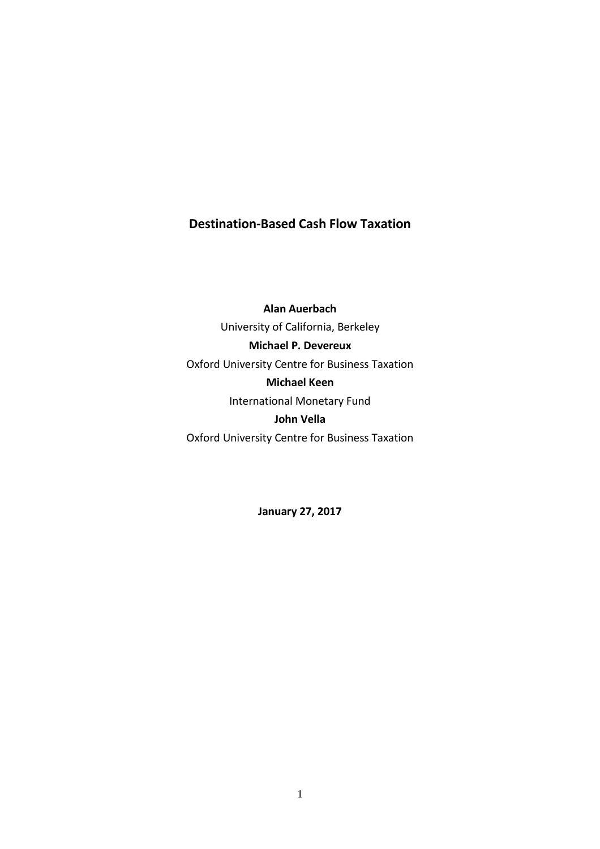## **Destination-Based Cash Flow Taxation**

**Alan Auerbach** University of California, Berkeley **Michael P. Devereux** Oxford University Centre for Business Taxation **Michael Keen** International Monetary Fund **John Vella** Oxford University Centre for Business Taxation

**January 27, 2017**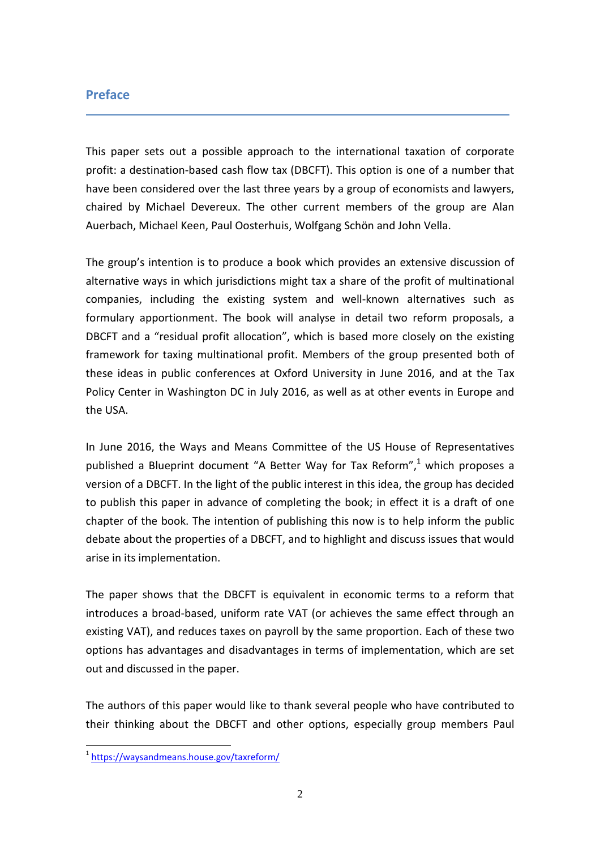#### **Preface**

This paper sets out a possible approach to the international taxation of corporate profit: a destination-based cash flow tax (DBCFT). This option is one of a number that have been considered over the last three years by a group of economists and lawyers, chaired by Michael Devereux. The other current members of the group are Alan Auerbach, Michael Keen, Paul Oosterhuis, Wolfgang Schön and John Vella.

The group's intention is to produce a book which provides an extensive discussion of alternative ways in which jurisdictions might tax a share of the profit of multinational companies, including the existing system and well-known alternatives such as formulary apportionment. The book will analyse in detail two reform proposals, a DBCFT and a "residual profit allocation", which is based more closely on the existing framework for taxing multinational profit. Members of the group presented both of these ideas in public conferences at Oxford University in June 2016, and at the Tax Policy Center in Washington DC in July 2016, as well as at other events in Europe and the USA.

In June 2016, the Ways and Means Committee of the US House of Representatives published a Blueprint document "A Better Way for Tax Reform", $1$  which proposes a version of a DBCFT. In the light of the public interest in this idea, the group has decided to publish this paper in advance of completing the book; in effect it is a draft of one chapter of the book. The intention of publishing this now is to help inform the public debate about the properties of a DBCFT, and to highlight and discuss issues that would arise in its implementation.

The paper shows that the DBCFT is equivalent in economic terms to a reform that introduces a broad-based, uniform rate VAT (or achieves the same effect through an existing VAT), and reduces taxes on payroll by the same proportion. Each of these two options has advantages and disadvantages in terms of implementation, which are set out and discussed in the paper.

The authors of this paper would like to thank several people who have contributed to their thinking about the DBCFT and other options, especially group members Paul

<sup>1</sup> https://waysandmeans.house.gov/taxreform/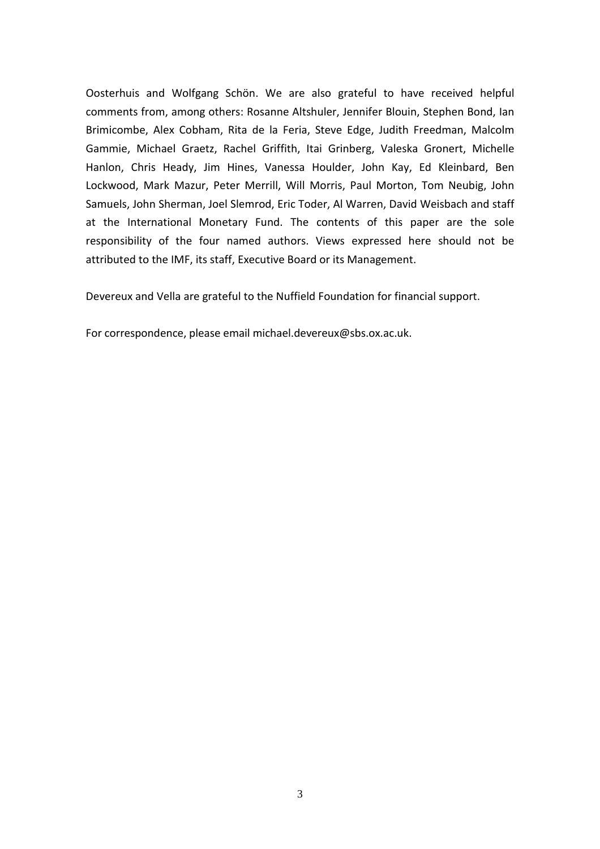Oosterhuis and Wolfgang Schön. We are also grateful to have received helpful comments from, among others: Rosanne Altshuler, Jennifer Blouin, Stephen Bond, Ian Brimicombe, Alex Cobham, Rita de la Feria, Steve Edge, Judith Freedman, Malcolm Gammie, Michael Graetz, Rachel Griffith, Itai Grinberg, Valeska Gronert, Michelle Hanlon, Chris Heady, Jim Hines, Vanessa Houlder, John Kay, Ed Kleinbard, Ben Lockwood, Mark Mazur, Peter Merrill, Will Morris, Paul Morton, Tom Neubig, John Samuels, John Sherman, Joel Slemrod, Eric Toder, Al Warren, David Weisbach and staff at the International Monetary Fund. The contents of this paper are the sole responsibility of the four named authors. Views expressed here should not be attributed to the IMF, its staff, Executive Board or its Management.

Devereux and Vella are grateful to the Nuffield Foundation for financial support.

For correspondence, please email michael.devereux@sbs.ox.ac.uk.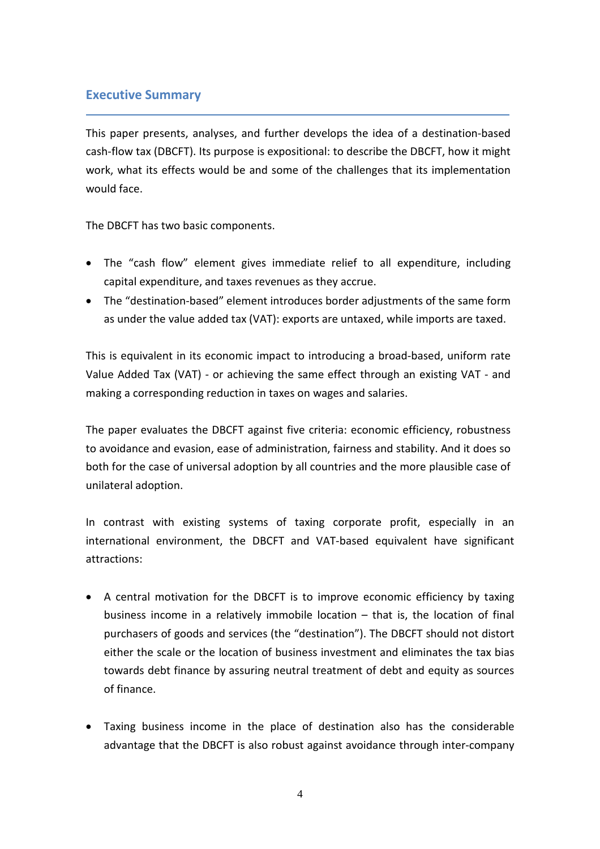### **Executive Summary**

This paper presents, analyses, and further develops the idea of a destination-based cash-flow tax (DBCFT). Its purpose is expositional: to describe the DBCFT, how it might work, what its effects would be and some of the challenges that its implementation would face.

The DBCFT has two basic components.

- The "cash flow" element gives immediate relief to all expenditure, including capital expenditure, and taxes revenues as they accrue.
- The "destination-based" element introduces border adjustments of the same form as under the value added tax (VAT): exports are untaxed, while imports are taxed.

This is equivalent in its economic impact to introducing a broad-based, uniform rate Value Added Tax (VAT) - or achieving the same effect through an existing VAT - and making a corresponding reduction in taxes on wages and salaries.

The paper evaluates the DBCFT against five criteria: economic efficiency, robustness to avoidance and evasion, ease of administration, fairness and stability. And it does so both for the case of universal adoption by all countries and the more plausible case of unilateral adoption.

In contrast with existing systems of taxing corporate profit, especially in an international environment, the DBCFT and VAT-based equivalent have significant attractions:

- A central motivation for the DBCFT is to improve economic efficiency by taxing business income in a relatively immobile location – that is, the location of final purchasers of goods and services (the "destination"). The DBCFT should not distort either the scale or the location of business investment and eliminates the tax bias towards debt finance by assuring neutral treatment of debt and equity as sources of finance.
- Taxing business income in the place of destination also has the considerable advantage that the DBCFT is also robust against avoidance through inter-company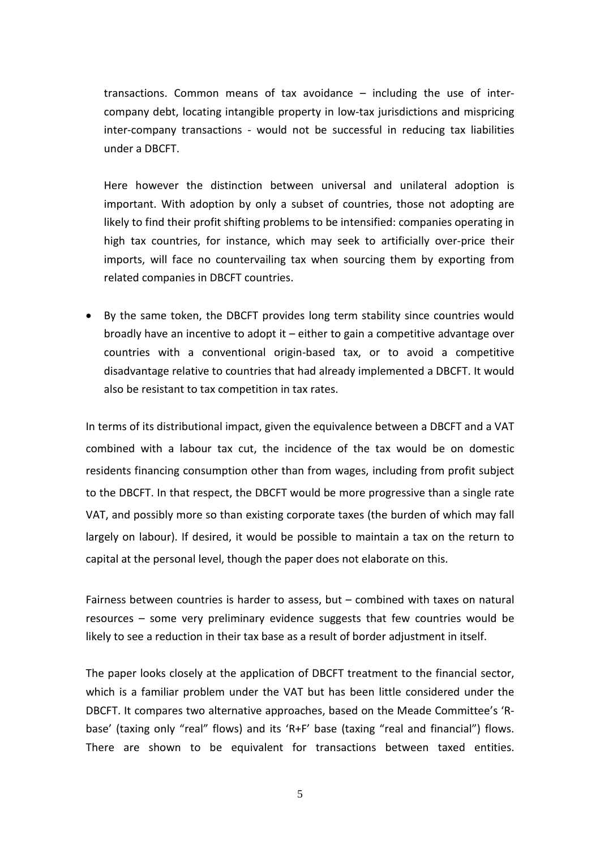transactions. Common means of tax avoidance – including the use of intercompany debt, locating intangible property in low-tax jurisdictions and mispricing inter-company transactions - would not be successful in reducing tax liabilities under a DBCFT.

Here however the distinction between universal and unilateral adoption is important. With adoption by only a subset of countries, those not adopting are likely to find their profit shifting problems to be intensified: companies operating in high tax countries, for instance, which may seek to artificially over-price their imports, will face no countervailing tax when sourcing them by exporting from related companies in DBCFT countries.

 By the same token, the DBCFT provides long term stability since countries would broadly have an incentive to adopt it – either to gain a competitive advantage over countries with a conventional origin-based tax, or to avoid a competitive disadvantage relative to countries that had already implemented a DBCFT. It would also be resistant to tax competition in tax rates.

In terms of its distributional impact, given the equivalence between a DBCFT and a VAT combined with a labour tax cut, the incidence of the tax would be on domestic residents financing consumption other than from wages, including from profit subject to the DBCFT. In that respect, the DBCFT would be more progressive than a single rate VAT, and possibly more so than existing corporate taxes (the burden of which may fall largely on labour). If desired, it would be possible to maintain a tax on the return to capital at the personal level, though the paper does not elaborate on this.

Fairness between countries is harder to assess, but – combined with taxes on natural resources – some very preliminary evidence suggests that few countries would be likely to see a reduction in their tax base as a result of border adjustment in itself.

The paper looks closely at the application of DBCFT treatment to the financial sector, which is a familiar problem under the VAT but has been little considered under the DBCFT. It compares two alternative approaches, based on the Meade Committee's 'Rbase' (taxing only "real" flows) and its 'R+F' base (taxing "real and financial") flows. There are shown to be equivalent for transactions between taxed entities.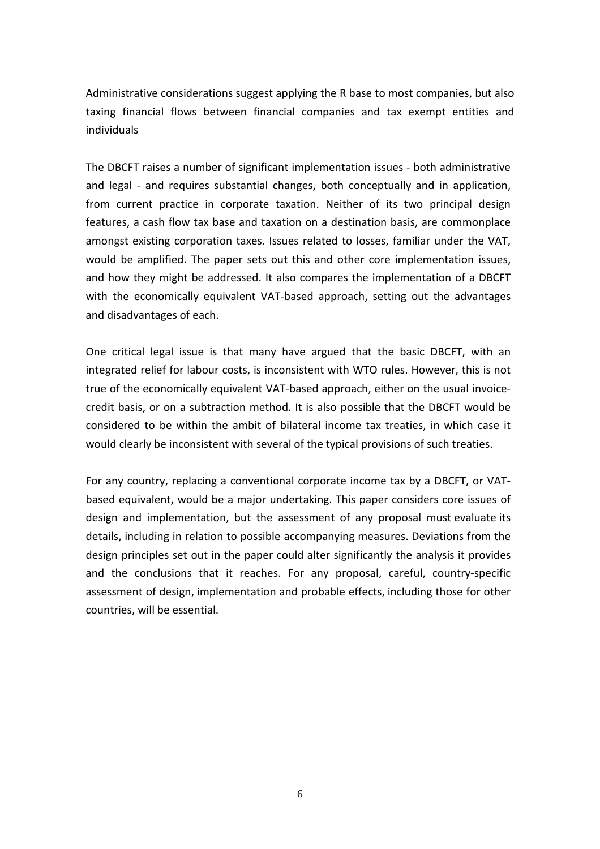Administrative considerations suggest applying the R base to most companies, but also taxing financial flows between financial companies and tax exempt entities and individuals

The DBCFT raises a number of significant implementation issues - both administrative and legal - and requires substantial changes, both conceptually and in application, from current practice in corporate taxation. Neither of its two principal design features, a cash flow tax base and taxation on a destination basis, are commonplace amongst existing corporation taxes. Issues related to losses, familiar under the VAT, would be amplified. The paper sets out this and other core implementation issues, and how they might be addressed. It also compares the implementation of a DBCFT with the economically equivalent VAT-based approach, setting out the advantages and disadvantages of each.

One critical legal issue is that many have argued that the basic DBCFT, with an integrated relief for labour costs, is inconsistent with WTO rules. However, this is not true of the economically equivalent VAT-based approach, either on the usual invoicecredit basis, or on a subtraction method. It is also possible that the DBCFT would be considered to be within the ambit of bilateral income tax treaties, in which case it would clearly be inconsistent with several of the typical provisions of such treaties.

For any country, replacing a conventional corporate income tax by a DBCFT, or VATbased equivalent, would be a major undertaking. This paper considers core issues of design and implementation, but the assessment of any proposal must evaluate its details, including in relation to possible accompanying measures. Deviations from the design principles set out in the paper could alter significantly the analysis it provides and the conclusions that it reaches. For any proposal, careful, country-specific assessment of design, implementation and probable effects, including those for other countries, will be essential.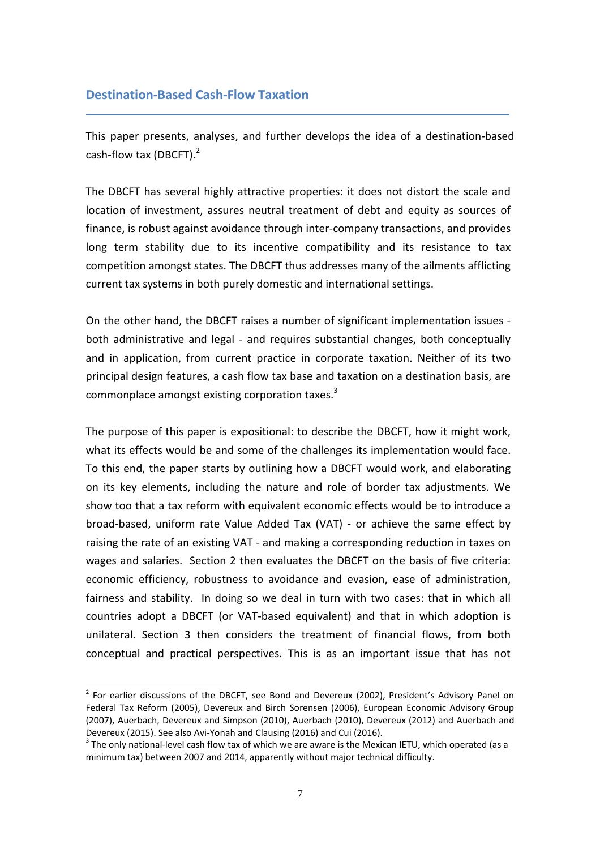#### **Destination-Based Cash-Flow Taxation**

This paper presents, analyses, and further develops the idea of a destination-based cash-flow tax (DBCFT). $<sup>2</sup>$ </sup>

The DBCFT has several highly attractive properties: it does not distort the scale and location of investment, assures neutral treatment of debt and equity as sources of finance, is robust against avoidance through inter-company transactions, and provides long term stability due to its incentive compatibility and its resistance to tax competition amongst states. The DBCFT thus addresses many of the ailments afflicting current tax systems in both purely domestic and international settings.

On the other hand, the DBCFT raises a number of significant implementation issues both administrative and legal - and requires substantial changes, both conceptually and in application, from current practice in corporate taxation. Neither of its two principal design features, a cash flow tax base and taxation on a destination basis, are commonplace amongst existing corporation taxes. $3$ 

The purpose of this paper is expositional: to describe the DBCFT, how it might work, what its effects would be and some of the challenges its implementation would face. To this end, the paper starts by outlining how a DBCFT would work, and elaborating on its key elements, including the nature and role of border tax adjustments. We show too that a tax reform with equivalent economic effects would be to introduce a broad-based, uniform rate Value Added Tax (VAT) - or achieve the same effect by raising the rate of an existing VAT - and making a corresponding reduction in taxes on wages and salaries. Section 2 then evaluates the DBCFT on the basis of five criteria: economic efficiency, robustness to avoidance and evasion, ease of administration, fairness and stability. In doing so we deal in turn with two cases: that in which all countries adopt a DBCFT (or VAT-based equivalent) and that in which adoption is unilateral. Section 3 then considers the treatment of financial flows, from both conceptual and practical perspectives. This is as an important issue that has not

<sup>&</sup>lt;sup>2</sup> For earlier discussions of the DBCFT, see Bond and Devereux (2002), President's Advisory Panel on Federal Tax Reform (2005), Devereux and Birch Sorensen (2006), European Economic Advisory Group (2007), Auerbach, Devereux and Simpson (2010), Auerbach (2010), Devereux (2012) and Auerbach and Devereux (2015). See also Avi-Yonah and Clausing (2016) and Cui (2016).

 $^3$  The only national-level cash flow tax of which we are aware is the Mexican IETU, which operated (as a minimum tax) between 2007 and 2014, apparently without major technical difficulty.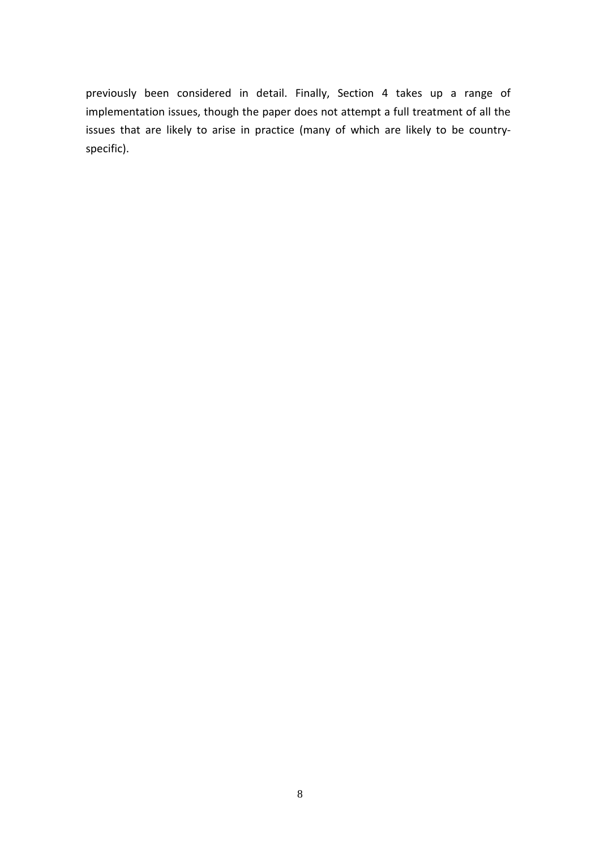previously been considered in detail. Finally, Section 4 takes up a range of implementation issues, though the paper does not attempt a full treatment of all the issues that are likely to arise in practice (many of which are likely to be countryspecific).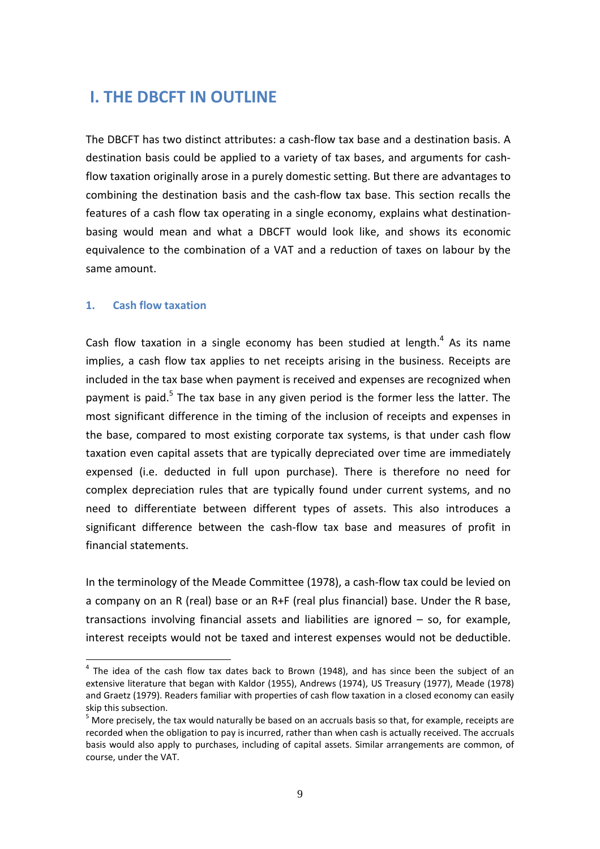## **I. THE DBCFT IN OUTLINE**

The DBCFT has two distinct attributes: a cash-flow tax base and a destination basis. A destination basis could be applied to a variety of tax bases, and arguments for cashflow taxation originally arose in a purely domestic setting. But there are advantages to combining the destination basis and the cash-flow tax base. This section recalls the features of a cash flow tax operating in a single economy, explains what destinationbasing would mean and what a DBCFT would look like, and shows its economic equivalence to the combination of a VAT and a reduction of taxes on labour by the same amount.

#### **1. Cash flow taxation**

Cash flow taxation in a single economy has been studied at length. $4$  As its name implies, a cash flow tax applies to net receipts arising in the business. Receipts are included in the tax base when payment is received and expenses are recognized when payment is paid.<sup>5</sup> The tax base in any given period is the former less the latter. The most significant difference in the timing of the inclusion of receipts and expenses in the base, compared to most existing corporate tax systems, is that under cash flow taxation even capital assets that are typically depreciated over time are immediately expensed (i.e. deducted in full upon purchase). There is therefore no need for complex depreciation rules that are typically found under current systems, and no need to differentiate between different types of assets. This also introduces a significant difference between the cash-flow tax base and measures of profit in financial statements.

In the terminology of the Meade Committee (1978), a cash-flow tax could be levied on a company on an R (real) base or an R+F (real plus financial) base. Under the R base, transactions involving financial assets and liabilities are ignored – so, for example, interest receipts would not be taxed and interest expenses would not be deductible.

 $^4$  The idea of the cash flow tax dates back to Brown (1948), and has since been the subject of an extensive literature that began with Kaldor (1955), Andrews (1974), US Treasury (1977), Meade (1978) and Graetz (1979). Readers familiar with properties of cash flow taxation in a closed economy can easily skip this subsection.

 $<sup>5</sup>$  More precisely, the tax would naturally be based on an accruals basis so that, for example, receipts are</sup> recorded when the obligation to pay is incurred, rather than when cash is actually received. The accruals basis would also apply to purchases, including of capital assets. Similar arrangements are common, of course, under the VAT.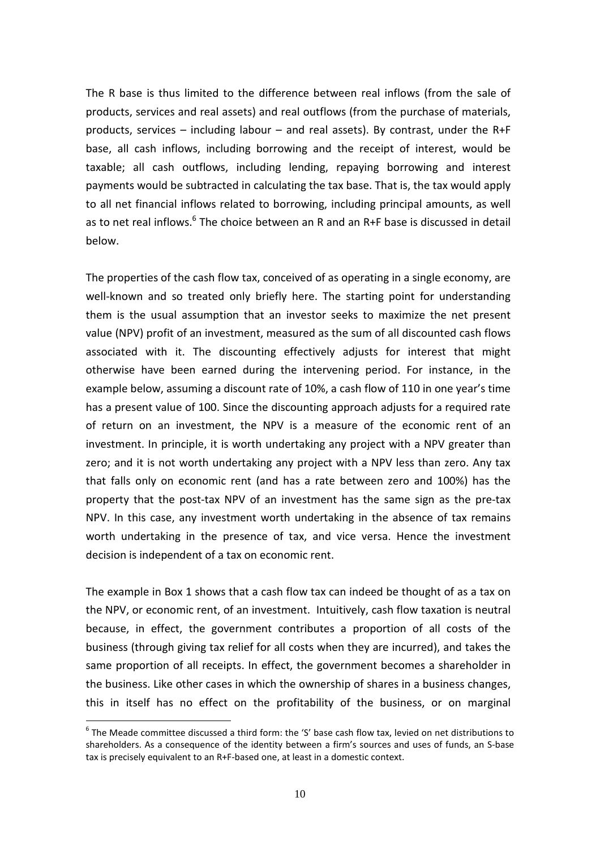The R base is thus limited to the difference between real inflows (from the sale of products, services and real assets) and real outflows (from the purchase of materials, products, services – including labour – and real assets). By contrast, under the R+F base, all cash inflows, including borrowing and the receipt of interest, would be taxable; all cash outflows, including lending, repaying borrowing and interest payments would be subtracted in calculating the tax base. That is, the tax would apply to all net financial inflows related to borrowing, including principal amounts, as well as to net real inflows.<sup>6</sup> The choice between an R and an R+F base is discussed in detail below.

The properties of the cash flow tax, conceived of as operating in a single economy, are well-known and so treated only briefly here. The starting point for understanding them is the usual assumption that an investor seeks to maximize the net present value (NPV) profit of an investment, measured as the sum of all discounted cash flows associated with it. The discounting effectively adjusts for interest that might otherwise have been earned during the intervening period. For instance, in the example below, assuming a discount rate of 10%, a cash flow of 110 in one year's time has a present value of 100. Since the discounting approach adjusts for a required rate of return on an investment, the NPV is a measure of the economic rent of an investment. In principle, it is worth undertaking any project with a NPV greater than zero; and it is not worth undertaking any project with a NPV less than zero. Any tax that falls only on economic rent (and has a rate between zero and 100%) has the property that the post-tax NPV of an investment has the same sign as the pre-tax NPV. In this case, any investment worth undertaking in the absence of tax remains worth undertaking in the presence of tax, and vice versa. Hence the investment decision is independent of a tax on economic rent.

The example in Box 1 shows that a cash flow tax can indeed be thought of as a tax on the NPV, or economic rent, of an investment. Intuitively, cash flow taxation is neutral because, in effect, the government contributes a proportion of all costs of the business (through giving tax relief for all costs when they are incurred), and takes the same proportion of all receipts. In effect, the government becomes a shareholder in the business. Like other cases in which the ownership of shares in a business changes, this in itself has no effect on the profitability of the business, or on marginal

 $^6$  The Meade committee discussed a third form: the 'S' base cash flow tax, levied on net distributions to shareholders. As a consequence of the identity between a firm's sources and uses of funds, an S-base tax is precisely equivalent to an R+F-based one, at least in a domestic context.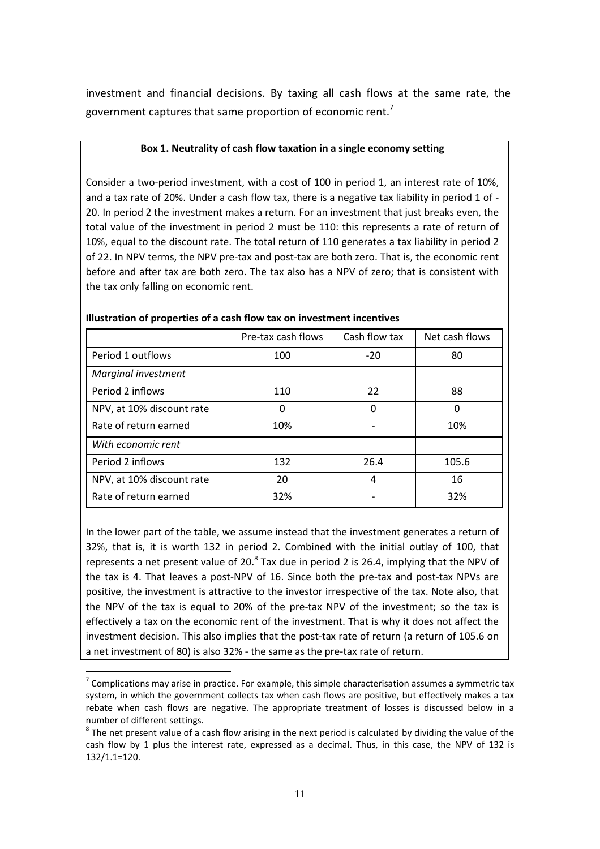investment and financial decisions. By taxing all cash flows at the same rate, the government captures that same proportion of economic rent.<sup>7</sup>

#### **Box 1. Neutrality of cash flow taxation in a single economy setting**

Consider a two-period investment, with a cost of 100 in period 1, an interest rate of 10%, and a tax rate of 20%. Under a cash flow tax, there is a negative tax liability in period 1 of - 20. In period 2 the investment makes a return. For an investment that just breaks even, the total value of the investment in period 2 must be 110: this represents a rate of return of 10%, equal to the discount rate. The total return of 110 generates a tax liability in period 2 of 22. In NPV terms, the NPV pre-tax and post-tax are both zero. That is, the economic rent before and after tax are both zero. The tax also has a NPV of zero; that is consistent with the tax only falling on economic rent.

|                            | Pre-tax cash flows | Cash flow tax | Net cash flows |
|----------------------------|--------------------|---------------|----------------|
| Period 1 outflows          | 100                | $-20$         | 80             |
| <b>Marginal investment</b> |                    |               |                |
| Period 2 inflows           | 110                | 22            | 88             |
| NPV, at 10% discount rate  | 0                  | 0             | $\Omega$       |
| Rate of return earned      | 10%                |               | 10%            |
| With economic rent         |                    |               |                |
| Period 2 inflows           | 132                | 26.4          | 105.6          |
| NPV, at 10% discount rate  | 20                 | 4             | 16             |
| Rate of return earned      | 32%                |               | 32%            |

#### **Illustration of properties of a cash flow tax on investment incentives**

In the lower part of the table, we assume instead that the investment generates a return of 32%, that is, it is worth 132 in period 2. Combined with the initial outlay of 100, that represents a net present value of 20. $^8$  Tax due in period 2 is 26.4, implying that the NPV of the tax is 4. That leaves a post-NPV of 16. Since both the pre-tax and post-tax NPVs are positive, the investment is attractive to the investor irrespective of the tax. Note also, that the NPV of the tax is equal to 20% of the pre-tax NPV of the investment; so the tax is effectively a tax on the economic rent of the investment. That is why it does not affect the investment decision. This also implies that the post-tax rate of return (a return of 105.6 on a net investment of 80) is also 32% - the same as the pre-tax rate of return.

 $^7$  Complications may arise in practice. For example, this simple characterisation assumes a symmetric tax system, in which the government collects tax when cash flows are positive, but effectively makes a tax rebate when cash flows are negative. The appropriate treatment of losses is discussed below in a number of different settings.

 $^8$  The net present value of a cash flow arising in the next period is calculated by dividing the value of the cash flow by 1 plus the interest rate, expressed as a decimal. Thus, in this case, the NPV of 132 is 132/1.1=120.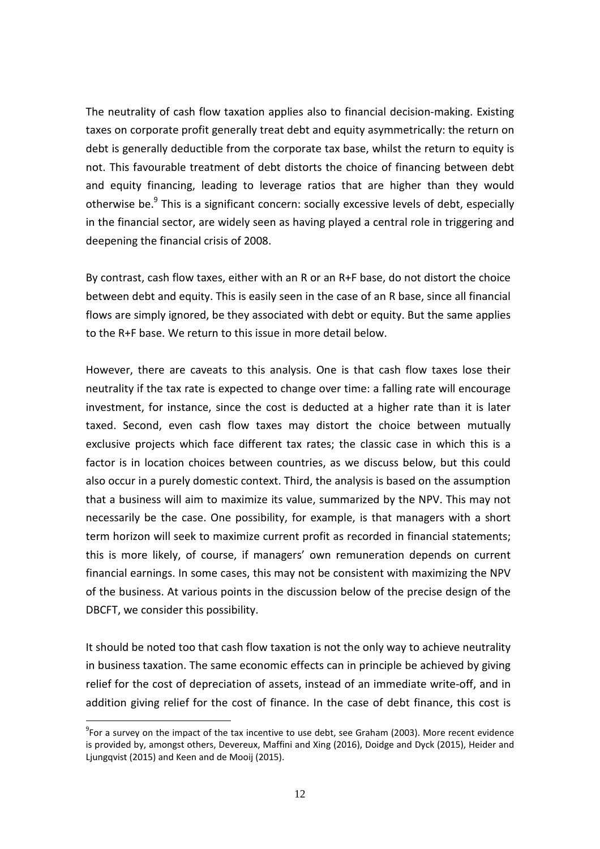The neutrality of cash flow taxation applies also to financial decision-making. Existing taxes on corporate profit generally treat debt and equity asymmetrically: the return on debt is generally deductible from the corporate tax base, whilst the return to equity is not. This favourable treatment of debt distorts the choice of financing between debt and equity financing, leading to leverage ratios that are higher than they would otherwise be.<sup>9</sup> This is a significant concern: socially excessive levels of debt, especially in the financial sector, are widely seen as having played a central role in triggering and deepening the financial crisis of 2008.

By contrast, cash flow taxes, either with an R or an R+F base, do not distort the choice between debt and equity. This is easily seen in the case of an R base, since all financial flows are simply ignored, be they associated with debt or equity. But the same applies to the R+F base. We return to this issue in more detail below.

However, there are caveats to this analysis. One is that cash flow taxes lose their neutrality if the tax rate is expected to change over time: a falling rate will encourage investment, for instance, since the cost is deducted at a higher rate than it is later taxed. Second, even cash flow taxes may distort the choice between mutually exclusive projects which face different tax rates; the classic case in which this is a factor is in location choices between countries, as we discuss below, but this could also occur in a purely domestic context. Third, the analysis is based on the assumption that a business will aim to maximize its value, summarized by the NPV. This may not necessarily be the case. One possibility, for example, is that managers with a short term horizon will seek to maximize current profit as recorded in financial statements; this is more likely, of course, if managers' own remuneration depends on current financial earnings. In some cases, this may not be consistent with maximizing the NPV of the business. At various points in the discussion below of the precise design of the DBCFT, we consider this possibility.

It should be noted too that cash flow taxation is not the only way to achieve neutrality in business taxation. The same economic effects can in principle be achieved by giving relief for the cost of depreciation of assets, instead of an immediate write-off, and in addition giving relief for the cost of finance. In the case of debt finance, this cost is

 $^{9}$ For a survey on the impact of the tax incentive to use debt, see Graham (2003). More recent evidence is provided by, amongst others, Devereux, Maffini and Xing (2016), Doidge and Dyck (2015), Heider and Ljungqvist (2015) and Keen and de Mooij (2015).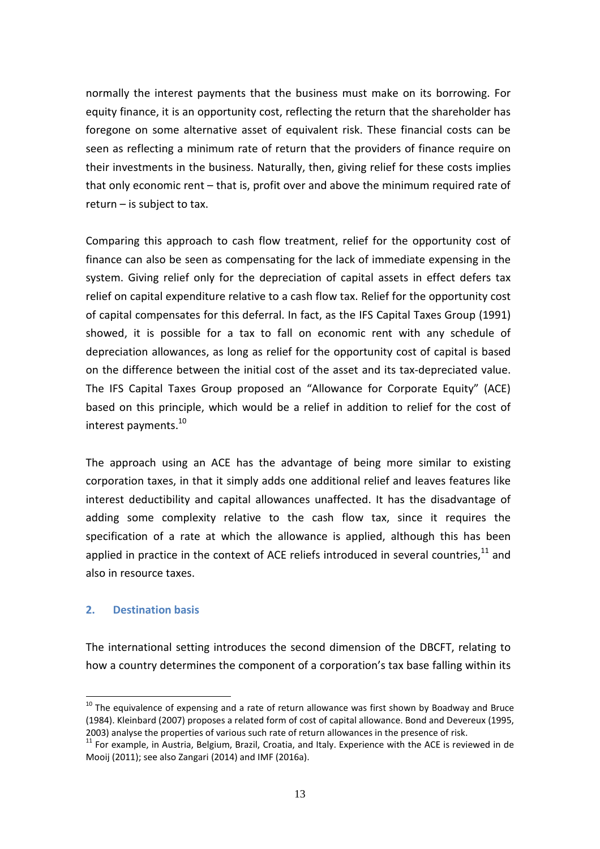normally the interest payments that the business must make on its borrowing. For equity finance, it is an opportunity cost, reflecting the return that the shareholder has foregone on some alternative asset of equivalent risk. These financial costs can be seen as reflecting a minimum rate of return that the providers of finance require on their investments in the business. Naturally, then, giving relief for these costs implies that only economic rent – that is, profit over and above the minimum required rate of return – is subject to tax.

Comparing this approach to cash flow treatment, relief for the opportunity cost of finance can also be seen as compensating for the lack of immediate expensing in the system. Giving relief only for the depreciation of capital assets in effect defers tax relief on capital expenditure relative to a cash flow tax. Relief for the opportunity cost of capital compensates for this deferral. In fact, as the IFS Capital Taxes Group (1991) showed, it is possible for a tax to fall on economic rent with any schedule of depreciation allowances, as long as relief for the opportunity cost of capital is based on the difference between the initial cost of the asset and its tax-depreciated value. The IFS Capital Taxes Group proposed an "Allowance for Corporate Equity" (ACE) based on this principle, which would be a relief in addition to relief for the cost of interest payments.<sup>10</sup>

The approach using an ACE has the advantage of being more similar to existing corporation taxes, in that it simply adds one additional relief and leaves features like interest deductibility and capital allowances unaffected. It has the disadvantage of adding some complexity relative to the cash flow tax, since it requires the specification of a rate at which the allowance is applied, although this has been applied in practice in the context of ACE reliefs introduced in several countries, $^{11}$  and also in resource taxes.

#### **2. Destination basis**

The international setting introduces the second dimension of the DBCFT, relating to how a country determines the component of a corporation's tax base falling within its

 $10$  The equivalence of expensing and a rate of return allowance was first shown by Boadway and Bruce (1984). Kleinbard (2007) proposes a related form of cost of capital allowance. Bond and Devereux (1995, 2003) analyse the properties of various such rate of return allowances in the presence of risk.

 $11$  For example, in Austria, Belgium, Brazil, Croatia, and Italy. Experience with the ACE is reviewed in de Mooij (2011); see also Zangari (2014) and IMF (2016a).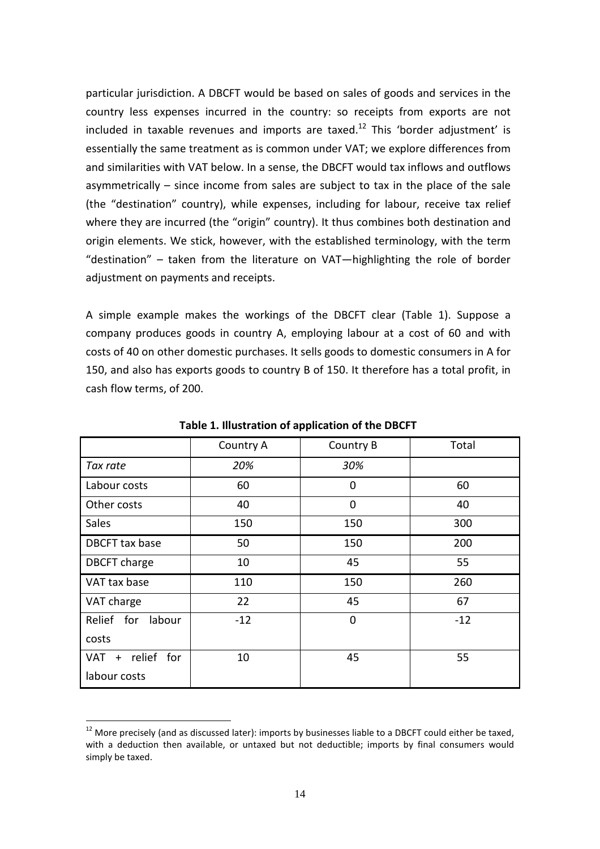particular jurisdiction. A DBCFT would be based on sales of goods and services in the country less expenses incurred in the country: so receipts from exports are not included in taxable revenues and imports are taxed.<sup>12</sup> This 'border adjustment' is essentially the same treatment as is common under VAT; we explore differences from and similarities with VAT below. In a sense, the DBCFT would tax inflows and outflows asymmetrically – since income from sales are subject to tax in the place of the sale (the "destination" country), while expenses, including for labour, receive tax relief where they are incurred (the "origin" country). It thus combines both destination and origin elements. We stick, however, with the established terminology, with the term "destination" – taken from the literature on VAT—highlighting the role of border adjustment on payments and receipts.

A simple example makes the workings of the DBCFT clear (Table 1). Suppose a company produces goods in country A, employing labour at a cost of 60 and with costs of 40 on other domestic purchases. It sells goods to domestic consumers in A for 150, and also has exports goods to country B of 150. It therefore has a total profit, in cash flow terms, of 200.

|                        | Country A | Country B   | Total |
|------------------------|-----------|-------------|-------|
| Tax rate               | 20%       | 30%         |       |
| Labour costs           | 60        | 0           | 60    |
| Other costs            | 40        | 0           | 40    |
| Sales                  | 150       | 150         | 300   |
| DBCFT tax base         | 50        | 150         | 200   |
| DBCFT charge           | 10        | 45          | 55    |
| VAT tax base           | 110       | 150         | 260   |
| VAT charge             | 22        | 45          | 67    |
| Relief for labour      | $-12$     | $\mathbf 0$ | $-12$ |
| costs                  |           |             |       |
| relief<br>for<br>VAT + | 10        | 45          | 55    |
| labour costs           |           |             |       |

**Table 1. Illustration of application of the DBCFT**

 $12$  More precisely (and as discussed later): imports by businesses liable to a DBCFT could either be taxed, with a deduction then available, or untaxed but not deductible; imports by final consumers would simply be taxed.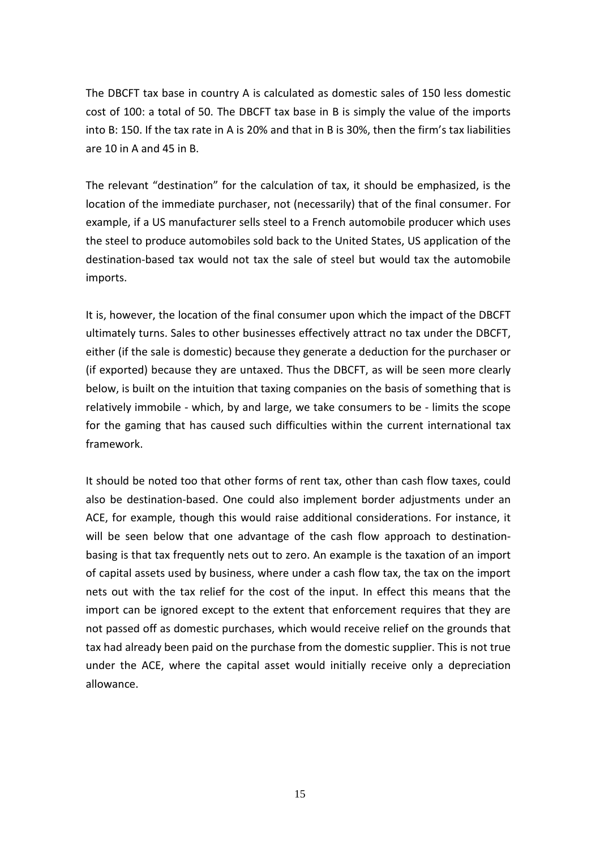The DBCFT tax base in country A is calculated as domestic sales of 150 less domestic cost of 100: a total of 50. The DBCFT tax base in B is simply the value of the imports into B: 150. If the tax rate in A is 20% and that in B is 30%, then the firm's tax liabilities are 10 in A and 45 in B.

The relevant "destination" for the calculation of tax, it should be emphasized, is the location of the immediate purchaser, not (necessarily) that of the final consumer. For example, if a US manufacturer sells steel to a French automobile producer which uses the steel to produce automobiles sold back to the United States, US application of the destination-based tax would not tax the sale of steel but would tax the automobile imports.

It is, however, the location of the final consumer upon which the impact of the DBCFT ultimately turns. Sales to other businesses effectively attract no tax under the DBCFT, either (if the sale is domestic) because they generate a deduction for the purchaser or (if exported) because they are untaxed. Thus the DBCFT, as will be seen more clearly below, is built on the intuition that taxing companies on the basis of something that is relatively immobile - which, by and large, we take consumers to be - limits the scope for the gaming that has caused such difficulties within the current international tax framework.

It should be noted too that other forms of rent tax, other than cash flow taxes, could also be destination-based. One could also implement border adjustments under an ACE, for example, though this would raise additional considerations. For instance, it will be seen below that one advantage of the cash flow approach to destinationbasing is that tax frequently nets out to zero. An example is the taxation of an import of capital assets used by business, where under a cash flow tax, the tax on the import nets out with the tax relief for the cost of the input. In effect this means that the import can be ignored except to the extent that enforcement requires that they are not passed off as domestic purchases, which would receive relief on the grounds that tax had already been paid on the purchase from the domestic supplier. This is not true under the ACE, where the capital asset would initially receive only a depreciation allowance.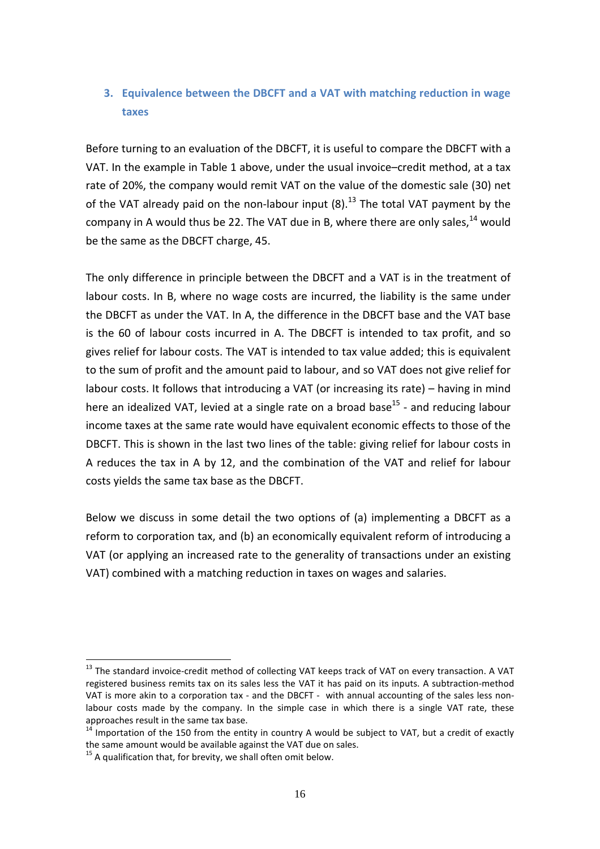## **3. Equivalence between the DBCFT and a VAT with matching reduction in wage taxes**

Before turning to an evaluation of the DBCFT, it is useful to compare the DBCFT with a VAT. In the example in Table 1 above, under the usual invoice–credit method, at a tax rate of 20%, the company would remit VAT on the value of the domestic sale (30) net of the VAT already paid on the non-labour input  $(8)$ .<sup>13</sup> The total VAT payment by the company in A would thus be 22. The VAT due in B, where there are only sales,  $14$  would be the same as the DBCFT charge, 45.

The only difference in principle between the DBCFT and a VAT is in the treatment of labour costs. In B, where no wage costs are incurred, the liability is the same under the DBCFT as under the VAT. In A, the difference in the DBCFT base and the VAT base is the 60 of labour costs incurred in A. The DBCFT is intended to tax profit, and so gives relief for labour costs. The VAT is intended to tax value added; this is equivalent to the sum of profit and the amount paid to labour, and so VAT does not give relief for labour costs. It follows that introducing a VAT (or increasing its rate) – having in mind here an idealized VAT, levied at a single rate on a broad base<sup>15</sup> - and reducing labour income taxes at the same rate would have equivalent economic effects to those of the DBCFT. This is shown in the last two lines of the table: giving relief for labour costs in A reduces the tax in A by 12, and the combination of the VAT and relief for labour costs yields the same tax base as the DBCFT.

Below we discuss in some detail the two options of (a) implementing a DBCFT as a reform to corporation tax, and (b) an economically equivalent reform of introducing a VAT (or applying an increased rate to the generality of transactions under an existing VAT) combined with a matching reduction in taxes on wages and salaries.

<sup>&</sup>lt;sup>13</sup> The standard invoice-credit method of collecting VAT keeps track of VAT on every transaction. A VAT registered business remits tax on its sales less the VAT it has paid on its inputs. A subtraction-method VAT is more akin to a corporation tax - and the DBCFT - with annual accounting of the sales less nonlabour costs made by the company. In the simple case in which there is a single VAT rate, these approaches result in the same tax base.

 $14$  Importation of the 150 from the entity in country A would be subject to VAT, but a credit of exactly the same amount would be available against the VAT due on sales.

 $15$  A qualification that, for brevity, we shall often omit below.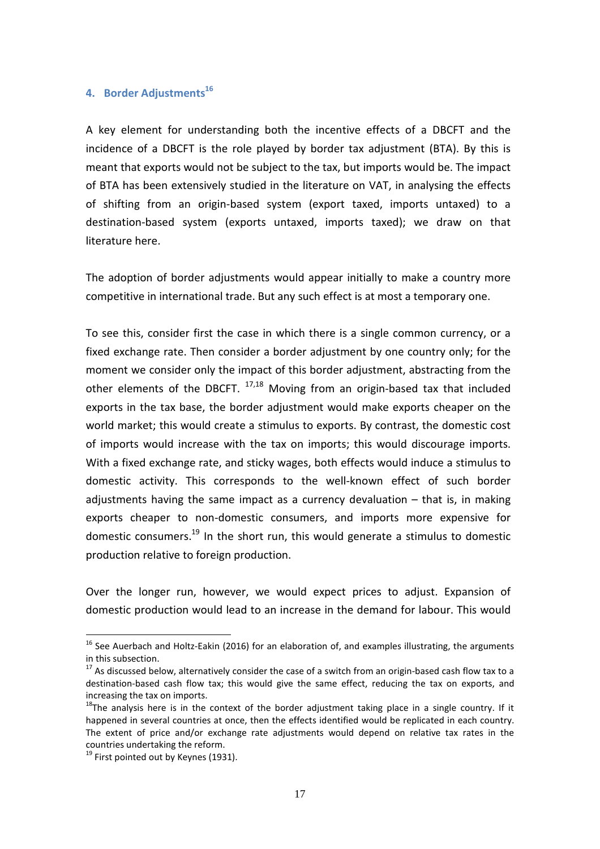#### **4. Border Adjustments<sup>16</sup>**

A key element for understanding both the incentive effects of a DBCFT and the incidence of a DBCFT is the role played by border tax adjustment (BTA). By this is meant that exports would not be subject to the tax, but imports would be. The impact of BTA has been extensively studied in the literature on VAT, in analysing the effects of shifting from an origin-based system (export taxed, imports untaxed) to a destination-based system (exports untaxed, imports taxed); we draw on that literature here.

The adoption of border adjustments would appear initially to make a country more competitive in international trade. But any such effect is at most a temporary one.

To see this, consider first the case in which there is a single common currency, or a fixed exchange rate. Then consider a border adjustment by one country only; for the moment we consider only the impact of this border adjustment, abstracting from the other elements of the DBCFT.  $17,18$  Moving from an origin-based tax that included exports in the tax base, the border adjustment would make exports cheaper on the world market; this would create a stimulus to exports. By contrast, the domestic cost of imports would increase with the tax on imports; this would discourage imports. With a fixed exchange rate, and sticky wages, both effects would induce a stimulus to domestic activity. This corresponds to the well-known effect of such border adjustments having the same impact as a currency devaluation  $-$  that is, in making exports cheaper to non-domestic consumers, and imports more expensive for domestic consumers.<sup>19</sup> In the short run, this would generate a stimulus to domestic production relative to foreign production.

Over the longer run, however, we would expect prices to adjust. Expansion of domestic production would lead to an increase in the demand for labour. This would

 $16$  See Auerbach and Holtz-Eakin (2016) for an elaboration of, and examples illustrating, the arguments in this subsection.

 $17$  As discussed below, alternatively consider the case of a switch from an origin-based cash flow tax to a destination-based cash flow tax; this would give the same effect, reducing the tax on exports, and increasing the tax on imports.

 $18$ The analysis here is in the context of the border adjustment taking place in a single country. If it happened in several countries at once, then the effects identified would be replicated in each country. The extent of price and/or exchange rate adjustments would depend on relative tax rates in the countries undertaking the reform.

 $19$  First pointed out by Keynes (1931).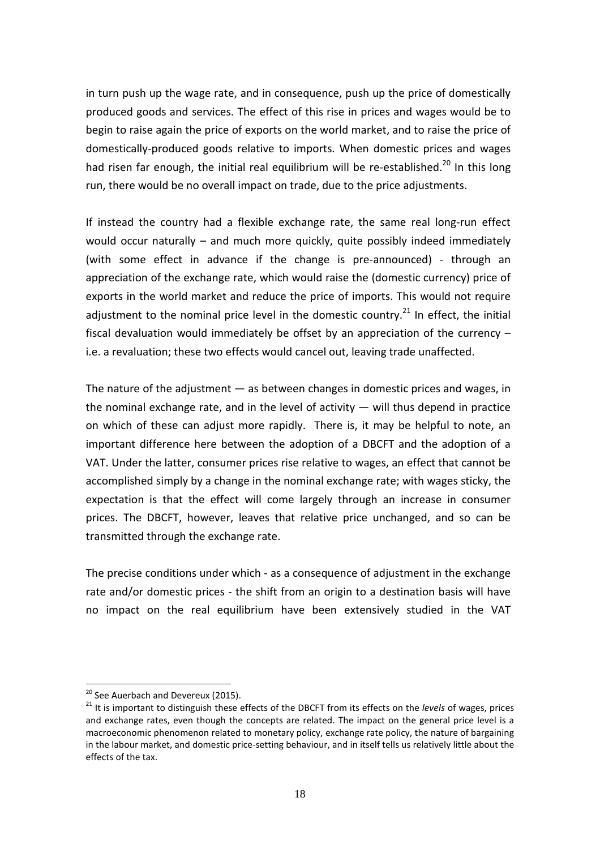in turn push up the wage rate, and in consequence, push up the price of domestically produced goods and services. The effect of this rise in prices and wages would be to begin to raise again the price of exports on the world market, and to raise the price of domestically-produced goods relative to imports. When domestic prices and wages had risen far enough, the initial real equilibrium will be re-established.<sup>20</sup> In this long run, there would be no overall impact on trade, due to the price adjustments.

If instead the country had a flexible exchange rate, the same real long-run effect would occur naturally – and much more quickly, quite possibly indeed immediately (with some effect in advance if the change is pre-announced) - through an appreciation of the exchange rate, which would raise the (domestic currency) price of exports in the world market and reduce the price of imports. This would not require adjustment to the nominal price level in the domestic country.<sup>21</sup> In effect, the initial fiscal devaluation would immediately be offset by an appreciation of the currency – i.e. a revaluation; these two effects would cancel out, leaving trade unaffected.

The nature of the adjustment  $-$  as between changes in domestic prices and wages, in the nominal exchange rate, and in the level of activity  $-$  will thus depend in practice on which of these can adjust more rapidly. There is, it may be helpful to note, an important difference here between the adoption of a DBCFT and the adoption of a VAT. Under the latter, consumer prices rise relative to wages, an effect that cannot be accomplished simply by a change in the nominal exchange rate; with wages sticky, the expectation is that the effect will come largely through an increase in consumer prices. The DBCFT, however, leaves that relative price unchanged, and so can be transmitted through the exchange rate.

The precise conditions under which - as a consequence of adjustment in the exchange rate and/or domestic prices - the shift from an origin to a destination basis will have no impact on the real equilibrium have been extensively studied in the VAT

<sup>&</sup>lt;sup>20</sup> See Auerbach and Devereux (2015).

<sup>21</sup> It is important to distinguish these effects of the DBCFT from its effects on the *levels* of wages, prices and exchange rates, even though the concepts are related. The impact on the general price level is a macroeconomic phenomenon related to monetary policy, exchange rate policy, the nature of bargaining in the labour market, and domestic price-setting behaviour, and in itself tells us relatively little about the effects of the tax.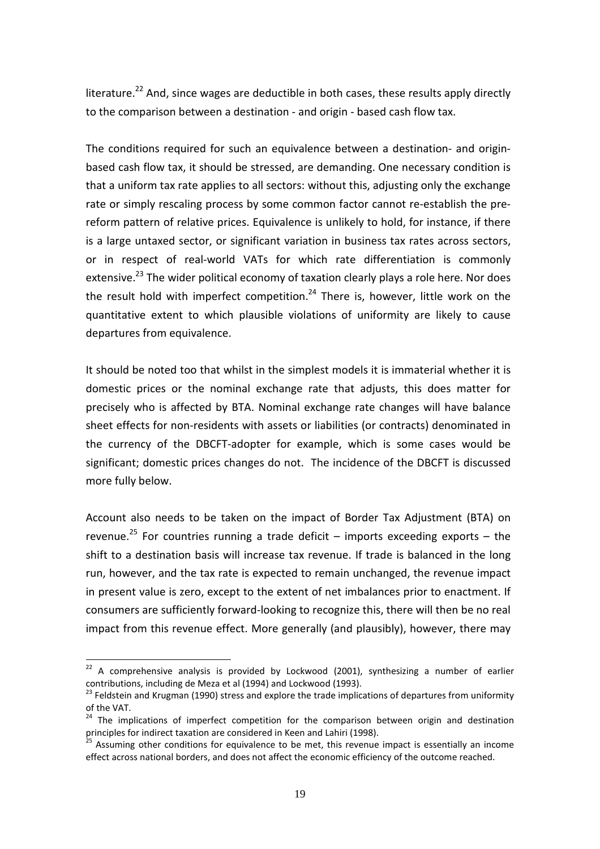literature.<sup>22</sup> And, since wages are deductible in both cases, these results apply directly to the comparison between a destination - and origin - based cash flow tax.

The conditions required for such an equivalence between a destination- and originbased cash flow tax, it should be stressed, are demanding. One necessary condition is that a uniform tax rate applies to all sectors: without this, adjusting only the exchange rate or simply rescaling process by some common factor cannot re-establish the prereform pattern of relative prices. Equivalence is unlikely to hold, for instance, if there is a large untaxed sector, or significant variation in business tax rates across sectors, or in respect of real-world VATs for which rate differentiation is commonly extensive.<sup>23</sup> The wider political economy of taxation clearly plays a role here. Nor does the result hold with imperfect competition.<sup>24</sup> There is, however, little work on the quantitative extent to which plausible violations of uniformity are likely to cause departures from equivalence.

It should be noted too that whilst in the simplest models it is immaterial whether it is domestic prices or the nominal exchange rate that adjusts, this does matter for precisely who is affected by BTA. Nominal exchange rate changes will have balance sheet effects for non-residents with assets or liabilities (or contracts) denominated in the currency of the DBCFT-adopter for example, which is some cases would be significant; domestic prices changes do not. The incidence of the DBCFT is discussed more fully below.

Account also needs to be taken on the impact of Border Tax Adjustment (BTA) on revenue.<sup>25</sup> For countries running a trade deficit – imports exceeding exports – the shift to a destination basis will increase tax revenue. If trade is balanced in the long run, however, and the tax rate is expected to remain unchanged, the revenue impact in present value is zero, except to the extent of net imbalances prior to enactment. If consumers are sufficiently forward-looking to recognize this, there will then be no real impact from this revenue effect. More generally (and plausibly), however, there may

 $22$  A comprehensive analysis is provided by Lockwood (2001), synthesizing a number of earlier contributions, including de Meza et al (1994) and Lockwood (1993).

 $^{23}$  Feldstein and Krugman (1990) stress and explore the trade implications of departures from uniformity of the VAT.

<sup>&</sup>lt;sup>24</sup> The implications of imperfect competition for the comparison between origin and destination principles for indirect taxation are considered in Keen and Lahiri (1998).

<sup>&</sup>lt;sup>25</sup> Assuming other conditions for equivalence to be met, this revenue impact is essentially an income effect across national borders, and does not affect the economic efficiency of the outcome reached.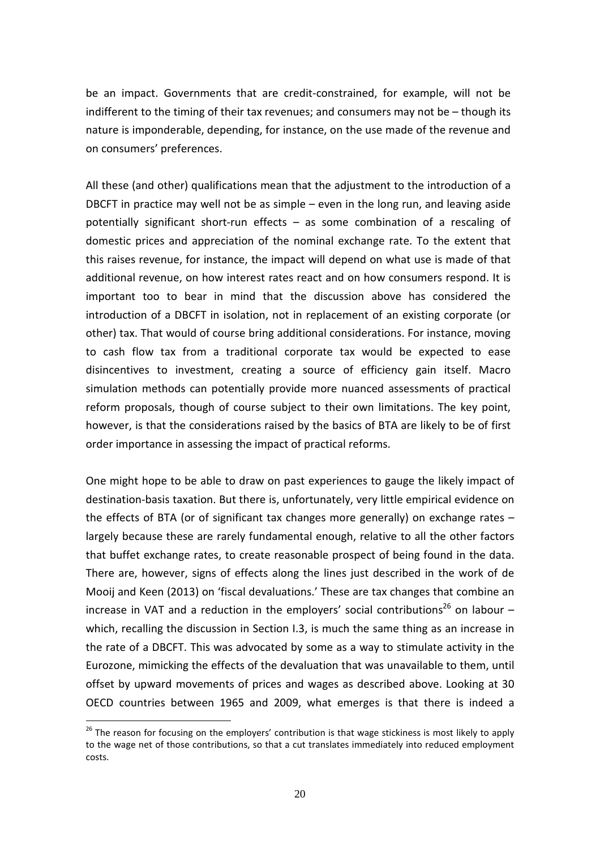be an impact. Governments that are credit-constrained, for example, will not be indifferent to the timing of their tax revenues; and consumers may not be – though its nature is imponderable, depending, for instance, on the use made of the revenue and on consumers' preferences.

All these (and other) qualifications mean that the adjustment to the introduction of a DBCFT in practice may well not be as simple – even in the long run, and leaving aside potentially significant short-run effects – as some combination of a rescaling of domestic prices and appreciation of the nominal exchange rate. To the extent that this raises revenue, for instance, the impact will depend on what use is made of that additional revenue, on how interest rates react and on how consumers respond. It is important too to bear in mind that the discussion above has considered the introduction of a DBCFT in isolation, not in replacement of an existing corporate (or other) tax. That would of course bring additional considerations. For instance, moving to cash flow tax from a traditional corporate tax would be expected to ease disincentives to investment, creating a source of efficiency gain itself. Macro simulation methods can potentially provide more nuanced assessments of practical reform proposals, though of course subject to their own limitations. The key point, however, is that the considerations raised by the basics of BTA are likely to be of first order importance in assessing the impact of practical reforms.

One might hope to be able to draw on past experiences to gauge the likely impact of destination-basis taxation. But there is, unfortunately, very little empirical evidence on the effects of BTA (or of significant tax changes more generally) on exchange rates – largely because these are rarely fundamental enough, relative to all the other factors that buffet exchange rates, to create reasonable prospect of being found in the data. There are, however, signs of effects along the lines just described in the work of de Mooij and Keen (2013) on 'fiscal devaluations.' These are tax changes that combine an increase in VAT and a reduction in the employers' social contributions<sup>26</sup> on labour  $$ which, recalling the discussion in Section I.3, is much the same thing as an increase in the rate of a DBCFT. This was advocated by some as a way to stimulate activity in the Eurozone, mimicking the effects of the devaluation that was unavailable to them, until offset by upward movements of prices and wages as described above. Looking at 30 OECD countries between 1965 and 2009, what emerges is that there is indeed a

 $26$  The reason for focusing on the employers' contribution is that wage stickiness is most likely to apply to the wage net of those contributions, so that a cut translates immediately into reduced employment costs.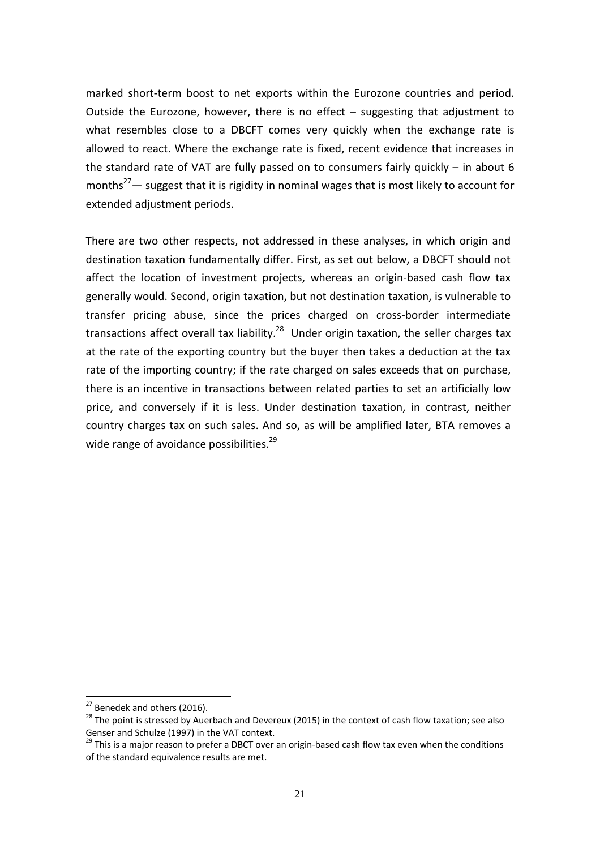marked short-term boost to net exports within the Eurozone countries and period. Outside the Eurozone, however, there is no effect – suggesting that adjustment to what resembles close to a DBCFT comes very quickly when the exchange rate is allowed to react. Where the exchange rate is fixed, recent evidence that increases in the standard rate of VAT are fully passed on to consumers fairly quickly – in about 6 months<sup>27</sup> — suggest that it is rigidity in nominal wages that is most likely to account for extended adjustment periods.

There are two other respects, not addressed in these analyses, in which origin and destination taxation fundamentally differ. First, as set out below, a DBCFT should not affect the location of investment projects, whereas an origin-based cash flow tax generally would. Second, origin taxation, but not destination taxation, is vulnerable to transfer pricing abuse, since the prices charged on cross-border intermediate transactions affect overall tax liability.<sup>28</sup> Under origin taxation, the seller charges tax at the rate of the exporting country but the buyer then takes a deduction at the tax rate of the importing country; if the rate charged on sales exceeds that on purchase, there is an incentive in transactions between related parties to set an artificially low price, and conversely if it is less. Under destination taxation, in contrast, neither country charges tax on such sales. And so, as will be amplified later, BTA removes a wide range of avoidance possibilities.<sup>29</sup>

 $27$  Benedek and others (2016).

<sup>&</sup>lt;sup>28</sup> The point is stressed by Auerbach and Devereux (2015) in the context of cash flow taxation; see also Genser and Schulze (1997) in the VAT context.

<sup>&</sup>lt;sup>29</sup> This is a major reason to prefer a DBCT over an origin-based cash flow tax even when the conditions of the standard equivalence results are met.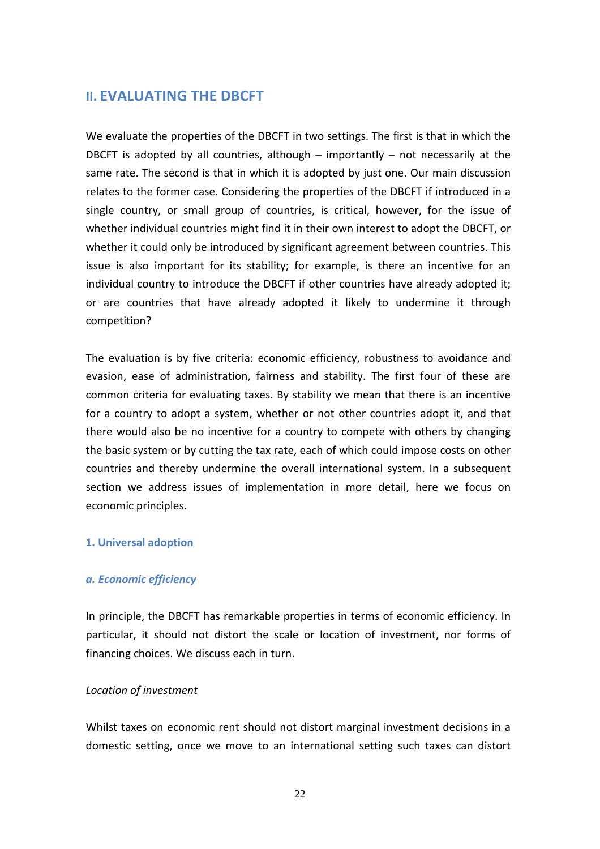## **II. EVALUATING THE DBCFT**

We evaluate the properties of the DBCFT in two settings. The first is that in which the DBCFT is adopted by all countries, although  $-$  importantly  $-$  not necessarily at the same rate. The second is that in which it is adopted by just one. Our main discussion relates to the former case. Considering the properties of the DBCFT if introduced in a single country, or small group of countries, is critical, however, for the issue of whether individual countries might find it in their own interest to adopt the DBCFT, or whether it could only be introduced by significant agreement between countries. This issue is also important for its stability; for example, is there an incentive for an individual country to introduce the DBCFT if other countries have already adopted it; or are countries that have already adopted it likely to undermine it through competition?

The evaluation is by five criteria: economic efficiency, robustness to avoidance and evasion, ease of administration, fairness and stability. The first four of these are common criteria for evaluating taxes. By stability we mean that there is an incentive for a country to adopt a system, whether or not other countries adopt it, and that there would also be no incentive for a country to compete with others by changing the basic system or by cutting the tax rate, each of which could impose costs on other countries and thereby undermine the overall international system. In a subsequent section we address issues of implementation in more detail, here we focus on economic principles.

#### **1. Universal adoption**

#### *a. Economic efficiency*

In principle, the DBCFT has remarkable properties in terms of economic efficiency. In particular, it should not distort the scale or location of investment, nor forms of financing choices. We discuss each in turn.

#### *Location of investment*

Whilst taxes on economic rent should not distort marginal investment decisions in a domestic setting, once we move to an international setting such taxes can distort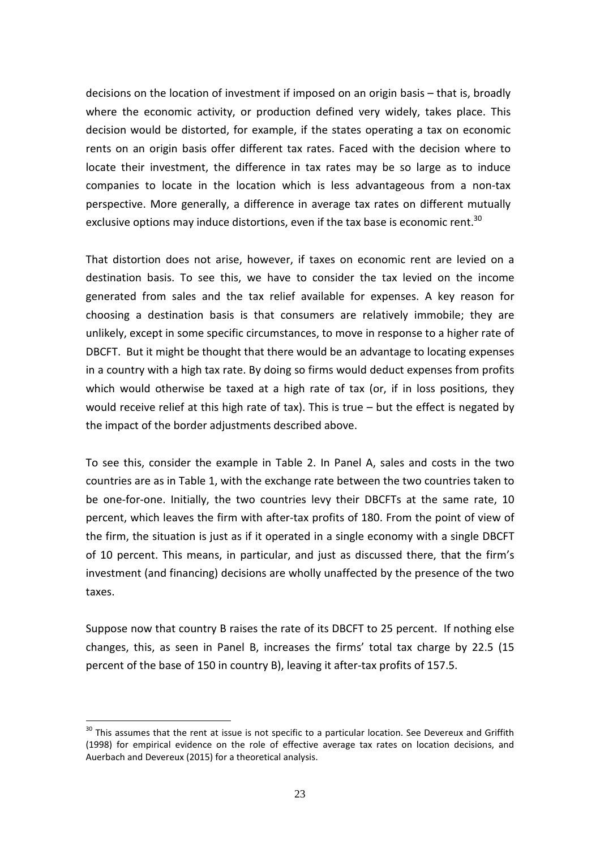decisions on the location of investment if imposed on an origin basis – that is, broadly where the economic activity, or production defined very widely, takes place. This decision would be distorted, for example, if the states operating a tax on economic rents on an origin basis offer different tax rates. Faced with the decision where to locate their investment, the difference in tax rates may be so large as to induce companies to locate in the location which is less advantageous from a non-tax perspective. More generally, a difference in average tax rates on different mutually exclusive options may induce distortions, even if the tax base is economic rent.<sup>30</sup>

That distortion does not arise, however, if taxes on economic rent are levied on a destination basis. To see this, we have to consider the tax levied on the income generated from sales and the tax relief available for expenses. A key reason for choosing a destination basis is that consumers are relatively immobile; they are unlikely, except in some specific circumstances, to move in response to a higher rate of DBCFT. But it might be thought that there would be an advantage to locating expenses in a country with a high tax rate. By doing so firms would deduct expenses from profits which would otherwise be taxed at a high rate of tax (or, if in loss positions, they would receive relief at this high rate of tax). This is true – but the effect is negated by the impact of the border adjustments described above.

To see this, consider the example in Table 2. In Panel A, sales and costs in the two countries are as in Table 1, with the exchange rate between the two countries taken to be one-for-one. Initially, the two countries levy their DBCFTs at the same rate, 10 percent, which leaves the firm with after-tax profits of 180. From the point of view of the firm, the situation is just as if it operated in a single economy with a single DBCFT of 10 percent. This means, in particular, and just as discussed there, that the firm's investment (and financing) decisions are wholly unaffected by the presence of the two taxes.

Suppose now that country B raises the rate of its DBCFT to 25 percent. If nothing else changes, this, as seen in Panel B, increases the firms' total tax charge by 22.5 (15 percent of the base of 150 in country B), leaving it after-tax profits of 157.5.

<sup>&</sup>lt;sup>30</sup> This assumes that the rent at issue is not specific to a particular location. See Devereux and Griffith (1998) for empirical evidence on the role of effective average tax rates on location decisions, and Auerbach and Devereux (2015) for a theoretical analysis.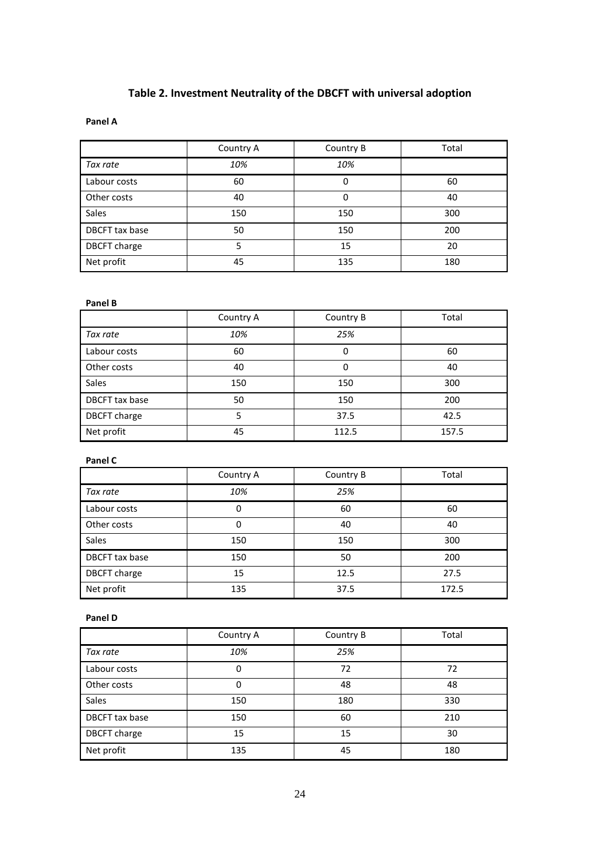### **Table 2. Investment Neutrality of the DBCFT with universal adoption**

#### **Panel A**

|                | Country A | Country B | Total |
|----------------|-----------|-----------|-------|
| Tax rate       | 10%       | 10%       |       |
| Labour costs   | 60        | 0         | 60    |
| Other costs    | 40        | 0         | 40    |
| Sales          | 150       | 150       | 300   |
| DBCFT tax base | 50        | 150       | 200   |
| DBCFT charge   | 5         | 15        | 20    |
| Net profit     | 45        | 135       | 180   |

#### **Panel B**

|                | Country A | Country B | Total |
|----------------|-----------|-----------|-------|
| Tax rate       | 10%       | 25%       |       |
| Labour costs   | 60        | 0         | 60    |
| Other costs    | 40        | 0         | 40    |
| Sales          | 150       | 150       | 300   |
| DBCFT tax base | 50        | 150       | 200   |
| DBCFT charge   | 5         | 37.5      | 42.5  |
| Net profit     | 45        | 112.5     | 157.5 |

#### **Panel C**

|                       | Country A | Country B | Total |
|-----------------------|-----------|-----------|-------|
| Tax rate              | 10%       | 25%       |       |
| Labour costs          | 0         | 60        | 60    |
| Other costs           | 0         | 40        | 40    |
| Sales                 | 150       | 150       | 300   |
| <b>DBCFT</b> tax base | 150       | 50        | 200   |
| DBCFT charge          | 15        | 12.5      | 27.5  |
| Net profit            | 135       | 37.5      | 172.5 |

#### **Panel D**

|                | Country A | Country B | Total |
|----------------|-----------|-----------|-------|
| Tax rate       | 10%       | 25%       |       |
| Labour costs   | 0         | 72        | 72    |
| Other costs    | 0         | 48        | 48    |
| Sales          | 150       | 180       | 330   |
| DBCFT tax base | 150       | 60        | 210   |
| DBCFT charge   | 15        | 15        | 30    |
| Net profit     | 135       | 45        | 180   |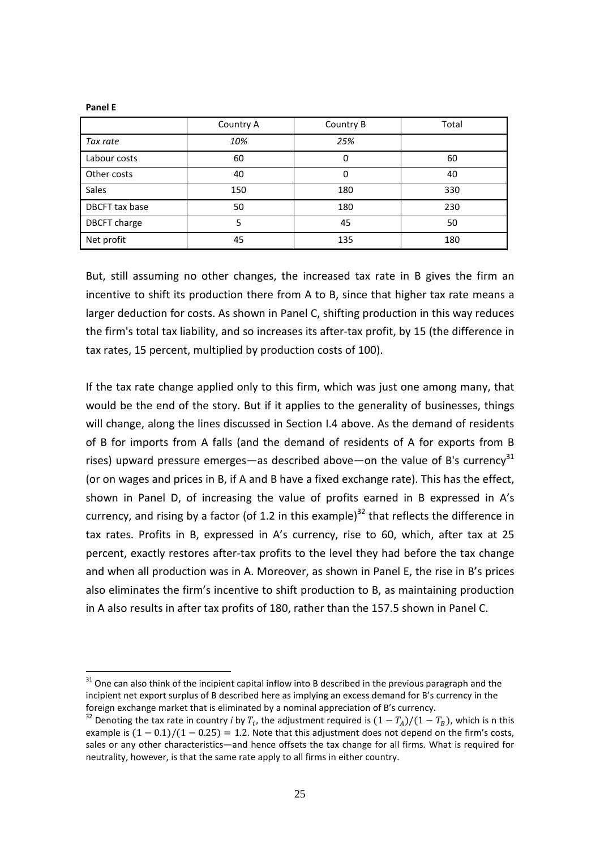#### **Panel E**

|                | Country A | Country B | Total |
|----------------|-----------|-----------|-------|
| Tax rate       | 10%       | 25%       |       |
| Labour costs   | 60        | 0         | 60    |
| Other costs    | 40        | 0         | 40    |
| Sales          | 150       | 180       | 330   |
| DBCFT tax base | 50        | 180       | 230   |
| DBCFT charge   | 5         | 45        | 50    |
| Net profit     | 45        | 135       | 180   |

But, still assuming no other changes, the increased tax rate in B gives the firm an incentive to shift its production there from A to B, since that higher tax rate means a larger deduction for costs. As shown in Panel C, shifting production in this way reduces the firm's total tax liability, and so increases its after-tax profit, by 15 (the difference in tax rates, 15 percent, multiplied by production costs of 100).

If the tax rate change applied only to this firm, which was just one among many, that would be the end of the story. But if it applies to the generality of businesses, things will change, along the lines discussed in Section I.4 above. As the demand of residents of B for imports from A falls (and the demand of residents of A for exports from B rises) upward pressure emerges—as described above—on the value of B's currencv<sup>31</sup> (or on wages and prices in B, if A and B have a fixed exchange rate). This has the effect, shown in Panel D, of increasing the value of profits earned in B expressed in A's currency, and rising by a factor (of 1.2 in this example)<sup>32</sup> that reflects the difference in tax rates. Profits in B, expressed in A's currency, rise to 60, which, after tax at 25 percent, exactly restores after-tax profits to the level they had before the tax change and when all production was in A. Moreover, as shown in Panel E, the rise in B's prices also eliminates the firm's incentive to shift production to B, as maintaining production in A also results in after tax profits of 180, rather than the 157.5 shown in Panel C.

 $31$  One can also think of the incipient capital inflow into B described in the previous paragraph and the incipient net export surplus of B described here as implying an excess demand for B's currency in the foreign exchange market that is eliminated by a nominal appreciation of B's currency.

<sup>&</sup>lt;sup>32</sup> Denoting the tax rate in country *i* by  $T_i$ , the adjustment required is  $(1 - T_A)/(1 - T_B)$ , which is n this example is  $(1 - 0.1)/(1 - 0.25) = 1.2$ . Note that this adjustment does not depend on the firm's costs, sales or any other characteristics—and hence offsets the tax change for all firms. What is required for neutrality, however, is that the same rate apply to all firms in either country.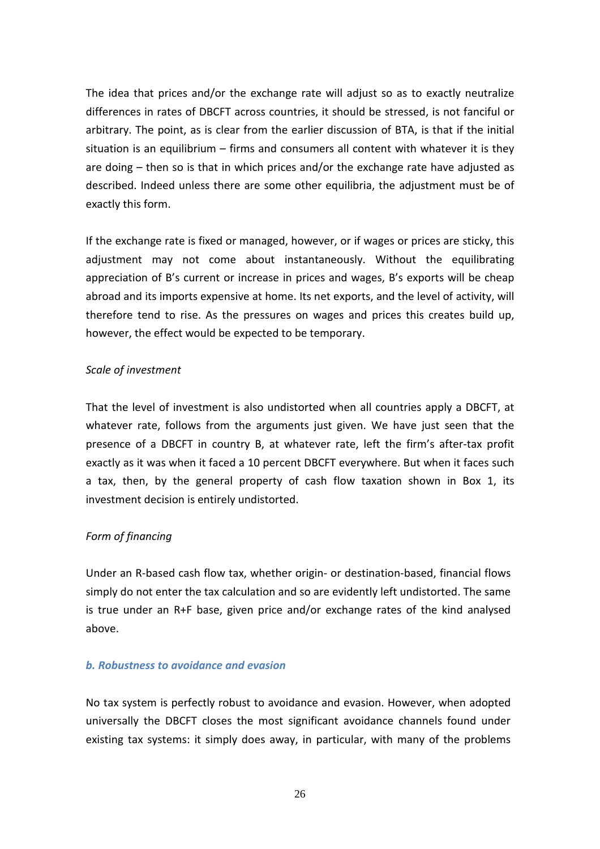The idea that prices and/or the exchange rate will adjust so as to exactly neutralize differences in rates of DBCFT across countries, it should be stressed, is not fanciful or arbitrary. The point, as is clear from the earlier discussion of BTA, is that if the initial situation is an equilibrium – firms and consumers all content with whatever it is they are doing – then so is that in which prices and/or the exchange rate have adjusted as described. Indeed unless there are some other equilibria, the adjustment must be of exactly this form.

If the exchange rate is fixed or managed, however, or if wages or prices are sticky, this adjustment may not come about instantaneously. Without the equilibrating appreciation of B's current or increase in prices and wages, B's exports will be cheap abroad and its imports expensive at home. Its net exports, and the level of activity, will therefore tend to rise. As the pressures on wages and prices this creates build up, however, the effect would be expected to be temporary.

#### *Scale of investment*

That the level of investment is also undistorted when all countries apply a DBCFT, at whatever rate, follows from the arguments just given. We have just seen that the presence of a DBCFT in country B, at whatever rate, left the firm's after-tax profit exactly as it was when it faced a 10 percent DBCFT everywhere. But when it faces such a tax, then, by the general property of cash flow taxation shown in Box 1, its investment decision is entirely undistorted.

#### *Form of financing*

Under an R-based cash flow tax, whether origin- or destination-based, financial flows simply do not enter the tax calculation and so are evidently left undistorted. The same is true under an R+F base, given price and/or exchange rates of the kind analysed above.

#### *b. Robustness to avoidance and evasion*

No tax system is perfectly robust to avoidance and evasion. However, when adopted universally the DBCFT closes the most significant avoidance channels found under existing tax systems: it simply does away, in particular, with many of the problems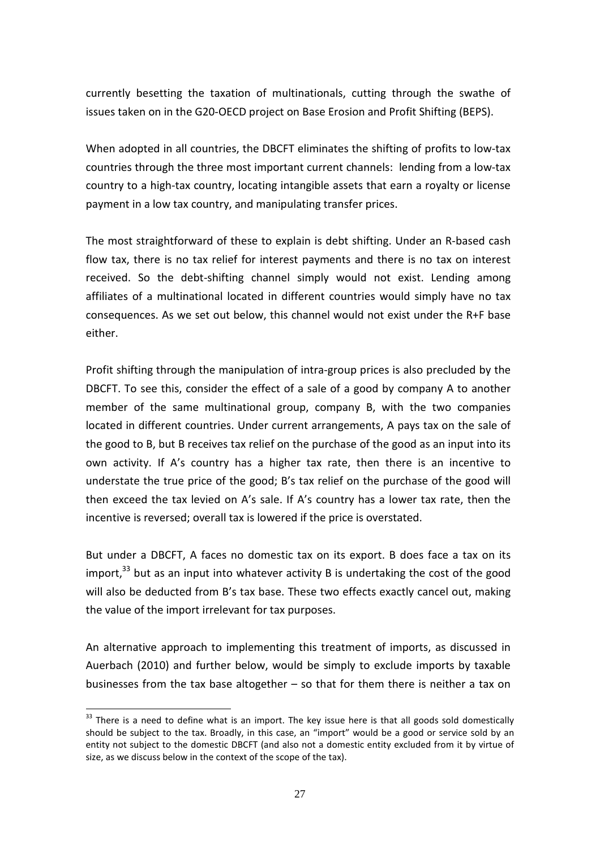currently besetting the taxation of multinationals, cutting through the swathe of issues taken on in the G20-OECD project on Base Erosion and Profit Shifting (BEPS).

When adopted in all countries, the DBCFT eliminates the shifting of profits to low-tax countries through the three most important current channels: lending from a low-tax country to a high-tax country, locating intangible assets that earn a royalty or license payment in a low tax country, and manipulating transfer prices.

The most straightforward of these to explain is debt shifting. Under an R-based cash flow tax, there is no tax relief for interest payments and there is no tax on interest received. So the debt-shifting channel simply would not exist. Lending among affiliates of a multinational located in different countries would simply have no tax consequences. As we set out below, this channel would not exist under the R+F base either.

Profit shifting through the manipulation of intra-group prices is also precluded by the DBCFT. To see this, consider the effect of a sale of a good by company A to another member of the same multinational group, company B, with the two companies located in different countries. Under current arrangements, A pays tax on the sale of the good to B, but B receives tax relief on the purchase of the good as an input into its own activity. If A's country has a higher tax rate, then there is an incentive to understate the true price of the good; B's tax relief on the purchase of the good will then exceed the tax levied on A's sale. If A's country has a lower tax rate, then the incentive is reversed; overall tax is lowered if the price is overstated.

But under a DBCFT, A faces no domestic tax on its export. B does face a tax on its import,  $33$  but as an input into whatever activity B is undertaking the cost of the good will also be deducted from B's tax base. These two effects exactly cancel out, making the value of the import irrelevant for tax purposes.

An alternative approach to implementing this treatment of imports, as discussed in Auerbach (2010) and further below, would be simply to exclude imports by taxable businesses from the tax base altogether – so that for them there is neither a tax on

 $33$  There is a need to define what is an import. The key issue here is that all goods sold domestically should be subject to the tax. Broadly, in this case, an "import" would be a good or service sold by an entity not subject to the domestic DBCFT (and also not a domestic entity excluded from it by virtue of size, as we discuss below in the context of the scope of the tax).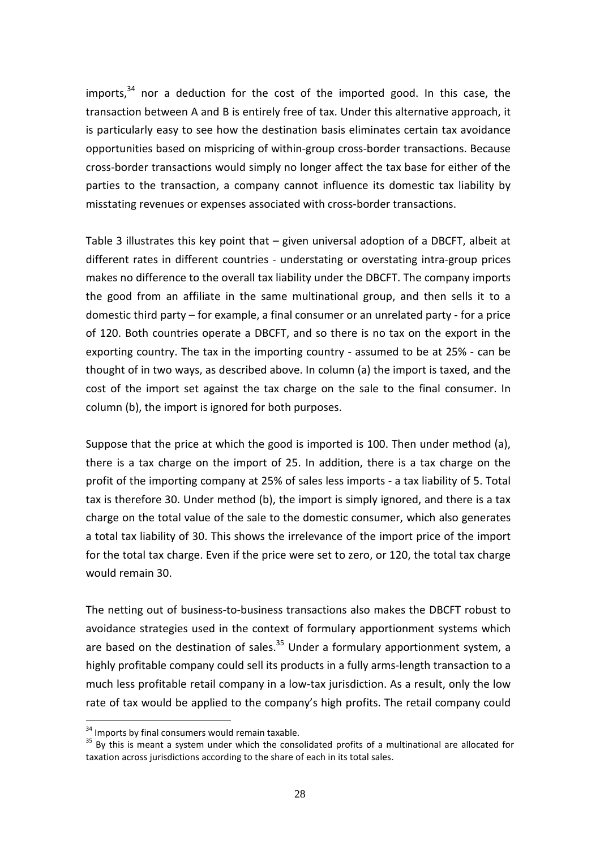imports, $34$  nor a deduction for the cost of the imported good. In this case, the transaction between A and B is entirely free of tax. Under this alternative approach, it is particularly easy to see how the destination basis eliminates certain tax avoidance opportunities based on mispricing of within-group cross-border transactions. Because cross-border transactions would simply no longer affect the tax base for either of the parties to the transaction, a company cannot influence its domestic tax liability by misstating revenues or expenses associated with cross-border transactions.

Table 3 illustrates this key point that – given universal adoption of a DBCFT, albeit at different rates in different countries - understating or overstating intra-group prices makes no difference to the overall tax liability under the DBCFT. The company imports the good from an affiliate in the same multinational group, and then sells it to a domestic third party – for example, a final consumer or an unrelated party - for a price of 120. Both countries operate a DBCFT, and so there is no tax on the export in the exporting country. The tax in the importing country - assumed to be at 25% - can be thought of in two ways, as described above. In column (a) the import is taxed, and the cost of the import set against the tax charge on the sale to the final consumer. In column (b), the import is ignored for both purposes.

Suppose that the price at which the good is imported is 100. Then under method (a), there is a tax charge on the import of 25. In addition, there is a tax charge on the profit of the importing company at 25% of sales less imports - a tax liability of 5. Total tax is therefore 30. Under method (b), the import is simply ignored, and there is a tax charge on the total value of the sale to the domestic consumer, which also generates a total tax liability of 30. This shows the irrelevance of the import price of the import for the total tax charge. Even if the price were set to zero, or 120, the total tax charge would remain 30.

The netting out of business-to-business transactions also makes the DBCFT robust to avoidance strategies used in the context of formulary apportionment systems which are based on the destination of sales. $35$  Under a formulary apportionment system, a highly profitable company could sell its products in a fully arms-length transaction to a much less profitable retail company in a low-tax jurisdiction. As a result, only the low rate of tax would be applied to the company's high profits. The retail company could

<sup>&</sup>lt;sup>34</sup> Imports by final consumers would remain taxable.

<sup>&</sup>lt;sup>35</sup> By this is meant a system under which the consolidated profits of a multinational are allocated for taxation across jurisdictions according to the share of each in its total sales.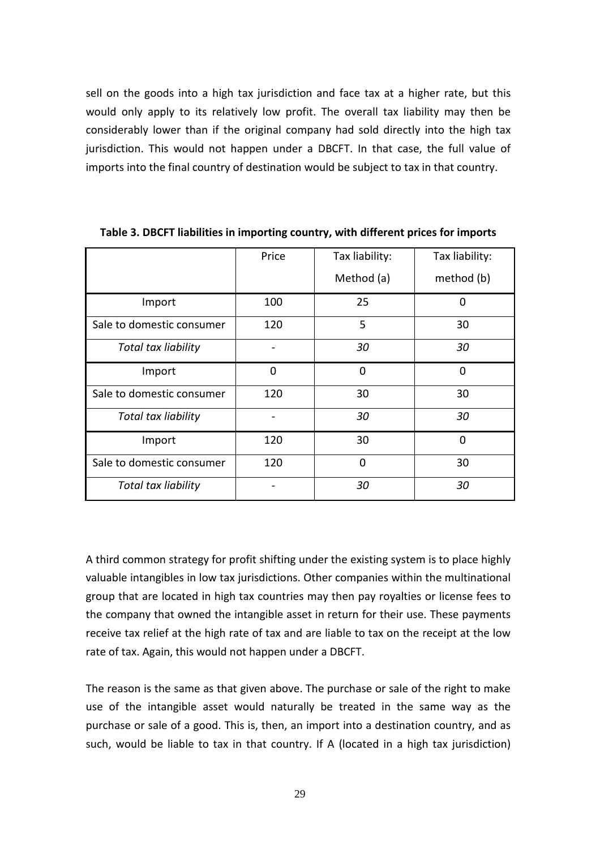sell on the goods into a high tax jurisdiction and face tax at a higher rate, but this would only apply to its relatively low profit. The overall tax liability may then be considerably lower than if the original company had sold directly into the high tax jurisdiction. This would not happen under a DBCFT. In that case, the full value of imports into the final country of destination would be subject to tax in that country.

|                           | Price    | Tax liability: | Tax liability: |
|---------------------------|----------|----------------|----------------|
|                           |          | Method (a)     | method (b)     |
| Import                    | 100      | 25             | 0              |
| Sale to domestic consumer | 120      | 5              | 30             |
| Total tax liability       |          | 30             | 30             |
| Import                    | $\Omega$ | $\Omega$       | $\Omega$       |
| Sale to domestic consumer | 120      | 30             | 30             |
| Total tax liability       |          | 30             | 30             |
| Import                    | 120      | 30             | 0              |
| Sale to domestic consumer | 120      | 0              | 30             |
| Total tax liability       |          | 30             | 30             |

**Table 3. DBCFT liabilities in importing country, with different prices for imports**

A third common strategy for profit shifting under the existing system is to place highly valuable intangibles in low tax jurisdictions. Other companies within the multinational group that are located in high tax countries may then pay royalties or license fees to the company that owned the intangible asset in return for their use. These payments receive tax relief at the high rate of tax and are liable to tax on the receipt at the low rate of tax. Again, this would not happen under a DBCFT.

The reason is the same as that given above. The purchase or sale of the right to make use of the intangible asset would naturally be treated in the same way as the purchase or sale of a good. This is, then, an import into a destination country, and as such, would be liable to tax in that country. If A (located in a high tax jurisdiction)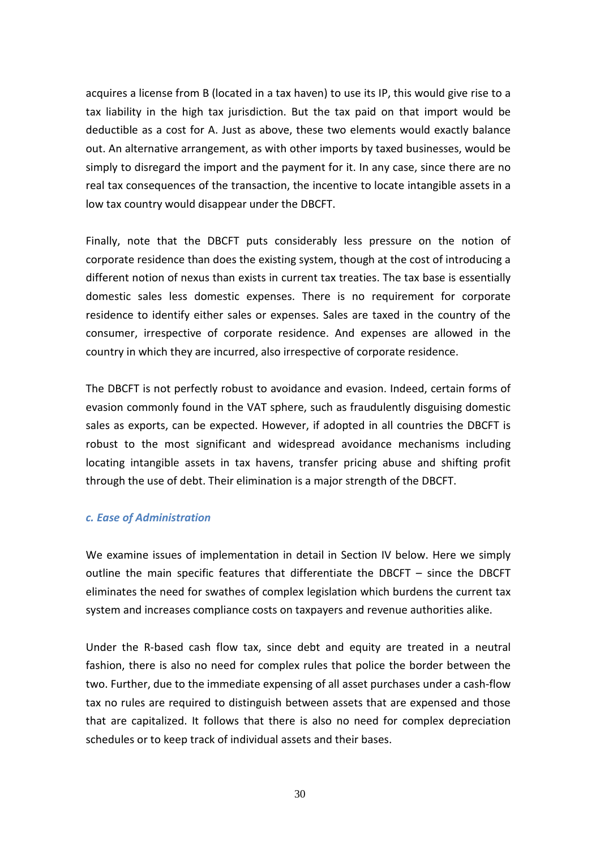acquires a license from B (located in a tax haven) to use its IP, this would give rise to a tax liability in the high tax jurisdiction. But the tax paid on that import would be deductible as a cost for A. Just as above, these two elements would exactly balance out. An alternative arrangement, as with other imports by taxed businesses, would be simply to disregard the import and the payment for it. In any case, since there are no real tax consequences of the transaction, the incentive to locate intangible assets in a low tax country would disappear under the DBCFT.

Finally, note that the DBCFT puts considerably less pressure on the notion of corporate residence than does the existing system, though at the cost of introducing a different notion of nexus than exists in current tax treaties. The tax base is essentially domestic sales less domestic expenses. There is no requirement for corporate residence to identify either sales or expenses. Sales are taxed in the country of the consumer, irrespective of corporate residence. And expenses are allowed in the country in which they are incurred, also irrespective of corporate residence.

The DBCFT is not perfectly robust to avoidance and evasion. Indeed, certain forms of evasion commonly found in the VAT sphere, such as fraudulently disguising domestic sales as exports, can be expected. However, if adopted in all countries the DBCFT is robust to the most significant and widespread avoidance mechanisms including locating intangible assets in tax havens, transfer pricing abuse and shifting profit through the use of debt. Their elimination is a major strength of the DBCFT.

#### *c. Ease of Administration*

We examine issues of implementation in detail in Section IV below. Here we simply outline the main specific features that differentiate the DBCFT – since the DBCFT eliminates the need for swathes of complex legislation which burdens the current tax system and increases compliance costs on taxpayers and revenue authorities alike.

Under the R-based cash flow tax, since debt and equity are treated in a neutral fashion, there is also no need for complex rules that police the border between the two. Further, due to the immediate expensing of all asset purchases under a cash-flow tax no rules are required to distinguish between assets that are expensed and those that are capitalized. It follows that there is also no need for complex depreciation schedules or to keep track of individual assets and their bases.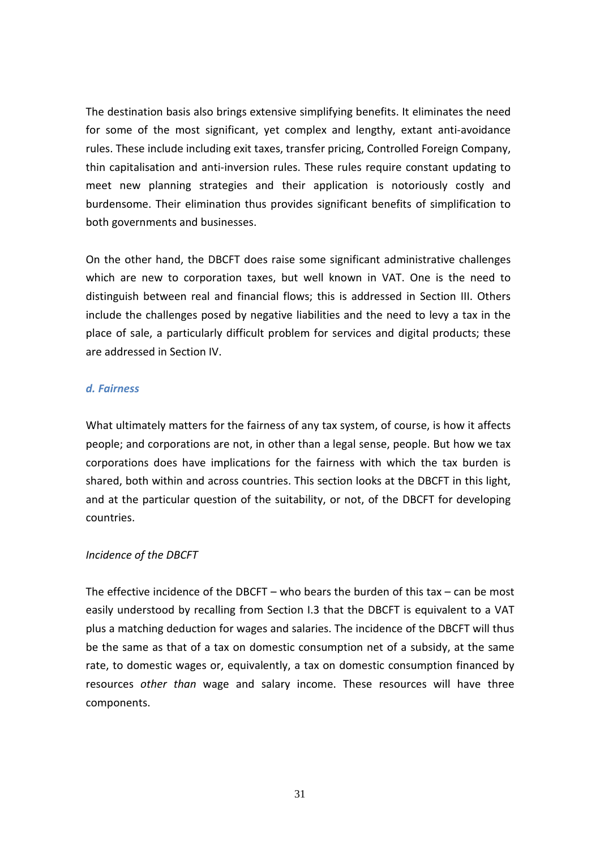The destination basis also brings extensive simplifying benefits. It eliminates the need for some of the most significant, yet complex and lengthy, extant anti-avoidance rules. These include including exit taxes, transfer pricing, Controlled Foreign Company, thin capitalisation and anti-inversion rules. These rules require constant updating to meet new planning strategies and their application is notoriously costly and burdensome. Their elimination thus provides significant benefits of simplification to both governments and businesses.

On the other hand, the DBCFT does raise some significant administrative challenges which are new to corporation taxes, but well known in VAT. One is the need to distinguish between real and financial flows; this is addressed in Section III. Others include the challenges posed by negative liabilities and the need to levy a tax in the place of sale, a particularly difficult problem for services and digital products; these are addressed in Section IV.

#### *d. Fairness*

What ultimately matters for the fairness of any tax system, of course, is how it affects people; and corporations are not, in other than a legal sense, people. But how we tax corporations does have implications for the fairness with which the tax burden is shared, both within and across countries. This section looks at the DBCFT in this light, and at the particular question of the suitability, or not, of the DBCFT for developing countries.

#### *Incidence of the DBCFT*

The effective incidence of the DBCFT – who bears the burden of this tax – can be most easily understood by recalling from Section I.3 that the DBCFT is equivalent to a VAT plus a matching deduction for wages and salaries. The incidence of the DBCFT will thus be the same as that of a tax on domestic consumption net of a subsidy, at the same rate, to domestic wages or, equivalently, a tax on domestic consumption financed by resources *other than* wage and salary income. These resources will have three components.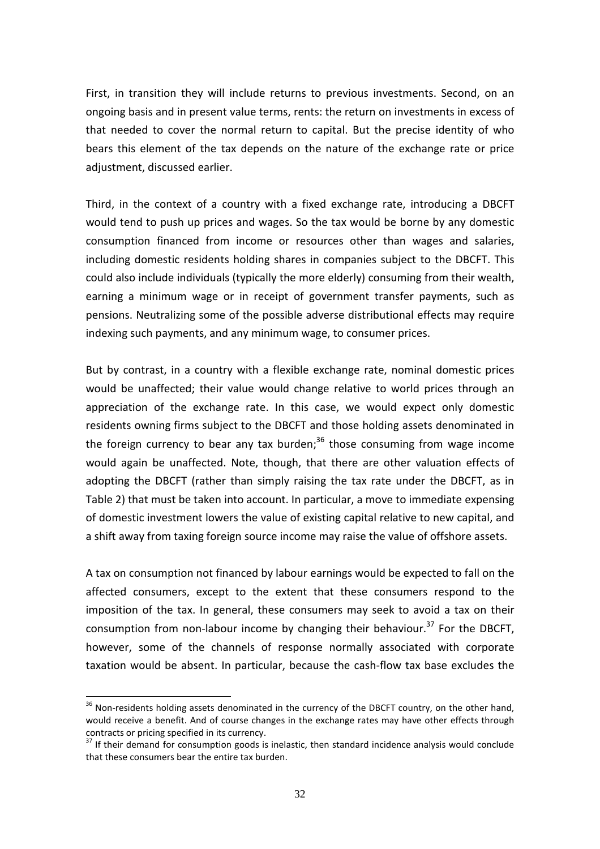First, in transition they will include returns to previous investments. Second, on an ongoing basis and in present value terms, rents: the return on investments in excess of that needed to cover the normal return to capital. But the precise identity of who bears this element of the tax depends on the nature of the exchange rate or price adjustment, discussed earlier.

Third, in the context of a country with a fixed exchange rate, introducing a DBCFT would tend to push up prices and wages. So the tax would be borne by any domestic consumption financed from income or resources other than wages and salaries, including domestic residents holding shares in companies subject to the DBCFT. This could also include individuals (typically the more elderly) consuming from their wealth, earning a minimum wage or in receipt of government transfer payments, such as pensions. Neutralizing some of the possible adverse distributional effects may require indexing such payments, and any minimum wage, to consumer prices.

But by contrast, in a country with a flexible exchange rate, nominal domestic prices would be unaffected; their value would change relative to world prices through an appreciation of the exchange rate. In this case, we would expect only domestic residents owning firms subject to the DBCFT and those holding assets denominated in the foreign currency to bear any tax burden;<sup>36</sup> those consuming from wage income would again be unaffected. Note, though, that there are other valuation effects of adopting the DBCFT (rather than simply raising the tax rate under the DBCFT, as in Table 2) that must be taken into account. In particular, a move to immediate expensing of domestic investment lowers the value of existing capital relative to new capital, and a shift away from taxing foreign source income may raise the value of offshore assets.

A tax on consumption not financed by labour earnings would be expected to fall on the affected consumers, except to the extent that these consumers respond to the imposition of the tax. In general, these consumers may seek to avoid a tax on their consumption from non-labour income by changing their behaviour. $37$  For the DBCFT, however, some of the channels of response normally associated with corporate taxation would be absent. In particular, because the cash-flow tax base excludes the

<sup>&</sup>lt;sup>36</sup> Non-residents holding assets denominated in the currency of the DBCFT country, on the other hand, would receive a benefit. And of course changes in the exchange rates may have other effects through contracts or pricing specified in its currency.

<sup>&</sup>lt;sup>37</sup> If their demand for consumption goods is inelastic, then standard incidence analysis would conclude that these consumers bear the entire tax burden.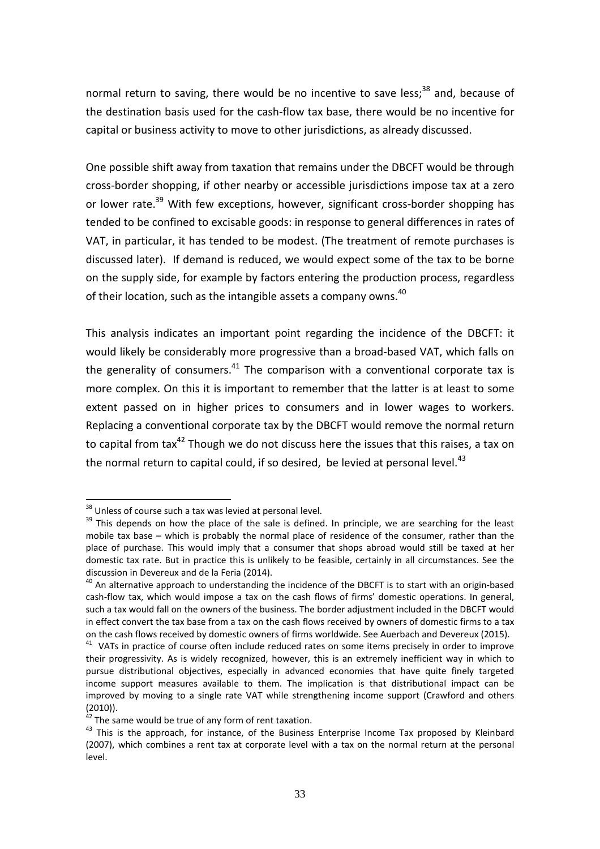normal return to saving, there would be no incentive to save less; $^{38}$  and, because of the destination basis used for the cash-flow tax base, there would be no incentive for capital or business activity to move to other jurisdictions, as already discussed.

One possible shift away from taxation that remains under the DBCFT would be through cross-border shopping, if other nearby or accessible jurisdictions impose tax at a zero or lower rate.<sup>39</sup> With few exceptions, however, significant cross-border shopping has tended to be confined to excisable goods: in response to general differences in rates of VAT, in particular, it has tended to be modest. (The treatment of remote purchases is discussed later). If demand is reduced, we would expect some of the tax to be borne on the supply side, for example by factors entering the production process, regardless of their location, such as the intangible assets a company owns.  $40$ 

This analysis indicates an important point regarding the incidence of the DBCFT: it would likely be considerably more progressive than a broad-based VAT, which falls on the generality of consumers.<sup>41</sup> The comparison with a conventional corporate tax is more complex. On this it is important to remember that the latter is at least to some extent passed on in higher prices to consumers and in lower wages to workers. Replacing a conventional corporate tax by the DBCFT would remove the normal return to capital from tax<sup>42</sup> Though we do not discuss here the issues that this raises, a tax on the normal return to capital could, if so desired, be levied at personal level. $43$ 

<sup>&</sup>lt;sup>38</sup> Unless of course such a tax was levied at personal level.

<sup>&</sup>lt;sup>39</sup> This depends on how the place of the sale is defined. In principle, we are searching for the least mobile tax base – which is probably the normal place of residence of the consumer, rather than the place of purchase. This would imply that a consumer that shops abroad would still be taxed at her domestic tax rate. But in practice this is unlikely to be feasible, certainly in all circumstances. See the discussion in Devereux and de la Feria (2014).

 $40$  An alternative approach to understanding the incidence of the DBCFT is to start with an origin-based cash-flow tax, which would impose a tax on the cash flows of firms' domestic operations. In general, such a tax would fall on the owners of the business. The border adjustment included in the DBCFT would in effect convert the tax base from a tax on the cash flows received by owners of domestic firms to a tax on the cash flows received by domestic owners of firms worldwide. See Auerbach and Devereux (2015).

<sup>&</sup>lt;sup>41</sup> VATs in practice of course often include reduced rates on some items precisely in order to improve their progressivity. As is widely recognized, however, this is an extremely inefficient way in which to pursue distributional objectives, especially in advanced economies that have quite finely targeted income support measures available to them. The implication is that distributional impact can be improved by moving to a single rate VAT while strengthening income support (Crawford and others (2010)).

 $42$  The same would be true of any form of rent taxation.

 $43$  This is the approach, for instance, of the Business Enterprise Income Tax proposed by Kleinbard (2007), which combines a rent tax at corporate level with a tax on the normal return at the personal level.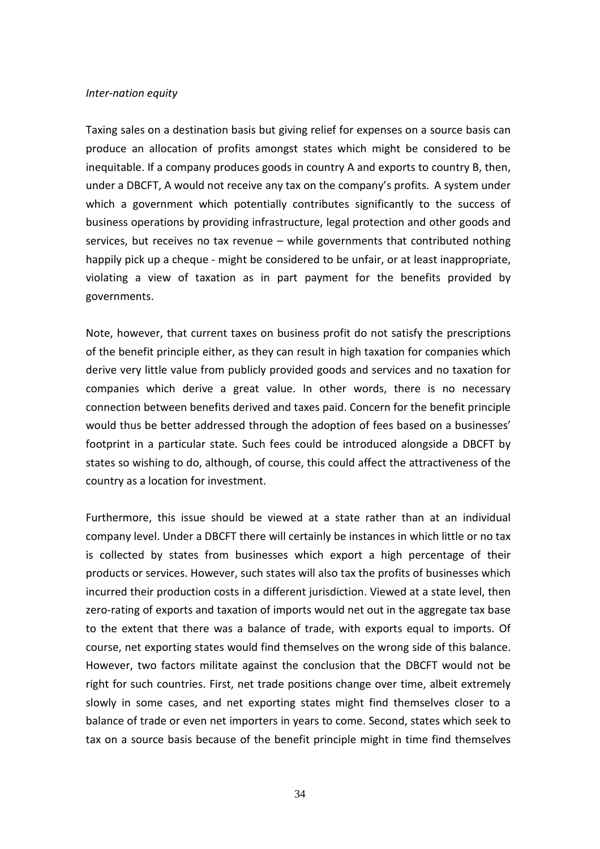#### *Inter-nation equity*

Taxing sales on a destination basis but giving relief for expenses on a source basis can produce an allocation of profits amongst states which might be considered to be inequitable. If a company produces goods in country A and exports to country B, then, under a DBCFT, A would not receive any tax on the company's profits. A system under which a government which potentially contributes significantly to the success of business operations by providing infrastructure, legal protection and other goods and services, but receives no tax revenue – while governments that contributed nothing happily pick up a cheque - might be considered to be unfair, or at least inappropriate, violating a view of taxation as in part payment for the benefits provided by governments.

Note, however, that current taxes on business profit do not satisfy the prescriptions of the benefit principle either, as they can result in high taxation for companies which derive very little value from publicly provided goods and services and no taxation for companies which derive a great value. In other words, there is no necessary connection between benefits derived and taxes paid. Concern for the benefit principle would thus be better addressed through the adoption of fees based on a businesses' footprint in a particular state. Such fees could be introduced alongside a DBCFT by states so wishing to do, although, of course, this could affect the attractiveness of the country as a location for investment.

Furthermore, this issue should be viewed at a state rather than at an individual company level. Under a DBCFT there will certainly be instances in which little or no tax is collected by states from businesses which export a high percentage of their products or services. However, such states will also tax the profits of businesses which incurred their production costs in a different jurisdiction. Viewed at a state level, then zero-rating of exports and taxation of imports would net out in the aggregate tax base to the extent that there was a balance of trade, with exports equal to imports. Of course, net exporting states would find themselves on the wrong side of this balance. However, two factors militate against the conclusion that the DBCFT would not be right for such countries. First, net trade positions change over time, albeit extremely slowly in some cases, and net exporting states might find themselves closer to a balance of trade or even net importers in years to come. Second, states which seek to tax on a source basis because of the benefit principle might in time find themselves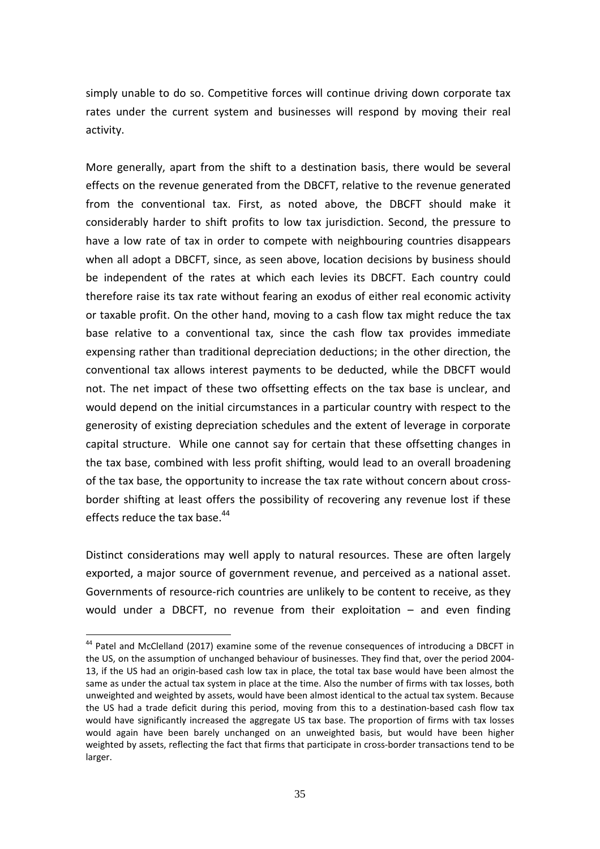simply unable to do so. Competitive forces will continue driving down corporate tax rates under the current system and businesses will respond by moving their real activity.

More generally, apart from the shift to a destination basis, there would be several effects on the revenue generated from the DBCFT, relative to the revenue generated from the conventional tax. First, as noted above, the DBCFT should make it considerably harder to shift profits to low tax jurisdiction. Second, the pressure to have a low rate of tax in order to compete with neighbouring countries disappears when all adopt a DBCFT, since, as seen above, location decisions by business should be independent of the rates at which each levies its DBCFT. Each country could therefore raise its tax rate without fearing an exodus of either real economic activity or taxable profit. On the other hand, moving to a cash flow tax might reduce the tax base relative to a conventional tax, since the cash flow tax provides immediate expensing rather than traditional depreciation deductions; in the other direction, the conventional tax allows interest payments to be deducted, while the DBCFT would not. The net impact of these two offsetting effects on the tax base is unclear, and would depend on the initial circumstances in a particular country with respect to the generosity of existing depreciation schedules and the extent of leverage in corporate capital structure. While one cannot say for certain that these offsetting changes in the tax base, combined with less profit shifting, would lead to an overall broadening of the tax base, the opportunity to increase the tax rate without concern about crossborder shifting at least offers the possibility of recovering any revenue lost if these effects reduce the tax base. $44$ 

Distinct considerations may well apply to natural resources. These are often largely exported, a major source of government revenue, and perceived as a national asset. Governments of resource-rich countries are unlikely to be content to receive, as they would under a DBCFT, no revenue from their exploitation – and even finding

<sup>&</sup>lt;sup>44</sup> Patel and McClelland (2017) examine some of the revenue consequences of introducing a DBCFT in the US, on the assumption of unchanged behaviour of businesses. They find that, over the period 2004- 13, if the US had an origin-based cash low tax in place, the total tax base would have been almost the same as under the actual tax system in place at the time. Also the number of firms with tax losses, both unweighted and weighted by assets, would have been almost identical to the actual tax system. Because the US had a trade deficit during this period, moving from this to a destination-based cash flow tax would have significantly increased the aggregate US tax base. The proportion of firms with tax losses would again have been barely unchanged on an unweighted basis, but would have been higher weighted by assets, reflecting the fact that firms that participate in cross-border transactions tend to be larger.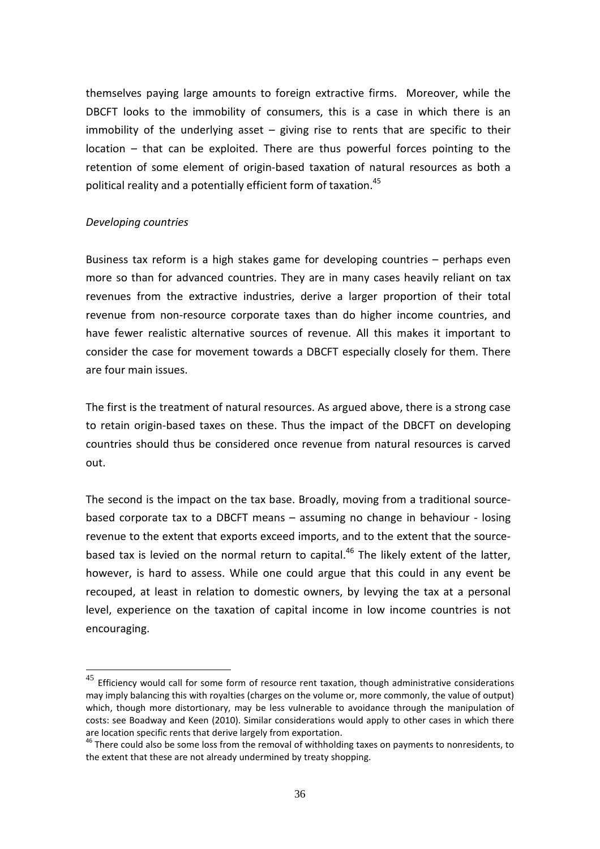themselves paying large amounts to foreign extractive firms. Moreover, while the DBCFT looks to the immobility of consumers, this is a case in which there is an immobility of the underlying asset  $-$  giving rise to rents that are specific to their location – that can be exploited. There are thus powerful forces pointing to the retention of some element of origin-based taxation of natural resources as both a political reality and a potentially efficient form of taxation.<sup>45</sup>

## *Developing countries*

Business tax reform is a high stakes game for developing countries – perhaps even more so than for advanced countries. They are in many cases heavily reliant on tax revenues from the extractive industries, derive a larger proportion of their total revenue from non-resource corporate taxes than do higher income countries, and have fewer realistic alternative sources of revenue. All this makes it important to consider the case for movement towards a DBCFT especially closely for them. There are four main issues.

The first is the treatment of natural resources. As argued above, there is a strong case to retain origin-based taxes on these. Thus the impact of the DBCFT on developing countries should thus be considered once revenue from natural resources is carved out.

The second is the impact on the tax base. Broadly, moving from a traditional sourcebased corporate tax to a DBCFT means – assuming no change in behaviour - losing revenue to the extent that exports exceed imports, and to the extent that the sourcebased tax is levied on the normal return to capital.<sup>46</sup> The likely extent of the latter, however, is hard to assess. While one could argue that this could in any event be recouped, at least in relation to domestic owners, by levying the tax at a personal level, experience on the taxation of capital income in low income countries is not encouraging.

 $^{45}$  Efficiency would call for some form of resource rent taxation, though administrative considerations may imply balancing this with royalties (charges on the volume or, more commonly, the value of output) which, though more distortionary, may be less vulnerable to avoidance through the manipulation of costs: see Boadway and Keen (2010). Similar considerations would apply to other cases in which there are location specific rents that derive largely from exportation.

<sup>&</sup>lt;sup>46</sup> There could also be some loss from the removal of withholding taxes on payments to nonresidents, to the extent that these are not already undermined by treaty shopping.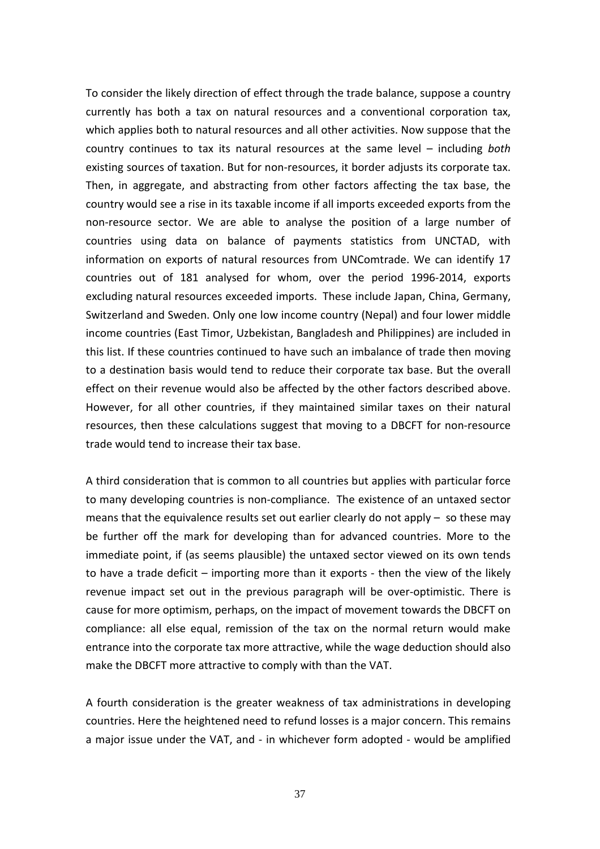To consider the likely direction of effect through the trade balance, suppose a country currently has both a tax on natural resources and a conventional corporation tax, which applies both to natural resources and all other activities. Now suppose that the country continues to tax its natural resources at the same level – including *both* existing sources of taxation. But for non-resources, it border adjusts its corporate tax. Then, in aggregate, and abstracting from other factors affecting the tax base, the country would see a rise in its taxable income if all imports exceeded exports from the non-resource sector. We are able to analyse the position of a large number of countries using data on balance of payments statistics from UNCTAD, with information on exports of natural resources from UNComtrade. We can identify 17 countries out of 181 analysed for whom, over the period 1996-2014, exports excluding natural resources exceeded imports. These include Japan, China, Germany, Switzerland and Sweden. Only one low income country (Nepal) and four lower middle income countries (East Timor, Uzbekistan, Bangladesh and Philippines) are included in this list. If these countries continued to have such an imbalance of trade then moving to a destination basis would tend to reduce their corporate tax base. But the overall effect on their revenue would also be affected by the other factors described above. However, for all other countries, if they maintained similar taxes on their natural resources, then these calculations suggest that moving to a DBCFT for non-resource trade would tend to increase their tax base.

A third consideration that is common to all countries but applies with particular force to many developing countries is non-compliance. The existence of an untaxed sector means that the equivalence results set out earlier clearly do not apply – so these may be further off the mark for developing than for advanced countries. More to the immediate point, if (as seems plausible) the untaxed sector viewed on its own tends to have a trade deficit – importing more than it exports - then the view of the likely revenue impact set out in the previous paragraph will be over-optimistic. There is cause for more optimism, perhaps, on the impact of movement towards the DBCFT on compliance: all else equal, remission of the tax on the normal return would make entrance into the corporate tax more attractive, while the wage deduction should also make the DBCFT more attractive to comply with than the VAT.

A fourth consideration is the greater weakness of tax administrations in developing countries. Here the heightened need to refund losses is a major concern. This remains a major issue under the VAT, and - in whichever form adopted - would be amplified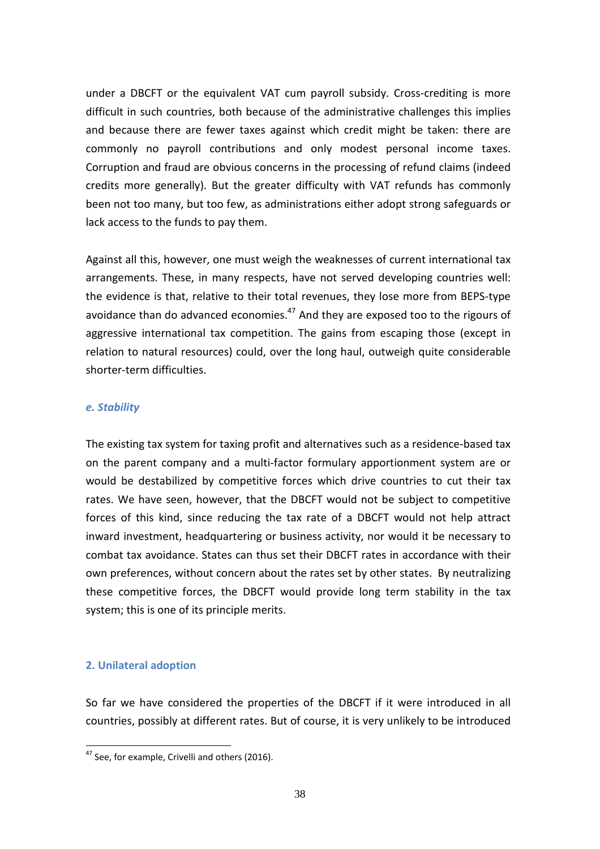under a DBCFT or the equivalent VAT cum payroll subsidy. Cross-crediting is more difficult in such countries, both because of the administrative challenges this implies and because there are fewer taxes against which credit might be taken: there are commonly no payroll contributions and only modest personal income taxes. Corruption and fraud are obvious concerns in the processing of refund claims (indeed credits more generally). But the greater difficulty with VAT refunds has commonly been not too many, but too few, as administrations either adopt strong safeguards or lack access to the funds to pay them.

Against all this, however, one must weigh the weaknesses of current international tax arrangements. These, in many respects, have not served developing countries well: the evidence is that, relative to their total revenues, they lose more from BEPS-type avoidance than do advanced economies. $^{47}$  And they are exposed too to the rigours of aggressive international tax competition. The gains from escaping those (except in relation to natural resources) could, over the long haul, outweigh quite considerable shorter-term difficulties.

## *e. Stability*

The existing tax system for taxing profit and alternatives such as a residence-based tax on the parent company and a multi-factor formulary apportionment system are or would be destabilized by competitive forces which drive countries to cut their tax rates. We have seen, however, that the DBCFT would not be subject to competitive forces of this kind, since reducing the tax rate of a DBCFT would not help attract inward investment, headquartering or business activity, nor would it be necessary to combat tax avoidance. States can thus set their DBCFT rates in accordance with their own preferences, without concern about the rates set by other states. By neutralizing these competitive forces, the DBCFT would provide long term stability in the tax system; this is one of its principle merits.

# **2. Unilateral adoption**

So far we have considered the properties of the DBCFT if it were introduced in all countries, possibly at different rates. But of course, it is very unlikely to be introduced

 $47$  See, for example, Crivelli and others (2016).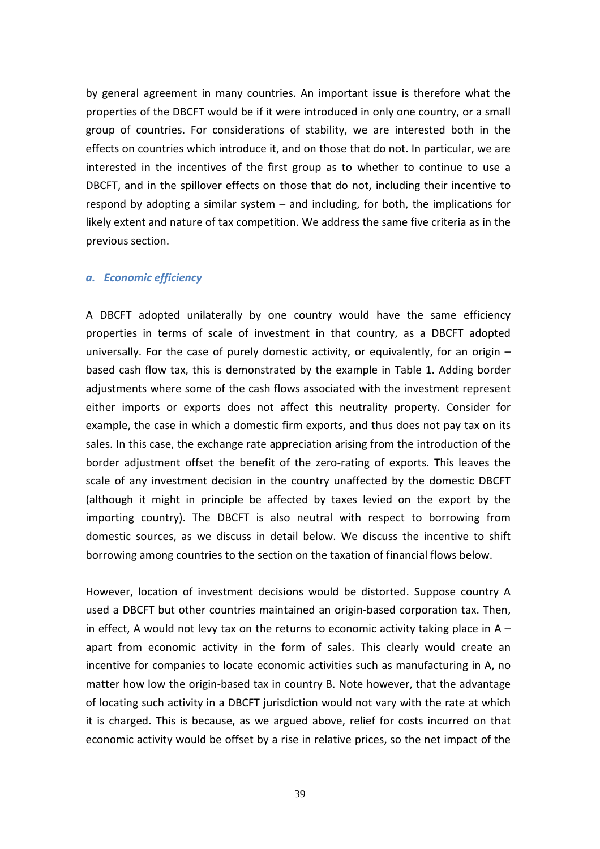by general agreement in many countries. An important issue is therefore what the properties of the DBCFT would be if it were introduced in only one country, or a small group of countries. For considerations of stability, we are interested both in the effects on countries which introduce it, and on those that do not. In particular, we are interested in the incentives of the first group as to whether to continue to use a DBCFT, and in the spillover effects on those that do not, including their incentive to respond by adopting a similar system – and including, for both, the implications for likely extent and nature of tax competition. We address the same five criteria as in the previous section.

#### *a. Economic efficiency*

A DBCFT adopted unilaterally by one country would have the same efficiency properties in terms of scale of investment in that country, as a DBCFT adopted universally. For the case of purely domestic activity, or equivalently, for an origin  $$ based cash flow tax, this is demonstrated by the example in Table 1. Adding border adjustments where some of the cash flows associated with the investment represent either imports or exports does not affect this neutrality property. Consider for example, the case in which a domestic firm exports, and thus does not pay tax on its sales. In this case, the exchange rate appreciation arising from the introduction of the border adjustment offset the benefit of the zero-rating of exports. This leaves the scale of any investment decision in the country unaffected by the domestic DBCFT (although it might in principle be affected by taxes levied on the export by the importing country). The DBCFT is also neutral with respect to borrowing from domestic sources, as we discuss in detail below. We discuss the incentive to shift borrowing among countries to the section on the taxation of financial flows below.

However, location of investment decisions would be distorted. Suppose country A used a DBCFT but other countries maintained an origin-based corporation tax. Then, in effect, A would not levy tax on the returns to economic activity taking place in  $A$ apart from economic activity in the form of sales. This clearly would create an incentive for companies to locate economic activities such as manufacturing in A, no matter how low the origin-based tax in country B. Note however, that the advantage of locating such activity in a DBCFT jurisdiction would not vary with the rate at which it is charged. This is because, as we argued above, relief for costs incurred on that economic activity would be offset by a rise in relative prices, so the net impact of the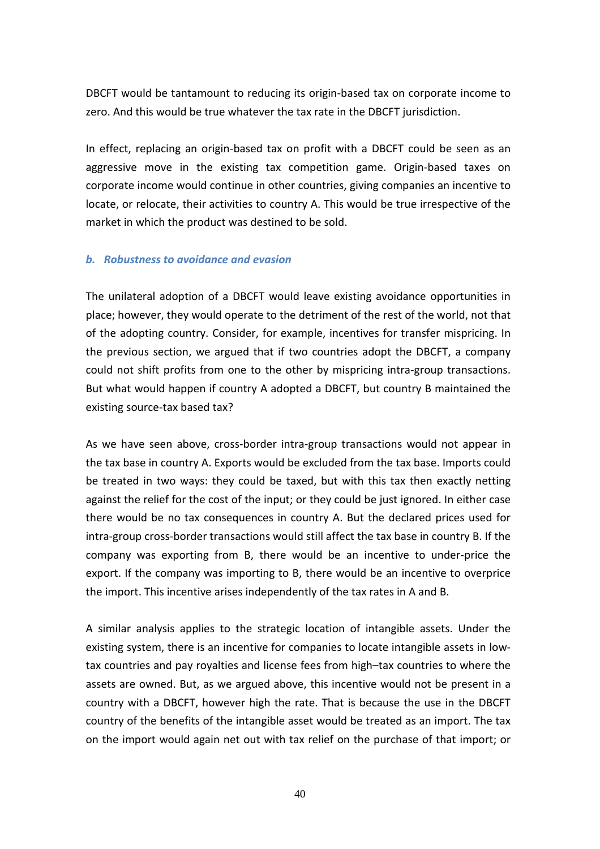DBCFT would be tantamount to reducing its origin-based tax on corporate income to zero. And this would be true whatever the tax rate in the DBCFT jurisdiction.

In effect, replacing an origin-based tax on profit with a DBCFT could be seen as an aggressive move in the existing tax competition game. Origin-based taxes on corporate income would continue in other countries, giving companies an incentive to locate, or relocate, their activities to country A. This would be true irrespective of the market in which the product was destined to be sold.

# *b. Robustness to avoidance and evasion*

The unilateral adoption of a DBCFT would leave existing avoidance opportunities in place; however, they would operate to the detriment of the rest of the world, not that of the adopting country. Consider, for example, incentives for transfer mispricing. In the previous section, we argued that if two countries adopt the DBCFT, a company could not shift profits from one to the other by mispricing intra-group transactions. But what would happen if country A adopted a DBCFT, but country B maintained the existing source-tax based tax?

As we have seen above, cross-border intra-group transactions would not appear in the tax base in country A. Exports would be excluded from the tax base. Imports could be treated in two ways: they could be taxed, but with this tax then exactly netting against the relief for the cost of the input; or they could be just ignored. In either case there would be no tax consequences in country A. But the declared prices used for intra-group cross-border transactions would still affect the tax base in country B. If the company was exporting from B, there would be an incentive to under-price the export. If the company was importing to B, there would be an incentive to overprice the import. This incentive arises independently of the tax rates in A and B.

A similar analysis applies to the strategic location of intangible assets. Under the existing system, there is an incentive for companies to locate intangible assets in lowtax countries and pay royalties and license fees from high–tax countries to where the assets are owned. But, as we argued above, this incentive would not be present in a country with a DBCFT, however high the rate. That is because the use in the DBCFT country of the benefits of the intangible asset would be treated as an import. The tax on the import would again net out with tax relief on the purchase of that import; or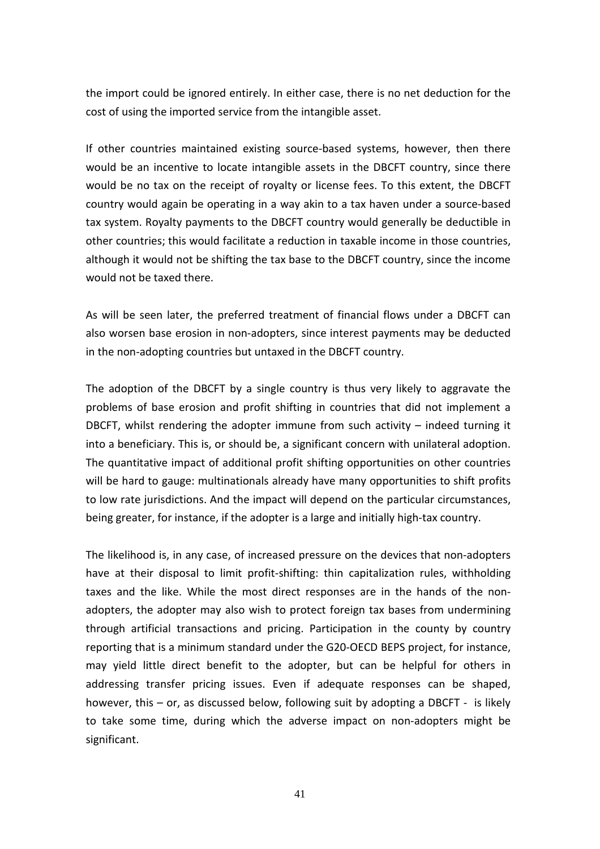the import could be ignored entirely. In either case, there is no net deduction for the cost of using the imported service from the intangible asset.

If other countries maintained existing source-based systems, however, then there would be an incentive to locate intangible assets in the DBCFT country, since there would be no tax on the receipt of royalty or license fees. To this extent, the DBCFT country would again be operating in a way akin to a tax haven under a source-based tax system. Royalty payments to the DBCFT country would generally be deductible in other countries; this would facilitate a reduction in taxable income in those countries, although it would not be shifting the tax base to the DBCFT country, since the income would not be taxed there.

As will be seen later, the preferred treatment of financial flows under a DBCFT can also worsen base erosion in non-adopters, since interest payments may be deducted in the non-adopting countries but untaxed in the DBCFT country.

The adoption of the DBCFT by a single country is thus very likely to aggravate the problems of base erosion and profit shifting in countries that did not implement a DBCFT, whilst rendering the adopter immune from such activity – indeed turning it into a beneficiary. This is, or should be, a significant concern with unilateral adoption. The quantitative impact of additional profit shifting opportunities on other countries will be hard to gauge: multinationals already have many opportunities to shift profits to low rate jurisdictions. And the impact will depend on the particular circumstances, being greater, for instance, if the adopter is a large and initially high-tax country.

The likelihood is, in any case, of increased pressure on the devices that non-adopters have at their disposal to limit profit-shifting: thin capitalization rules, withholding taxes and the like. While the most direct responses are in the hands of the nonadopters, the adopter may also wish to protect foreign tax bases from undermining through artificial transactions and pricing. Participation in the county by country reporting that is a minimum standard under the G20-OECD BEPS project, for instance, may yield little direct benefit to the adopter, but can be helpful for others in addressing transfer pricing issues. Even if adequate responses can be shaped, however, this – or, as discussed below, following suit by adopting a DBCFT - is likely to take some time, during which the adverse impact on non-adopters might be significant.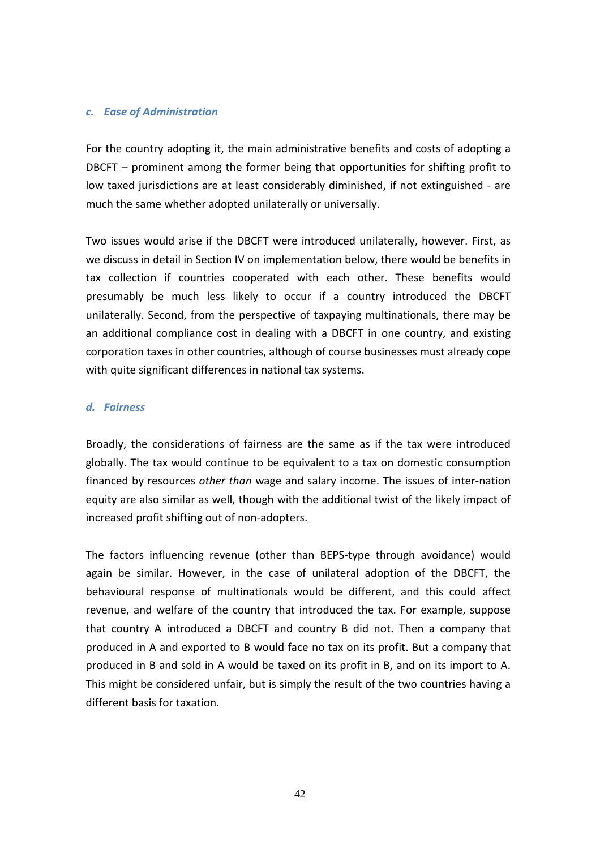## *c. Ease of Administration*

For the country adopting it, the main administrative benefits and costs of adopting a DBCFT – prominent among the former being that opportunities for shifting profit to low taxed jurisdictions are at least considerably diminished, if not extinguished - are much the same whether adopted unilaterally or universally.

Two issues would arise if the DBCFT were introduced unilaterally, however. First, as we discuss in detail in Section IV on implementation below, there would be benefits in tax collection if countries cooperated with each other. These benefits would presumably be much less likely to occur if a country introduced the DBCFT unilaterally. Second, from the perspective of taxpaying multinationals, there may be an additional compliance cost in dealing with a DBCFT in one country, and existing corporation taxes in other countries, although of course businesses must already cope with quite significant differences in national tax systems.

## *d. Fairness*

Broadly, the considerations of fairness are the same as if the tax were introduced globally. The tax would continue to be equivalent to a tax on domestic consumption financed by resources *other than* wage and salary income. The issues of inter-nation equity are also similar as well, though with the additional twist of the likely impact of increased profit shifting out of non-adopters.

The factors influencing revenue (other than BEPS-type through avoidance) would again be similar. However, in the case of unilateral adoption of the DBCFT, the behavioural response of multinationals would be different, and this could affect revenue, and welfare of the country that introduced the tax. For example, suppose that country A introduced a DBCFT and country B did not. Then a company that produced in A and exported to B would face no tax on its profit. But a company that produced in B and sold in A would be taxed on its profit in B, and on its import to A. This might be considered unfair, but is simply the result of the two countries having a different basis for taxation.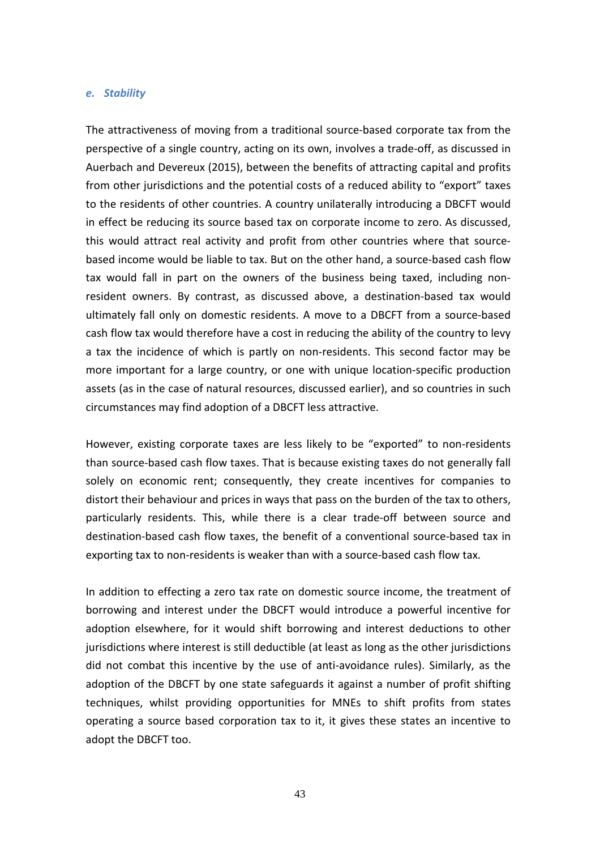#### *e. Stability*

The attractiveness of moving from a traditional source-based corporate tax from the perspective of a single country, acting on its own, involves a trade-off, as discussed in Auerbach and Devereux (2015), between the benefits of attracting capital and profits from other jurisdictions and the potential costs of a reduced ability to "export" taxes to the residents of other countries. A country unilaterally introducing a DBCFT would in effect be reducing its source based tax on corporate income to zero. As discussed, this would attract real activity and profit from other countries where that sourcebased income would be liable to tax. But on the other hand, a source-based cash flow tax would fall in part on the owners of the business being taxed, including nonresident owners. By contrast, as discussed above, a destination-based tax would ultimately fall only on domestic residents. A move to a DBCFT from a source-based cash flow tax would therefore have a cost in reducing the ability of the country to levy a tax the incidence of which is partly on non-residents. This second factor may be more important for a large country, or one with unique location-specific production assets (as in the case of natural resources, discussed earlier), and so countries in such circumstances may find adoption of a DBCFT less attractive.

However, existing corporate taxes are less likely to be "exported" to non-residents than source-based cash flow taxes. That is because existing taxes do not generally fall solely on economic rent; consequently, they create incentives for companies to distort their behaviour and prices in ways that pass on the burden of the tax to others, particularly residents. This, while there is a clear trade-off between source and destination-based cash flow taxes, the benefit of a conventional source-based tax in exporting tax to non-residents is weaker than with a source-based cash flow tax.

In addition to effecting a zero tax rate on domestic source income, the treatment of borrowing and interest under the DBCFT would introduce a powerful incentive for adoption elsewhere, for it would shift borrowing and interest deductions to other jurisdictions where interest is still deductible (at least as long as the other jurisdictions did not combat this incentive by the use of anti-avoidance rules). Similarly, as the adoption of the DBCFT by one state safeguards it against a number of profit shifting techniques, whilst providing opportunities for MNEs to shift profits from states operating a source based corporation tax to it, it gives these states an incentive to adopt the DBCFT too.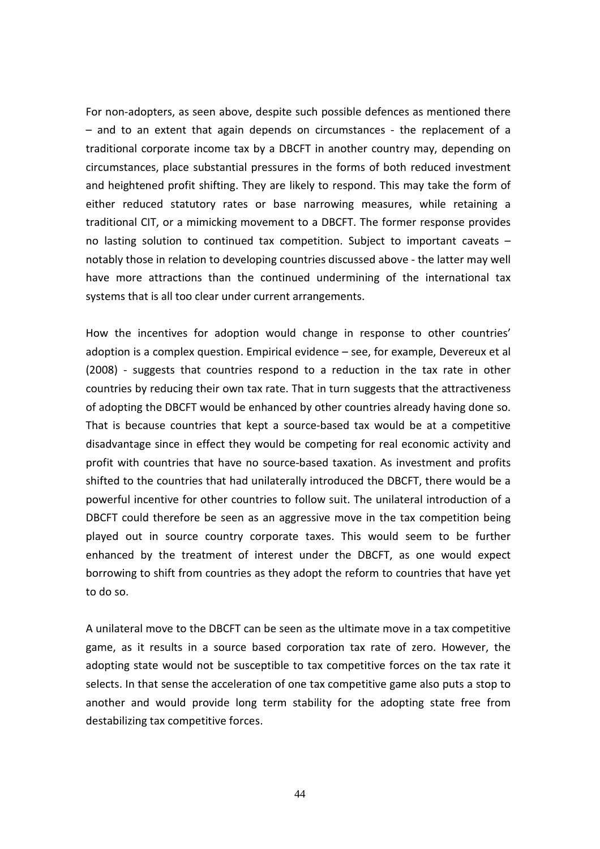For non-adopters, as seen above, despite such possible defences as mentioned there – and to an extent that again depends on circumstances - the replacement of a traditional corporate income tax by a DBCFT in another country may, depending on circumstances, place substantial pressures in the forms of both reduced investment and heightened profit shifting. They are likely to respond. This may take the form of either reduced statutory rates or base narrowing measures, while retaining a traditional CIT, or a mimicking movement to a DBCFT. The former response provides no lasting solution to continued tax competition. Subject to important caveats – notably those in relation to developing countries discussed above - the latter may well have more attractions than the continued undermining of the international tax systems that is all too clear under current arrangements.

How the incentives for adoption would change in response to other countries' adoption is a complex question. Empirical evidence – see, for example, Devereux et al (2008) - suggests that countries respond to a reduction in the tax rate in other countries by reducing their own tax rate. That in turn suggests that the attractiveness of adopting the DBCFT would be enhanced by other countries already having done so. That is because countries that kept a source-based tax would be at a competitive disadvantage since in effect they would be competing for real economic activity and profit with countries that have no source-based taxation. As investment and profits shifted to the countries that had unilaterally introduced the DBCFT, there would be a powerful incentive for other countries to follow suit. The unilateral introduction of a DBCFT could therefore be seen as an aggressive move in the tax competition being played out in source country corporate taxes. This would seem to be further enhanced by the treatment of interest under the DBCFT, as one would expect borrowing to shift from countries as they adopt the reform to countries that have yet to do so.

A unilateral move to the DBCFT can be seen as the ultimate move in a tax competitive game, as it results in a source based corporation tax rate of zero. However, the adopting state would not be susceptible to tax competitive forces on the tax rate it selects. In that sense the acceleration of one tax competitive game also puts a stop to another and would provide long term stability for the adopting state free from destabilizing tax competitive forces.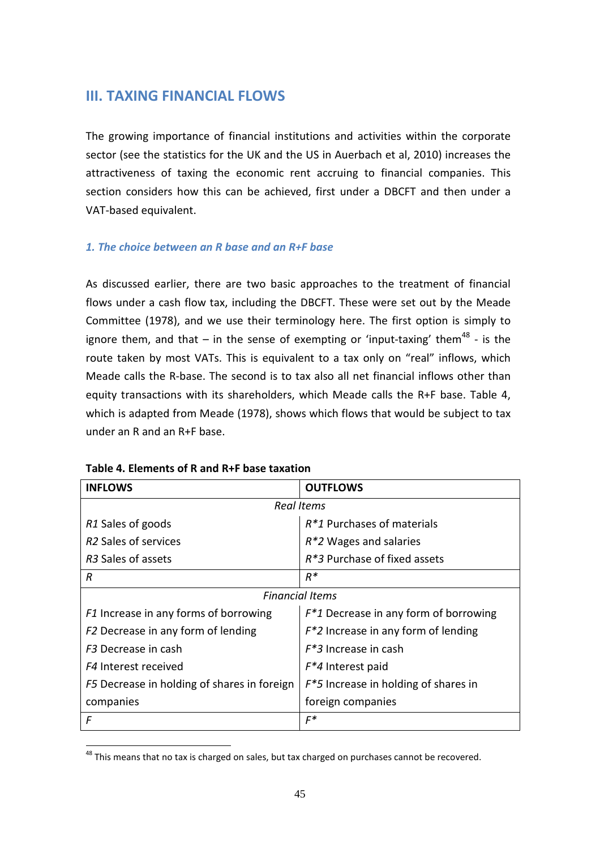# **III. TAXING FINANCIAL FLOWS**

The growing importance of financial institutions and activities within the corporate sector (see the statistics for the UK and the US in Auerbach et al, 2010) increases the attractiveness of taxing the economic rent accruing to financial companies. This section considers how this can be achieved, first under a DBCFT and then under a VAT-based equivalent.

# *1. The choice between an R base and an R+F base*

As discussed earlier, there are two basic approaches to the treatment of financial flows under a cash flow tax, including the DBCFT. These were set out by the Meade Committee (1978), and we use their terminology here. The first option is simply to ignore them, and that  $-$  in the sense of exempting or 'input-taxing' them<sup>48</sup> - is the route taken by most VATs. This is equivalent to a tax only on "real" inflows, which Meade calls the R-base. The second is to tax also all net financial inflows other than equity transactions with its shareholders, which Meade calls the R+F base. Table 4, which is adapted from Meade (1978), shows which flows that would be subject to tax under an R and an R+F base.

| <b>INFLOWS</b>                              | <b>OUTFLOWS</b>                           |  |  |  |
|---------------------------------------------|-------------------------------------------|--|--|--|
| <b>Real Items</b>                           |                                           |  |  |  |
| R1 Sales of goods                           | $R^*1$ Purchases of materials             |  |  |  |
| R <sub>2</sub> Sales of services            | $R*2$ Wages and salaries                  |  |  |  |
| R <sub>3</sub> Sales of assets              | $R*3$ Purchase of fixed assets            |  |  |  |
| R                                           | $R^*$                                     |  |  |  |
|                                             | <b>Financial Items</b>                    |  |  |  |
| F1 Increase in any forms of borrowing       | $F^*$ 1 Decrease in any form of borrowing |  |  |  |
| F2 Decrease in any form of lending          | $F^*$ 2 Increase in any form of lending   |  |  |  |
| F3 Decrease in cash                         | $F^*$ 3 Increase in cash                  |  |  |  |
| F4 Interest received                        | $F^*$ 4 Interest paid                     |  |  |  |
| F5 Decrease in holding of shares in foreign | $F*5$ Increase in holding of shares in    |  |  |  |
| companies                                   | foreign companies                         |  |  |  |
| F                                           | $F^*$                                     |  |  |  |

# **Table 4. Elements of R and R+F base taxation**

 $48$  This means that no tax is charged on sales, but tax charged on purchases cannot be recovered.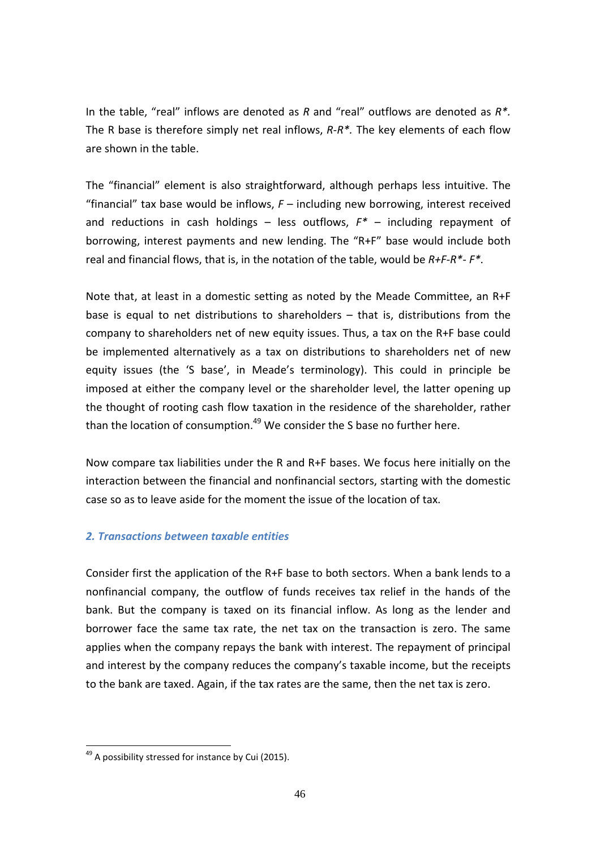In the table, "real" inflows are denoted as *R* and "real" outflows are denoted as *R\*.* The R base is therefore simply net real inflows, *R-R\*.* The key elements of each flow are shown in the table.

The "financial" element is also straightforward, although perhaps less intuitive. The "financial" tax base would be inflows, *F* – including new borrowing, interest received and reductions in cash holdings – less outflows, *F\** – including repayment of borrowing, interest payments and new lending. The "R+F" base would include both real and financial flows, that is, in the notation of the table, would be *R+F-R\*- F\*.*

Note that, at least in a domestic setting as noted by the Meade Committee, an R+F base is equal to net distributions to shareholders – that is, distributions from the company to shareholders net of new equity issues. Thus, a tax on the R+F base could be implemented alternatively as a tax on distributions to shareholders net of new equity issues (the 'S base', in Meade's terminology). This could in principle be imposed at either the company level or the shareholder level, the latter opening up the thought of rooting cash flow taxation in the residence of the shareholder, rather than the location of consumption.<sup>49</sup> We consider the S base no further here.

Now compare tax liabilities under the R and R+F bases. We focus here initially on the interaction between the financial and nonfinancial sectors, starting with the domestic case so as to leave aside for the moment the issue of the location of tax.

# *2. Transactions between taxable entities*

Consider first the application of the R+F base to both sectors. When a bank lends to a nonfinancial company, the outflow of funds receives tax relief in the hands of the bank. But the company is taxed on its financial inflow. As long as the lender and borrower face the same tax rate, the net tax on the transaction is zero. The same applies when the company repays the bank with interest. The repayment of principal and interest by the company reduces the company's taxable income, but the receipts to the bank are taxed. Again, if the tax rates are the same, then the net tax is zero.

<sup>&</sup>lt;sup>49</sup> A possibility stressed for instance by Cui (2015).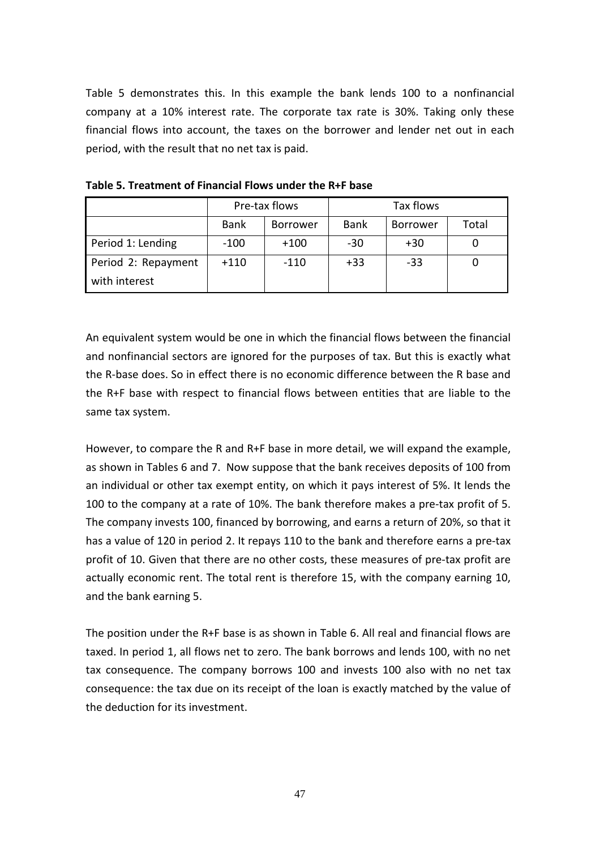Table 5 demonstrates this. In this example the bank lends 100 to a nonfinancial company at a 10% interest rate. The corporate tax rate is 30%. Taking only these financial flows into account, the taxes on the borrower and lender net out in each period, with the result that no net tax is paid.

|                     |                                | Pre-tax flows | Tax flows   |                 |       |
|---------------------|--------------------------------|---------------|-------------|-----------------|-------|
|                     | <b>Bank</b><br><b>Borrower</b> |               | <b>Bank</b> | <b>Borrower</b> | Total |
| Period 1: Lending   | $-100$                         | $+100$        | $-30$       | $+30$           |       |
| Period 2: Repayment | $+110$                         | $-110$        | $+33$       | $-33$           |       |
| with interest       |                                |               |             |                 |       |

**Table 5. Treatment of Financial Flows under the R+F base**

An equivalent system would be one in which the financial flows between the financial and nonfinancial sectors are ignored for the purposes of tax. But this is exactly what the R-base does. So in effect there is no economic difference between the R base and the R+F base with respect to financial flows between entities that are liable to the same tax system.

However, to compare the R and R+F base in more detail, we will expand the example, as shown in Tables 6 and 7. Now suppose that the bank receives deposits of 100 from an individual or other tax exempt entity, on which it pays interest of 5%. It lends the 100 to the company at a rate of 10%. The bank therefore makes a pre-tax profit of 5. The company invests 100, financed by borrowing, and earns a return of 20%, so that it has a value of 120 in period 2. It repays 110 to the bank and therefore earns a pre-tax profit of 10. Given that there are no other costs, these measures of pre-tax profit are actually economic rent. The total rent is therefore 15, with the company earning 10, and the bank earning 5.

The position under the R+F base is as shown in Table 6. All real and financial flows are taxed. In period 1, all flows net to zero. The bank borrows and lends 100, with no net tax consequence. The company borrows 100 and invests 100 also with no net tax consequence: the tax due on its receipt of the loan is exactly matched by the value of the deduction for its investment.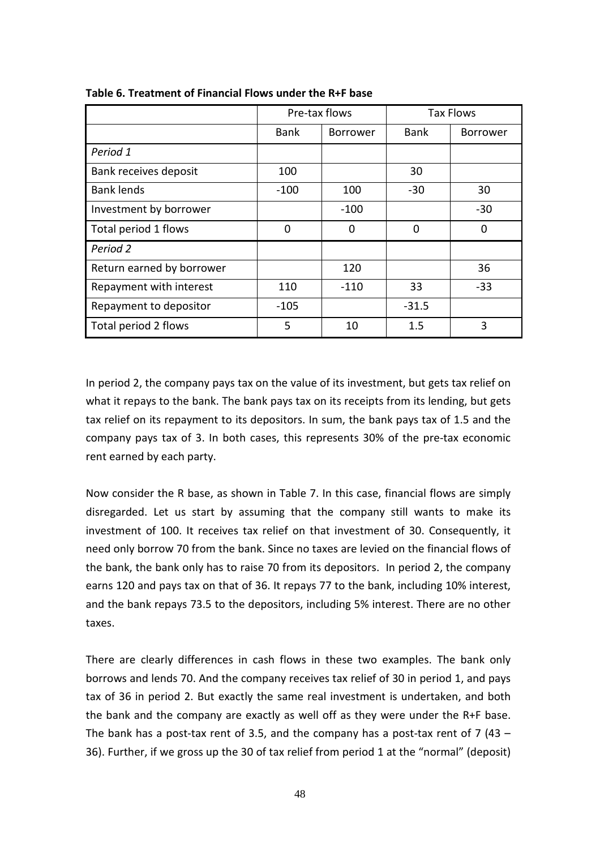|                           | Pre-tax flows  |                 |             | <b>Tax Flows</b> |
|---------------------------|----------------|-----------------|-------------|------------------|
|                           | <b>Bank</b>    | <b>Borrower</b> | <b>Bank</b> | <b>Borrower</b>  |
| Period 1                  |                |                 |             |                  |
| Bank receives deposit     | 100            |                 | 30          |                  |
| <b>Bank lends</b>         | $-100$         | 100             | $-30$       | 30               |
| Investment by borrower    |                | -100            |             | $-30$            |
| Total period 1 flows      | $\overline{0}$ | $\Omega$        | $\Omega$    | 0                |
| Period 2                  |                |                 |             |                  |
| Return earned by borrower |                | 120             |             | 36               |
| Repayment with interest   | 110            | $-110$          | 33          | $-33$            |
| Repayment to depositor    | $-105$         |                 | $-31.5$     |                  |
| Total period 2 flows      | 5              | 10              | 1.5         | 3                |

**Table 6. Treatment of Financial Flows under the R+F base**

In period 2, the company pays tax on the value of its investment, but gets tax relief on what it repays to the bank. The bank pays tax on its receipts from its lending, but gets tax relief on its repayment to its depositors. In sum, the bank pays tax of 1.5 and the company pays tax of 3. In both cases, this represents 30% of the pre-tax economic rent earned by each party.

Now consider the R base, as shown in Table 7. In this case, financial flows are simply disregarded. Let us start by assuming that the company still wants to make its investment of 100. It receives tax relief on that investment of 30. Consequently, it need only borrow 70 from the bank. Since no taxes are levied on the financial flows of the bank, the bank only has to raise 70 from its depositors. In period 2, the company earns 120 and pays tax on that of 36. It repays 77 to the bank, including 10% interest, and the bank repays 73.5 to the depositors, including 5% interest. There are no other taxes.

There are clearly differences in cash flows in these two examples. The bank only borrows and lends 70. And the company receives tax relief of 30 in period 1, and pays tax of 36 in period 2. But exactly the same real investment is undertaken, and both the bank and the company are exactly as well off as they were under the R+F base. The bank has a post-tax rent of 3.5, and the company has a post-tax rent of 7 (43  $-$ 36). Further, if we gross up the 30 of tax relief from period 1 at the "normal" (deposit)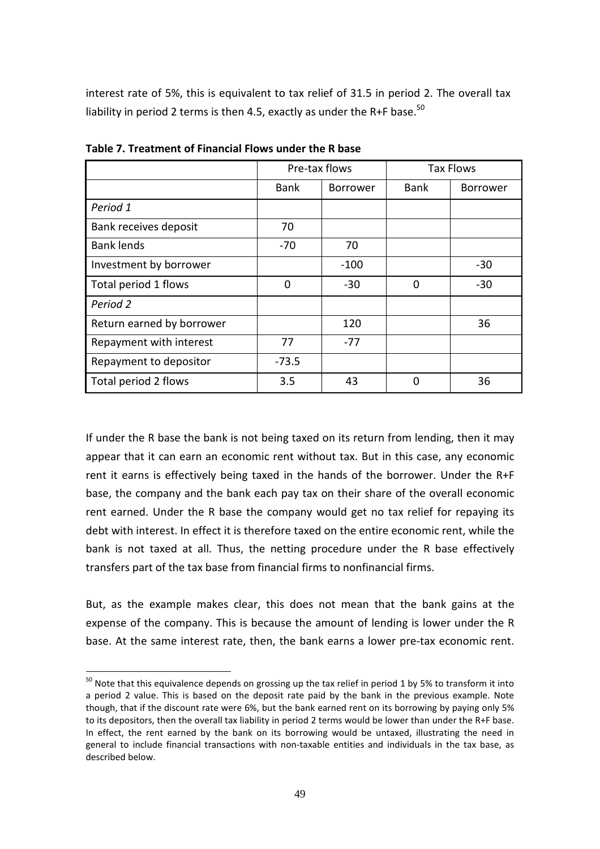interest rate of 5%, this is equivalent to tax relief of 31.5 in period 2. The overall tax liability in period 2 terms is then 4.5, exactly as under the R+F base. $50$ 

|                           | Pre-tax flows |                 |   | <b>Tax Flows</b> |
|---------------------------|---------------|-----------------|---|------------------|
|                           | <b>Bank</b>   | <b>Borrower</b> |   | <b>Borrower</b>  |
| Period 1                  |               |                 |   |                  |
| Bank receives deposit     | 70            |                 |   |                  |
| <b>Bank lends</b>         | $-70$         | 70              |   |                  |
| Investment by borrower    |               | $-100$          |   | $-30$            |
| Total period 1 flows      | $\Omega$      | $-30$           | ∩ | $-30$            |
| Period 2                  |               |                 |   |                  |
| Return earned by borrower |               | 120             |   | 36               |
| Repayment with interest   | 77            | $-77$           |   |                  |
| Repayment to depositor    | $-73.5$       |                 |   |                  |
| Total period 2 flows      | 3.5           | 43              |   | 36               |

**Table 7. Treatment of Financial Flows under the R base**

If under the R base the bank is not being taxed on its return from lending, then it may appear that it can earn an economic rent without tax. But in this case, any economic rent it earns is effectively being taxed in the hands of the borrower. Under the  $R+F$ base, the company and the bank each pay tax on their share of the overall economic rent earned. Under the R base the company would get no tax relief for repaying its debt with interest. In effect it is therefore taxed on the entire economic rent, while the bank is not taxed at all. Thus, the netting procedure under the R base effectively transfers part of the tax base from financial firms to nonfinancial firms.

But, as the example makes clear, this does not mean that the bank gains at the expense of the company. This is because the amount of lending is lower under the R base. At the same interest rate, then, the bank earns a lower pre-tax economic rent.

 $50$  Note that this equivalence depends on grossing up the tax relief in period 1 by 5% to transform it into a period 2 value. This is based on the deposit rate paid by the bank in the previous example. Note though, that if the discount rate were 6%, but the bank earned rent on its borrowing by paying only 5% to its depositors, then the overall tax liability in period 2 terms would be lower than under the R+F base. In effect, the rent earned by the bank on its borrowing would be untaxed, illustrating the need in general to include financial transactions with non-taxable entities and individuals in the tax base, as described below.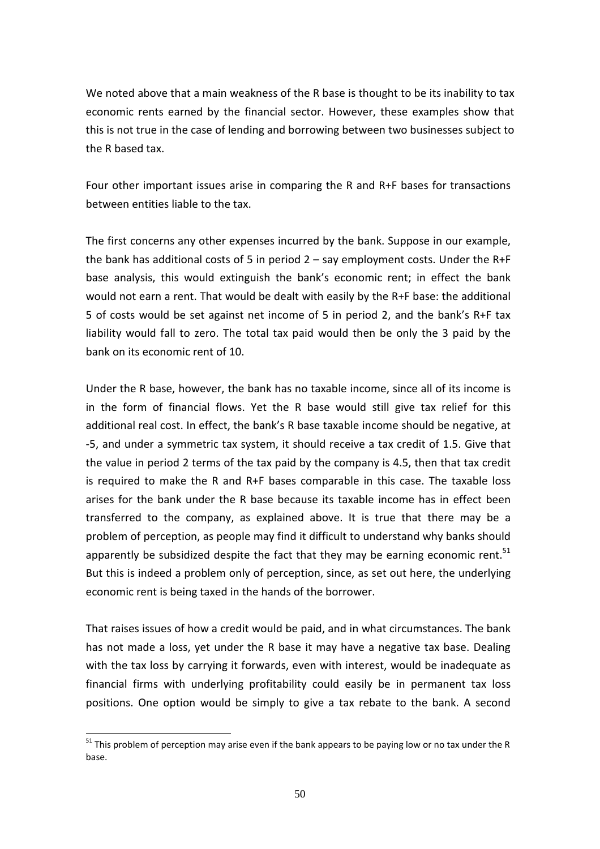We noted above that a main weakness of the R base is thought to be its inability to tax economic rents earned by the financial sector. However, these examples show that this is not true in the case of lending and borrowing between two businesses subject to the R based tax.

Four other important issues arise in comparing the R and R+F bases for transactions between entities liable to the tax.

The first concerns any other expenses incurred by the bank. Suppose in our example, the bank has additional costs of 5 in period  $2 - say$  employment costs. Under the R+F base analysis, this would extinguish the bank's economic rent; in effect the bank would not earn a rent. That would be dealt with easily by the R+F base: the additional 5 of costs would be set against net income of 5 in period 2, and the bank's R+F tax liability would fall to zero. The total tax paid would then be only the 3 paid by the bank on its economic rent of 10.

Under the R base, however, the bank has no taxable income, since all of its income is in the form of financial flows. Yet the R base would still give tax relief for this additional real cost. In effect, the bank's R base taxable income should be negative, at -5, and under a symmetric tax system, it should receive a tax credit of 1.5. Give that the value in period 2 terms of the tax paid by the company is 4.5, then that tax credit is required to make the R and R+F bases comparable in this case. The taxable loss arises for the bank under the R base because its taxable income has in effect been transferred to the company, as explained above. It is true that there may be a problem of perception, as people may find it difficult to understand why banks should apparently be subsidized despite the fact that they may be earning economic rent. $51$ But this is indeed a problem only of perception, since, as set out here, the underlying economic rent is being taxed in the hands of the borrower.

That raises issues of how a credit would be paid, and in what circumstances. The bank has not made a loss, yet under the R base it may have a negative tax base. Dealing with the tax loss by carrying it forwards, even with interest, would be inadequate as financial firms with underlying profitability could easily be in permanent tax loss positions. One option would be simply to give a tax rebate to the bank. A second

 $51$  This problem of perception may arise even if the bank appears to be paying low or no tax under the R base.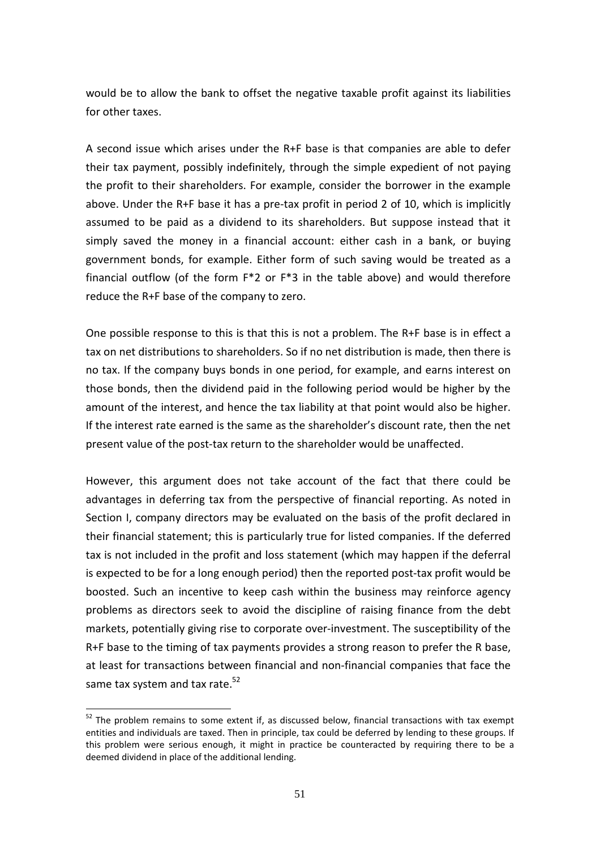would be to allow the bank to offset the negative taxable profit against its liabilities for other taxes.

A second issue which arises under the R+F base is that companies are able to defer their tax payment, possibly indefinitely, through the simple expedient of not paying the profit to their shareholders. For example, consider the borrower in the example above. Under the R+F base it has a pre-tax profit in period 2 of 10, which is implicitly assumed to be paid as a dividend to its shareholders. But suppose instead that it simply saved the money in a financial account: either cash in a bank, or buying government bonds, for example. Either form of such saving would be treated as a financial outflow (of the form F\*2 or F\*3 in the table above) and would therefore reduce the R+F base of the company to zero.

One possible response to this is that this is not a problem. The R+F base is in effect a tax on net distributions to shareholders. So if no net distribution is made, then there is no tax. If the company buys bonds in one period, for example, and earns interest on those bonds, then the dividend paid in the following period would be higher by the amount of the interest, and hence the tax liability at that point would also be higher. If the interest rate earned is the same as the shareholder's discount rate, then the net present value of the post-tax return to the shareholder would be unaffected.

However, this argument does not take account of the fact that there could be advantages in deferring tax from the perspective of financial reporting. As noted in Section I, company directors may be evaluated on the basis of the profit declared in their financial statement; this is particularly true for listed companies. If the deferred tax is not included in the profit and loss statement (which may happen if the deferral is expected to be for a long enough period) then the reported post-tax profit would be boosted. Such an incentive to keep cash within the business may reinforce agency problems as directors seek to avoid the discipline of raising finance from the debt markets, potentially giving rise to corporate over-investment. The susceptibility of the R+F base to the timing of tax payments provides a strong reason to prefer the R base, at least for transactions between financial and non-financial companies that face the same tax system and tax rate. $52$ 

 $52$  The problem remains to some extent if, as discussed below, financial transactions with tax exempt entities and individuals are taxed. Then in principle, tax could be deferred by lending to these groups. If this problem were serious enough, it might in practice be counteracted by requiring there to be a deemed dividend in place of the additional lending.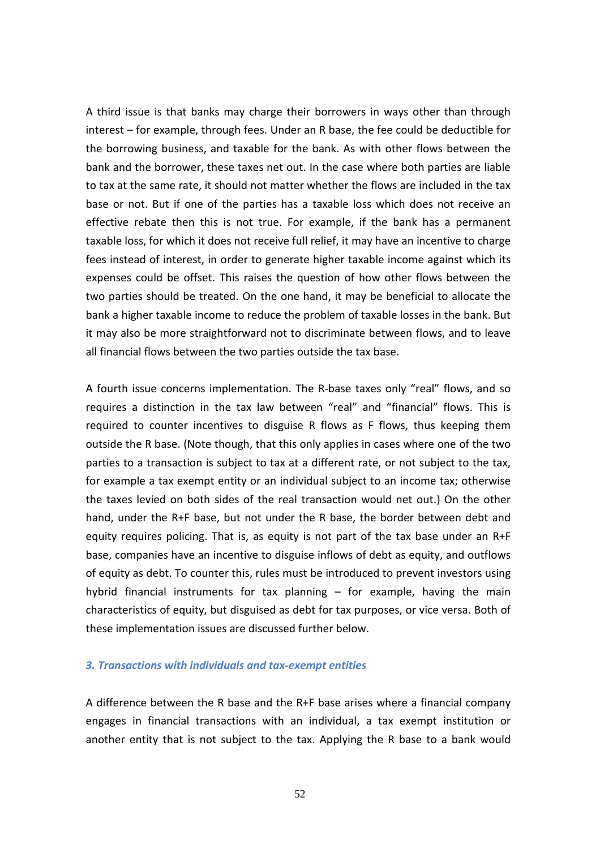A third issue is that banks may charge their borrowers in ways other than through interest – for example, through fees. Under an R base, the fee could be deductible for the borrowing business, and taxable for the bank. As with other flows between the bank and the borrower, these taxes net out. In the case where both parties are liable to tax at the same rate, it should not matter whether the flows are included in the tax base or not. But if one of the parties has a taxable loss which does not receive an effective rebate then this is not true. For example, if the bank has a permanent taxable loss, for which it does not receive full relief, it may have an incentive to charge fees instead of interest, in order to generate higher taxable income against which its expenses could be offset. This raises the question of how other flows between the two parties should be treated. On the one hand, it may be beneficial to allocate the bank a higher taxable income to reduce the problem of taxable losses in the bank. But it may also be more straightforward not to discriminate between flows, and to leave all financial flows between the two parties outside the tax base.

A fourth issue concerns implementation. The R-base taxes only "real" flows, and so requires a distinction in the tax law between "real" and "financial" flows. This is required to counter incentives to disguise R flows as F flows, thus keeping them outside the R base. (Note though, that this only applies in cases where one of the two parties to a transaction is subject to tax at a different rate, or not subject to the tax, for example a tax exempt entity or an individual subject to an income tax; otherwise the taxes levied on both sides of the real transaction would net out.) On the other hand, under the R+F base, but not under the R base, the border between debt and equity requires policing. That is, as equity is not part of the tax base under an  $R+F$ base, companies have an incentive to disguise inflows of debt as equity, and outflows of equity as debt. To counter this, rules must be introduced to prevent investors using hybrid financial instruments for tax planning – for example, having the main characteristics of equity, but disguised as debt for tax purposes, or vice versa. Both of these implementation issues are discussed further below.

#### *3. Transactions with individuals and tax-exempt entities*

A difference between the R base and the R+F base arises where a financial company engages in financial transactions with an individual, a tax exempt institution or another entity that is not subject to the tax. Applying the R base to a bank would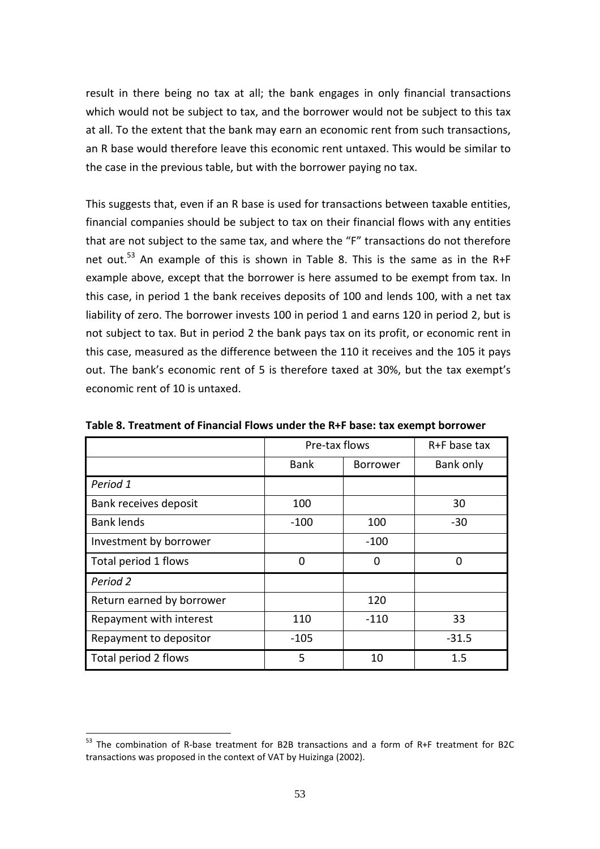result in there being no tax at all; the bank engages in only financial transactions which would not be subject to tax, and the borrower would not be subject to this tax at all. To the extent that the bank may earn an economic rent from such transactions, an R base would therefore leave this economic rent untaxed. This would be similar to the case in the previous table, but with the borrower paying no tax.

This suggests that, even if an R base is used for transactions between taxable entities, financial companies should be subject to tax on their financial flows with any entities that are not subject to the same tax, and where the "F" transactions do not therefore net out.<sup>53</sup> An example of this is shown in Table 8. This is the same as in the R+F example above, except that the borrower is here assumed to be exempt from tax. In this case, in period 1 the bank receives deposits of 100 and lends 100, with a net tax liability of zero. The borrower invests 100 in period 1 and earns 120 in period 2, but is not subject to tax. But in period 2 the bank pays tax on its profit, or economic rent in this case, measured as the difference between the 110 it receives and the 105 it pays out. The bank's economic rent of 5 is therefore taxed at 30%, but the tax exempt's economic rent of 10 is untaxed.

|                           | Pre-tax flows | $R + F$ base tax |           |
|---------------------------|---------------|------------------|-----------|
|                           | <b>Bank</b>   | <b>Borrower</b>  | Bank only |
| Period 1                  |               |                  |           |
| Bank receives deposit     | 100           |                  | 30        |
| <b>Bank lends</b>         | $-100$        | 100              | $-30$     |
| Investment by borrower    |               | $-100$           |           |
| Total period 1 flows      | $\Omega$      | 0                | 0         |
| Period 2                  |               |                  |           |
| Return earned by borrower |               | 120              |           |
| Repayment with interest   | 110           | $-110$           | 33        |
| Repayment to depositor    | $-105$        |                  | $-31.5$   |
| Total period 2 flows      | 5             | 10               | 1.5       |

**Table 8. Treatment of Financial Flows under the R+F base: tax exempt borrower**

<sup>&</sup>lt;sup>53</sup> The combination of R-base treatment for B2B transactions and a form of R+F treatment for B2C transactions was proposed in the context of VAT by Huizinga (2002).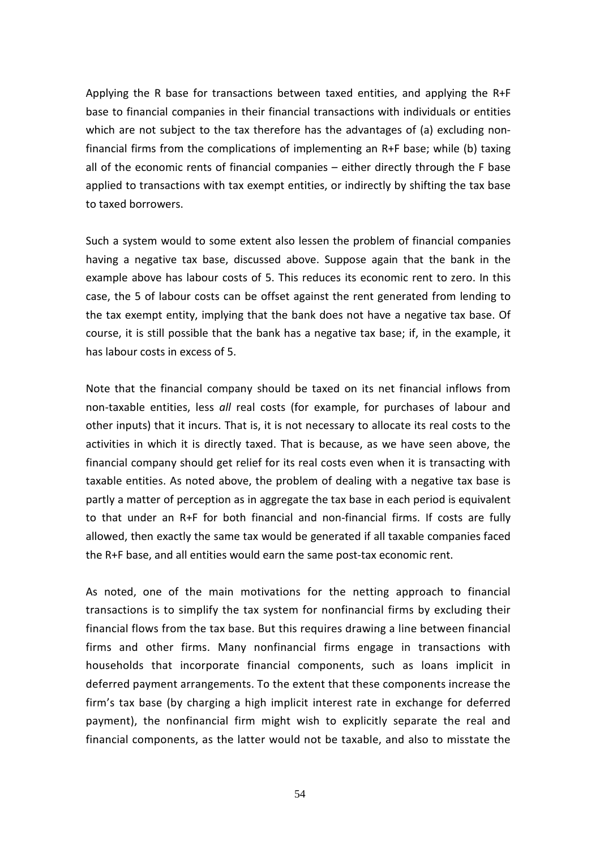Applying the R base for transactions between taxed entities, and applying the R+F base to financial companies in their financial transactions with individuals or entities which are not subject to the tax therefore has the advantages of (a) excluding nonfinancial firms from the complications of implementing an R+F base; while (b) taxing all of the economic rents of financial companies – either directly through the F base applied to transactions with tax exempt entities, or indirectly by shifting the tax base to taxed borrowers.

Such a system would to some extent also lessen the problem of financial companies having a negative tax base, discussed above. Suppose again that the bank in the example above has labour costs of 5. This reduces its economic rent to zero. In this case, the 5 of labour costs can be offset against the rent generated from lending to the tax exempt entity, implying that the bank does not have a negative tax base. Of course, it is still possible that the bank has a negative tax base; if, in the example, it has labour costs in excess of 5.

Note that the financial company should be taxed on its net financial inflows from non-taxable entities, less *all* real costs (for example, for purchases of labour and other inputs) that it incurs. That is, it is not necessary to allocate its real costs to the activities in which it is directly taxed. That is because, as we have seen above, the financial company should get relief for its real costs even when it is transacting with taxable entities. As noted above, the problem of dealing with a negative tax base is partly a matter of perception as in aggregate the tax base in each period is equivalent to that under an R+F for both financial and non-financial firms. If costs are fully allowed, then exactly the same tax would be generated if all taxable companies faced the R+F base, and all entities would earn the same post-tax economic rent.

As noted, one of the main motivations for the netting approach to financial transactions is to simplify the tax system for nonfinancial firms by excluding their financial flows from the tax base. But this requires drawing a line between financial firms and other firms. Many nonfinancial firms engage in transactions with households that incorporate financial components, such as loans implicit in deferred payment arrangements. To the extent that these components increase the firm's tax base (by charging a high implicit interest rate in exchange for deferred payment), the nonfinancial firm might wish to explicitly separate the real and financial components, as the latter would not be taxable, and also to misstate the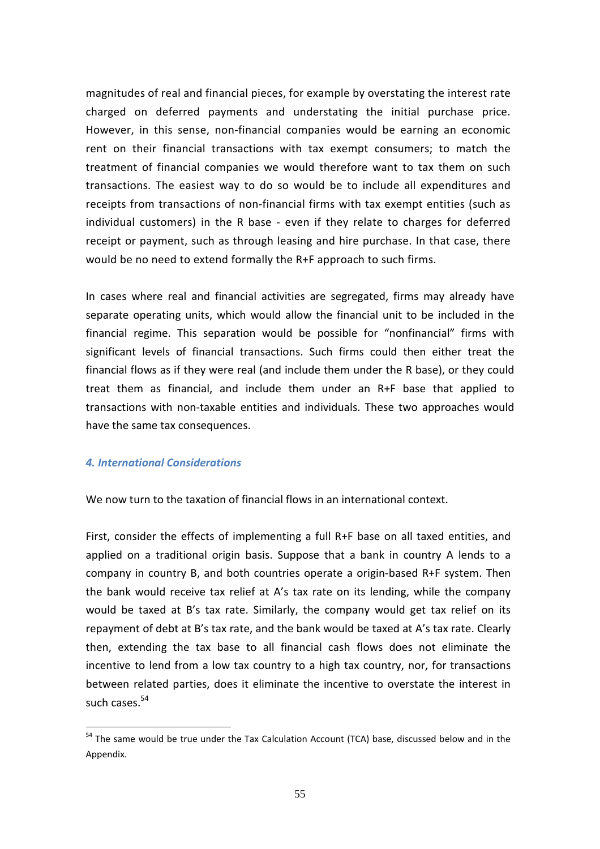magnitudes of real and financial pieces, for example by overstating the interest rate charged on deferred payments and understating the initial purchase price. However, in this sense, non-financial companies would be earning an economic rent on their financial transactions with tax exempt consumers; to match the treatment of financial companies we would therefore want to tax them on such transactions. The easiest way to do so would be to include all expenditures and receipts from transactions of non-financial firms with tax exempt entities (such as individual customers) in the R base - even if they relate to charges for deferred receipt or payment, such as through leasing and hire purchase. In that case, there would be no need to extend formally the R+F approach to such firms.

In cases where real and financial activities are segregated, firms may already have separate operating units, which would allow the financial unit to be included in the financial regime. This separation would be possible for "nonfinancial" firms with significant levels of financial transactions. Such firms could then either treat the financial flows as if they were real (and include them under the R base), or they could treat them as financial, and include them under an R+F base that applied to transactions with non-taxable entities and individuals. These two approaches would have the same tax consequences.

# *4. International Considerations*

We now turn to the taxation of financial flows in an international context.

First, consider the effects of implementing a full R+F base on all taxed entities, and applied on a traditional origin basis. Suppose that a bank in country A lends to a company in country B, and both countries operate a origin-based R+F system. Then the bank would receive tax relief at A's tax rate on its lending, while the company would be taxed at B's tax rate. Similarly, the company would get tax relief on its repayment of debt at B's tax rate, and the bank would be taxed at A's tax rate. Clearly then, extending the tax base to all financial cash flows does not eliminate the incentive to lend from a low tax country to a high tax country, nor, for transactions between related parties, does it eliminate the incentive to overstate the interest in such cases  $54$ 

<sup>&</sup>lt;sup>54</sup> The same would be true under the Tax Calculation Account (TCA) base, discussed below and in the Appendix.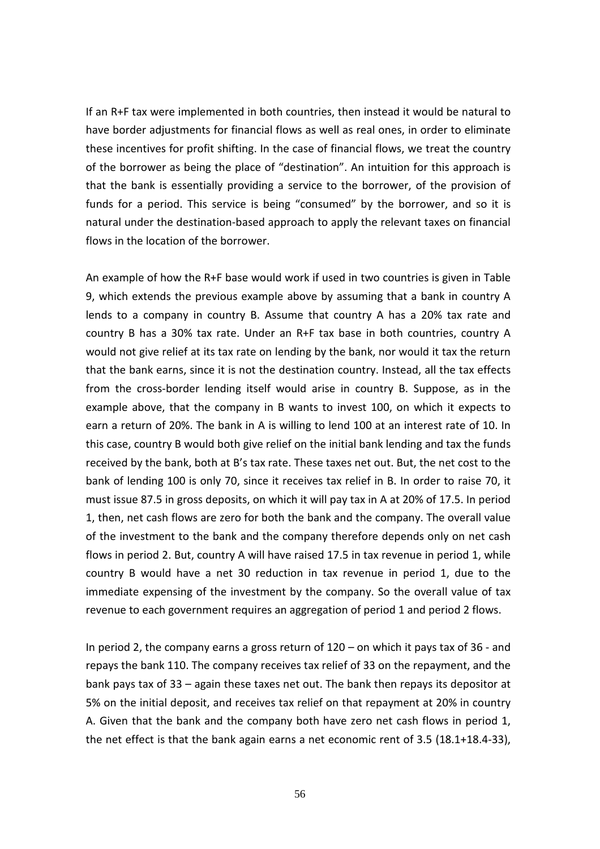If an R+F tax were implemented in both countries, then instead it would be natural to have border adjustments for financial flows as well as real ones, in order to eliminate these incentives for profit shifting. In the case of financial flows, we treat the country of the borrower as being the place of "destination". An intuition for this approach is that the bank is essentially providing a service to the borrower, of the provision of funds for a period. This service is being "consumed" by the borrower, and so it is natural under the destination-based approach to apply the relevant taxes on financial flows in the location of the borrower.

An example of how the R+F base would work if used in two countries is given in Table 9, which extends the previous example above by assuming that a bank in country A lends to a company in country B. Assume that country A has a 20% tax rate and country B has a 30% tax rate. Under an R+F tax base in both countries, country A would not give relief at its tax rate on lending by the bank, nor would it tax the return that the bank earns, since it is not the destination country. Instead, all the tax effects from the cross-border lending itself would arise in country B. Suppose, as in the example above, that the company in B wants to invest 100, on which it expects to earn a return of 20%. The bank in A is willing to lend 100 at an interest rate of 10. In this case, country B would both give relief on the initial bank lending and tax the funds received by the bank, both at B's tax rate. These taxes net out. But, the net cost to the bank of lending 100 is only 70, since it receives tax relief in B. In order to raise 70, it must issue 87.5 in gross deposits, on which it will pay tax in A at 20% of 17.5. In period 1, then, net cash flows are zero for both the bank and the company. The overall value of the investment to the bank and the company therefore depends only on net cash flows in period 2. But, country A will have raised 17.5 in tax revenue in period 1, while country B would have a net 30 reduction in tax revenue in period 1, due to the immediate expensing of the investment by the company. So the overall value of tax revenue to each government requires an aggregation of period 1 and period 2 flows.

In period 2, the company earns a gross return of 120 – on which it pays tax of 36 - and repays the bank 110. The company receives tax relief of 33 on the repayment, and the bank pays tax of 33 – again these taxes net out. The bank then repays its depositor at 5% on the initial deposit, and receives tax relief on that repayment at 20% in country A. Given that the bank and the company both have zero net cash flows in period 1, the net effect is that the bank again earns a net economic rent of 3.5 (18.1+18.4-33),

56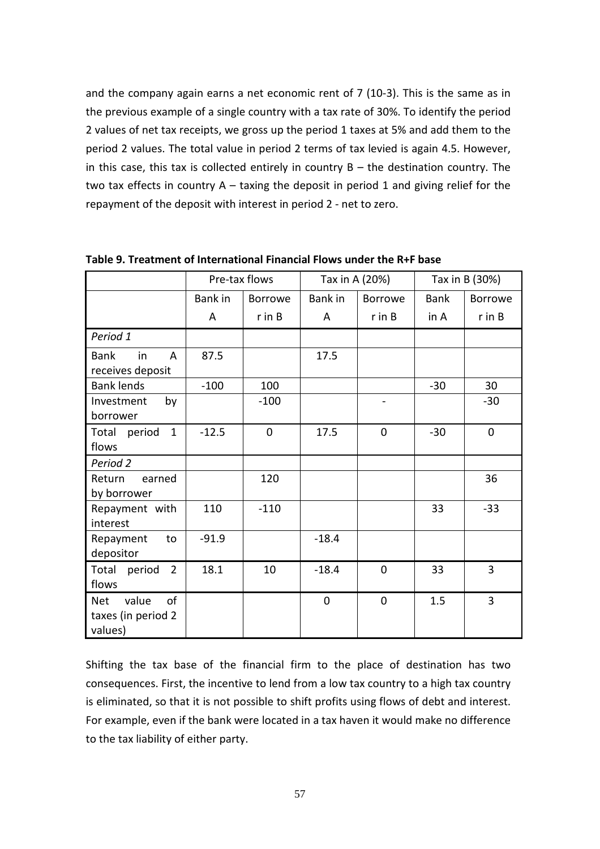and the company again earns a net economic rent of 7 (10-3). This is the same as in the previous example of a single country with a tax rate of 30%. To identify the period 2 values of net tax receipts, we gross up the period 1 taxes at 5% and add them to the period 2 values. The total value in period 2 terms of tax levied is again 4.5. However, in this case, this tax is collected entirely in country  $B -$  the destination country. The two tax effects in country  $A -$  taxing the deposit in period 1 and giving relief for the repayment of the deposit with interest in period 2 - net to zero.

|                                                            | Pre-tax flows |                | Tax in A (20%) |                              | Tax in B (30%) |                |
|------------------------------------------------------------|---------------|----------------|----------------|------------------------------|----------------|----------------|
|                                                            | Bank in       | <b>Borrowe</b> | <b>Bank</b> in | <b>Borrowe</b>               | <b>Bank</b>    | <b>Borrowe</b> |
|                                                            | A             | $r$ in $B$     | A              | $r$ in $B$                   | in A           | r in B         |
| Period 1                                                   |               |                |                |                              |                |                |
| <b>Bank</b><br>in<br>$\mathsf{A}$<br>receives deposit      | 87.5          |                | 17.5           |                              |                |                |
| <b>Bank lends</b>                                          | $-100$        | 100            |                |                              | $-30$          | 30             |
| by<br>Investment<br>borrower                               |               | $-100$         |                | $\qquad \qquad \blacksquare$ |                | $-30$          |
| Total<br>period<br>$\mathbf{1}$<br>flows                   | $-12.5$       | $\mathbf 0$    | 17.5           | 0                            | $-30$          | $\mathbf 0$    |
| Period 2                                                   |               |                |                |                              |                |                |
| Return<br>earned<br>by borrower                            |               | 120            |                |                              |                | 36             |
| Repayment with<br>interest                                 | 110           | $-110$         |                |                              | 33             | $-33$          |
| Repayment<br>to<br>depositor                               | $-91.9$       |                | $-18.4$        |                              |                |                |
| Total<br>period<br>$\overline{2}$<br>flows                 | 18.1          | 10             | $-18.4$        | $\overline{0}$               | 33             | $\overline{3}$ |
| of<br>value<br><b>Net</b><br>taxes (in period 2<br>values) |               |                | $\overline{0}$ | $\overline{0}$               | 1.5            | $\overline{3}$ |

**Table 9. Treatment of International Financial Flows under the R+F base**

Shifting the tax base of the financial firm to the place of destination has two consequences. First, the incentive to lend from a low tax country to a high tax country is eliminated, so that it is not possible to shift profits using flows of debt and interest. For example, even if the bank were located in a tax haven it would make no difference to the tax liability of either party.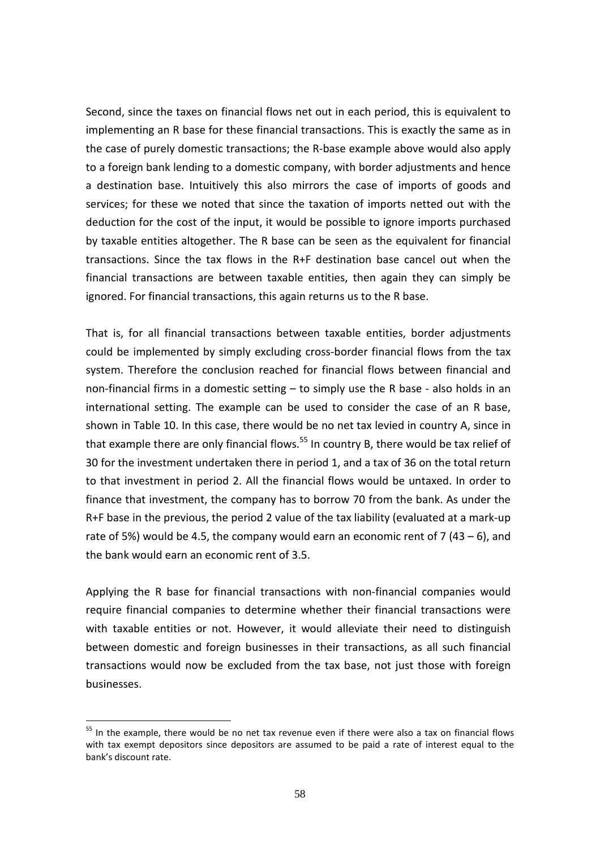Second, since the taxes on financial flows net out in each period, this is equivalent to implementing an R base for these financial transactions. This is exactly the same as in the case of purely domestic transactions; the R-base example above would also apply to a foreign bank lending to a domestic company, with border adjustments and hence a destination base. Intuitively this also mirrors the case of imports of goods and services; for these we noted that since the taxation of imports netted out with the deduction for the cost of the input, it would be possible to ignore imports purchased by taxable entities altogether. The R base can be seen as the equivalent for financial transactions. Since the tax flows in the R+F destination base cancel out when the financial transactions are between taxable entities, then again they can simply be ignored. For financial transactions, this again returns us to the R base.

That is, for all financial transactions between taxable entities, border adjustments could be implemented by simply excluding cross-border financial flows from the tax system. Therefore the conclusion reached for financial flows between financial and non-financial firms in a domestic setting – to simply use the R base - also holds in an international setting. The example can be used to consider the case of an R base, shown in Table 10. In this case, there would be no net tax levied in country A, since in that example there are only financial flows.<sup>55</sup> In country B, there would be tax relief of 30 for the investment undertaken there in period 1, and a tax of 36 on the total return to that investment in period 2. All the financial flows would be untaxed. In order to finance that investment, the company has to borrow 70 from the bank. As under the R+F base in the previous, the period 2 value of the tax liability (evaluated at a mark-up rate of 5%) would be 4.5, the company would earn an economic rent of 7 (43  $-$  6), and the bank would earn an economic rent of 3.5.

Applying the R base for financial transactions with non-financial companies would require financial companies to determine whether their financial transactions were with taxable entities or not. However, it would alleviate their need to distinguish between domestic and foreign businesses in their transactions, as all such financial transactions would now be excluded from the tax base, not just those with foreign businesses.

<sup>&</sup>lt;sup>55</sup> In the example, there would be no net tax revenue even if there were also a tax on financial flows with tax exempt depositors since depositors are assumed to be paid a rate of interest equal to the bank's discount rate.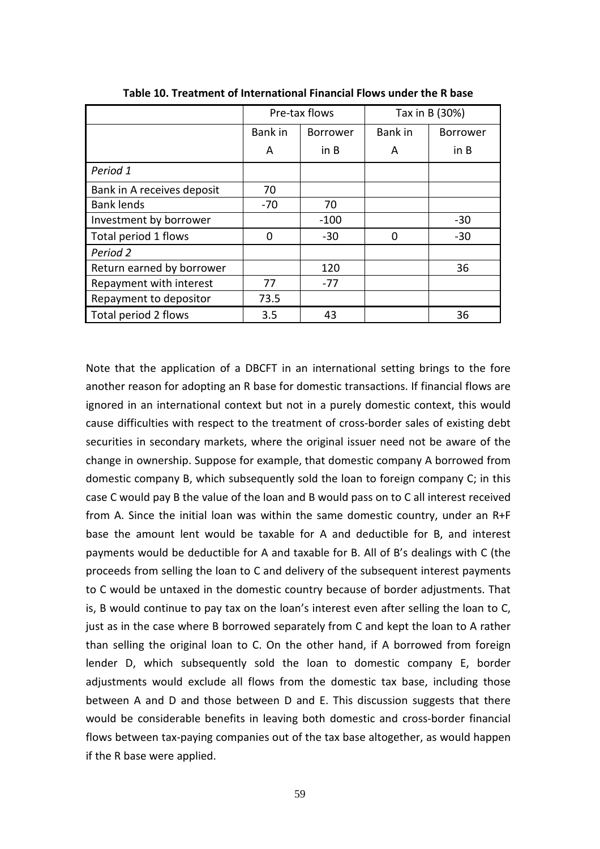|                            | Pre-tax flows |                 |          | Tax in B (30%)  |
|----------------------------|---------------|-----------------|----------|-----------------|
|                            | Bank in       | <b>Borrower</b> | Bank in  | <b>Borrower</b> |
|                            | A             | in B            | A        | in B            |
| Period 1                   |               |                 |          |                 |
| Bank in A receives deposit | 70            |                 |          |                 |
| <b>Bank lends</b>          | $-70$         | 70              |          |                 |
| Investment by borrower     |               | $-100$          |          | $-30$           |
| Total period 1 flows       | $\Omega$      | $-30$           | $\Omega$ | $-30$           |
| Period 2                   |               |                 |          |                 |
| Return earned by borrower  |               | 120             |          | 36              |
| Repayment with interest    | 77            | $-77$           |          |                 |
| Repayment to depositor     | 73.5          |                 |          |                 |
| Total period 2 flows       | 3.5           | 43              |          | 36              |

**Table 10. Treatment of International Financial Flows under the R base**

Note that the application of a DBCFT in an international setting brings to the fore another reason for adopting an R base for domestic transactions. If financial flows are ignored in an international context but not in a purely domestic context, this would cause difficulties with respect to the treatment of cross-border sales of existing debt securities in secondary markets, where the original issuer need not be aware of the change in ownership. Suppose for example, that domestic company A borrowed from domestic company B, which subsequently sold the loan to foreign company C; in this case C would pay B the value of the loan and B would pass on to C all interest received from A. Since the initial loan was within the same domestic country, under an R+F base the amount lent would be taxable for A and deductible for B, and interest payments would be deductible for A and taxable for B. All of B's dealings with C (the proceeds from selling the loan to C and delivery of the subsequent interest payments to C would be untaxed in the domestic country because of border adjustments. That is, B would continue to pay tax on the loan's interest even after selling the loan to C, just as in the case where B borrowed separately from C and kept the loan to A rather than selling the original loan to C. On the other hand, if A borrowed from foreign lender D, which subsequently sold the loan to domestic company E, border adjustments would exclude all flows from the domestic tax base, including those between A and D and those between D and E. This discussion suggests that there would be considerable benefits in leaving both domestic and cross-border financial flows between tax-paying companies out of the tax base altogether, as would happen if the R base were applied.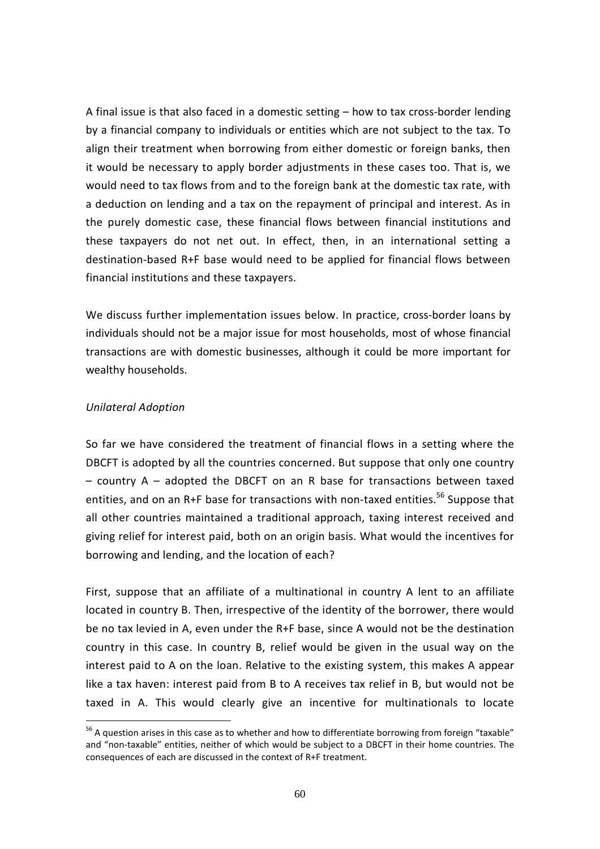A final issue is that also faced in a domestic setting – how to tax cross-border lending by a financial company to individuals or entities which are not subject to the tax. To align their treatment when borrowing from either domestic or foreign banks, then it would be necessary to apply border adjustments in these cases too. That is, we would need to tax flows from and to the foreign bank at the domestic tax rate, with a deduction on lending and a tax on the repayment of principal and interest. As in the purely domestic case, these financial flows between financial institutions and these taxpayers do not net out. In effect, then, in an international setting a destination-based R+F base would need to be applied for financial flows between financial institutions and these taxpayers.

We discuss further implementation issues below. In practice, cross-border loans by individuals should not be a major issue for most households, most of whose financial transactions are with domestic businesses, although it could be more important for wealthy households.

# *Unilateral Adoption*

So far we have considered the treatment of financial flows in a setting where the DBCFT is adopted by all the countries concerned. But suppose that only one country – country A – adopted the DBCFT on an R base for transactions between taxed entities, and on an R+F base for transactions with non-taxed entities.<sup>56</sup> Suppose that all other countries maintained a traditional approach, taxing interest received and giving relief for interest paid, both on an origin basis. What would the incentives for borrowing and lending, and the location of each?

First, suppose that an affiliate of a multinational in country A lent to an affiliate located in country B. Then, irrespective of the identity of the borrower, there would be no tax levied in A, even under the R+F base, since A would not be the destination country in this case. In country B, relief would be given in the usual way on the interest paid to A on the loan. Relative to the existing system, this makes A appear like a tax haven: interest paid from B to A receives tax relief in B, but would not be taxed in A. This would clearly give an incentive for multinationals to locate

<sup>&</sup>lt;sup>56</sup> A question arises in this case as to whether and how to differentiate borrowing from foreign "taxable" and "non-taxable" entities, neither of which would be subject to a DBCFT in their home countries. The consequences of each are discussed in the context of R+F treatment.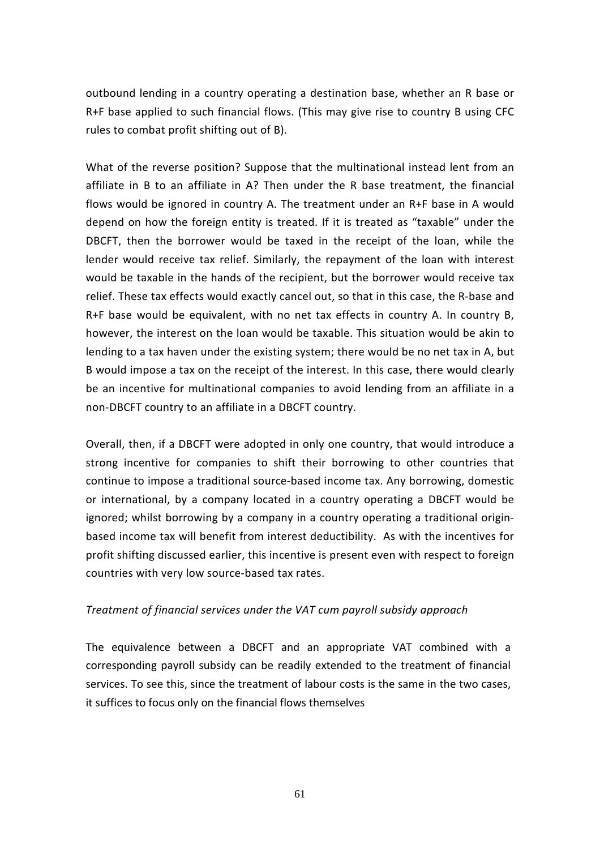outbound lending in a country operating a destination base, whether an R base or R+F base applied to such financial flows. (This may give rise to country B using CFC rules to combat profit shifting out of B).

What of the reverse position? Suppose that the multinational instead lent from an affiliate in B to an affiliate in A? Then under the R base treatment, the financial flows would be ignored in country A. The treatment under an R+F base in A would depend on how the foreign entity is treated. If it is treated as "taxable" under the DBCFT, then the borrower would be taxed in the receipt of the loan, while the lender would receive tax relief. Similarly, the repayment of the loan with interest would be taxable in the hands of the recipient, but the borrower would receive tax relief. These tax effects would exactly cancel out, so that in this case, the R-base and R+F base would be equivalent, with no net tax effects in country A. In country B, however, the interest on the loan would be taxable. This situation would be akin to lending to a tax haven under the existing system; there would be no net tax in A, but B would impose a tax on the receipt of the interest. In this case, there would clearly be an incentive for multinational companies to avoid lending from an affiliate in a non-DBCFT country to an affiliate in a DBCFT country.

Overall, then, if a DBCFT were adopted in only one country, that would introduce a strong incentive for companies to shift their borrowing to other countries that continue to impose a traditional source-based income tax. Any borrowing, domestic or international, by a company located in a country operating a DBCFT would be ignored; whilst borrowing by a company in a country operating a traditional originbased income tax will benefit from interest deductibility. As with the incentives for profit shifting discussed earlier, this incentive is present even with respect to foreign countries with very low source-based tax rates.

# *Treatment of financial services under the VAT cum payroll subsidy approach*

The equivalence between a DBCFT and an appropriate VAT combined with a corresponding payroll subsidy can be readily extended to the treatment of financial services. To see this, since the treatment of labour costs is the same in the two cases, it suffices to focus only on the financial flows themselves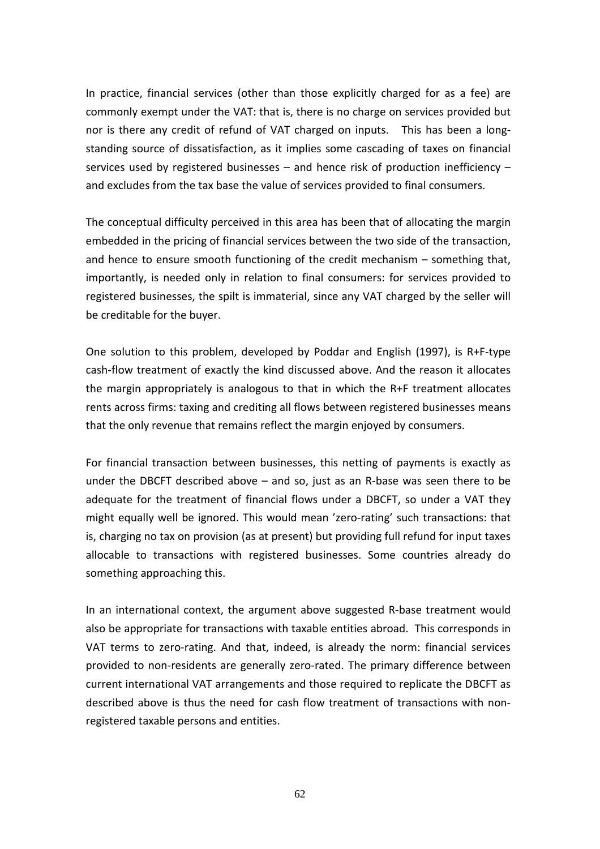In practice, financial services (other than those explicitly charged for as a fee) are commonly exempt under the VAT: that is, there is no charge on services provided but nor is there any credit of refund of VAT charged on inputs. This has been a longstanding source of dissatisfaction, as it implies some cascading of taxes on financial services used by registered businesses – and hence risk of production inefficiency – and excludes from the tax base the value of services provided to final consumers.

The conceptual difficulty perceived in this area has been that of allocating the margin embedded in the pricing of financial services between the two side of the transaction, and hence to ensure smooth functioning of the credit mechanism – something that, importantly, is needed only in relation to final consumers: for services provided to registered businesses, the spilt is immaterial, since any VAT charged by the seller will be creditable for the buyer.

One solution to this problem, developed by Poddar and English (1997), is R+F-type cash-flow treatment of exactly the kind discussed above. And the reason it allocates the margin appropriately is analogous to that in which the R+F treatment allocates rents across firms: taxing and crediting all flows between registered businesses means that the only revenue that remains reflect the margin enjoyed by consumers.

For financial transaction between businesses, this netting of payments is exactly as under the DBCFT described above – and so, just as an R-base was seen there to be adequate for the treatment of financial flows under a DBCFT, so under a VAT they might equally well be ignored. This would mean 'zero-rating' such transactions: that is, charging no tax on provision (as at present) but providing full refund for input taxes allocable to transactions with registered businesses. Some countries already do something approaching this.

In an international context, the argument above suggested R-base treatment would also be appropriate for transactions with taxable entities abroad. This corresponds in VAT terms to zero-rating. And that, indeed, is already the norm: financial services provided to non-residents are generally zero-rated. The primary difference between current international VAT arrangements and those required to replicate the DBCFT as described above is thus the need for cash flow treatment of transactions with nonregistered taxable persons and entities.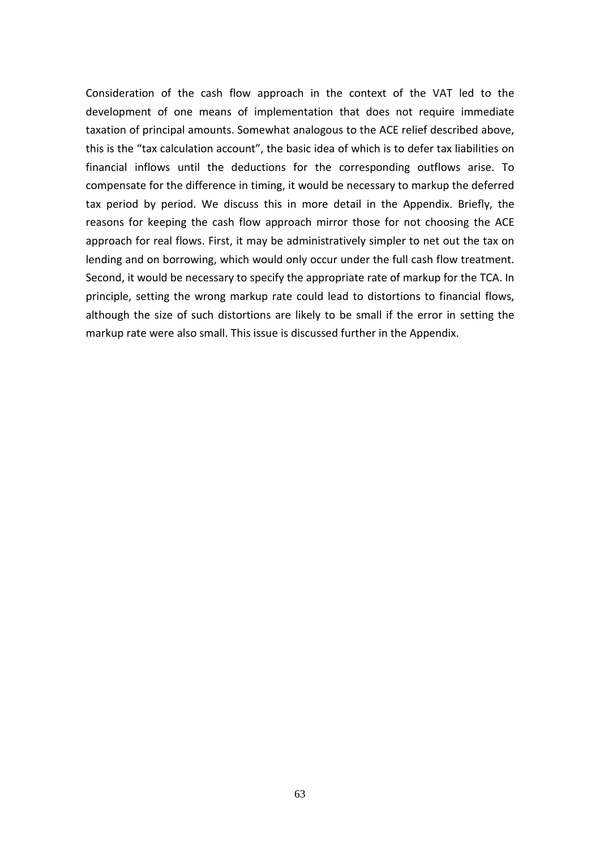Consideration of the cash flow approach in the context of the VAT led to the development of one means of implementation that does not require immediate taxation of principal amounts. Somewhat analogous to the ACE relief described above, this is the "tax calculation account", the basic idea of which is to defer tax liabilities on financial inflows until the deductions for the corresponding outflows arise. To compensate for the difference in timing, it would be necessary to markup the deferred tax period by period. We discuss this in more detail in the Appendix. Briefly, the reasons for keeping the cash flow approach mirror those for not choosing the ACE approach for real flows. First, it may be administratively simpler to net out the tax on lending and on borrowing, which would only occur under the full cash flow treatment. Second, it would be necessary to specify the appropriate rate of markup for the TCA. In principle, setting the wrong markup rate could lead to distortions to financial flows, although the size of such distortions are likely to be small if the error in setting the markup rate were also small. This issue is discussed further in the Appendix.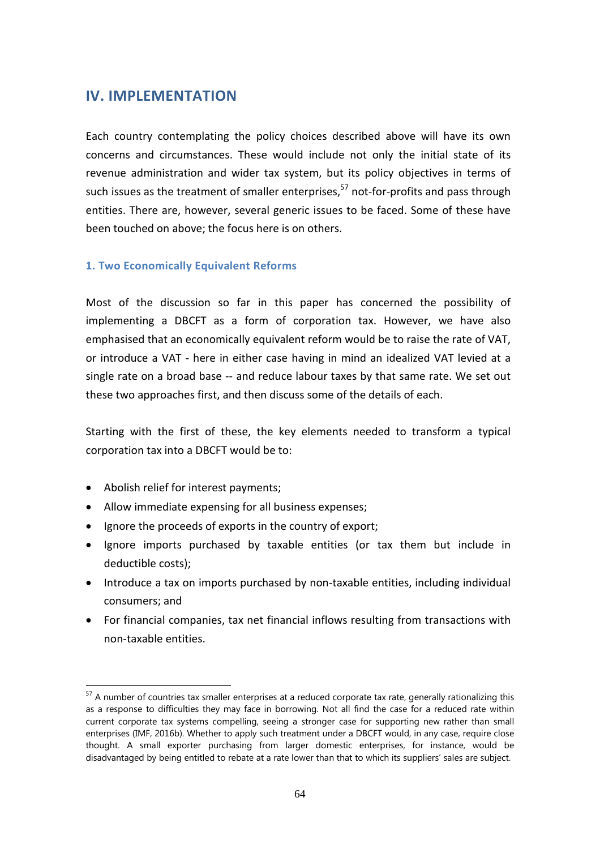# **IV. IMPLEMENTATION**

Each country contemplating the policy choices described above will have its own concerns and circumstances. These would include not only the initial state of its revenue administration and wider tax system, but its policy objectives in terms of such issues as the treatment of smaller enterprises, $57$  not-for-profits and pass through entities. There are, however, several generic issues to be faced. Some of these have been touched on above; the focus here is on others.

# **1. Two Economically Equivalent Reforms**

Most of the discussion so far in this paper has concerned the possibility of implementing a DBCFT as a form of corporation tax. However, we have also emphasised that an economically equivalent reform would be to raise the rate of VAT, or introduce a VAT - here in either case having in mind an idealized VAT levied at a single rate on a broad base -- and reduce labour taxes by that same rate. We set out these two approaches first, and then discuss some of the details of each.

Starting with the first of these, the key elements needed to transform a typical corporation tax into a DBCFT would be to:

- Abolish relief for interest payments;
- Allow immediate expensing for all business expenses;
- Ignore the proceeds of exports in the country of export;
- Ignore imports purchased by taxable entities (or tax them but include in deductible costs);
- Introduce a tax on imports purchased by non-taxable entities, including individual consumers; and
- For financial companies, tax net financial inflows resulting from transactions with non-taxable entities.

 $57$  A number of countries tax smaller enterprises at a reduced corporate tax rate, generally rationalizing this as a response to difficulties they may face in borrowing. Not all find the case for a reduced rate within current corporate tax systems compelling, seeing a stronger case for supporting new rather than small enterprises (IMF, 2016b). Whether to apply such treatment under a DBCFT would, in any case, require close thought. A small exporter purchasing from larger domestic enterprises, for instance, would be disadvantaged by being entitled to rebate at a rate lower than that to which its suppliers' sales are subject.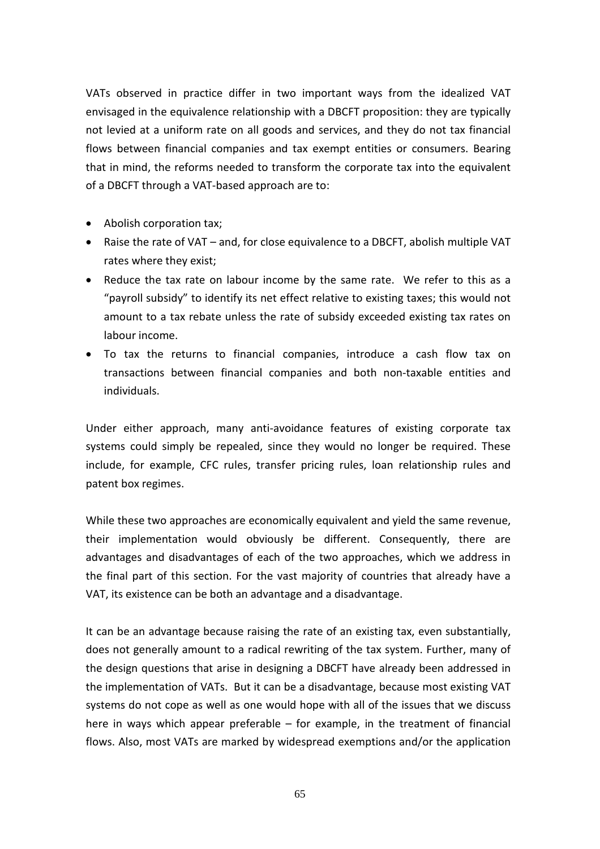VATs observed in practice differ in two important ways from the idealized VAT envisaged in the equivalence relationship with a DBCFT proposition: they are typically not levied at a uniform rate on all goods and services, and they do not tax financial flows between financial companies and tax exempt entities or consumers. Bearing that in mind, the reforms needed to transform the corporate tax into the equivalent of a DBCFT through a VAT-based approach are to:

- Abolish corporation tax;
- Raise the rate of VAT and, for close equivalence to a DBCFT, abolish multiple VAT rates where they exist;
- Reduce the tax rate on labour income by the same rate. We refer to this as a "payroll subsidy" to identify its net effect relative to existing taxes; this would not amount to a tax rebate unless the rate of subsidy exceeded existing tax rates on labour income.
- To tax the returns to financial companies, introduce a cash flow tax on transactions between financial companies and both non-taxable entities and individuals.

Under either approach, many anti-avoidance features of existing corporate tax systems could simply be repealed, since they would no longer be required. These include, for example, CFC rules, transfer pricing rules, loan relationship rules and patent box regimes.

While these two approaches are economically equivalent and yield the same revenue, their implementation would obviously be different. Consequently, there are advantages and disadvantages of each of the two approaches, which we address in the final part of this section. For the vast majority of countries that already have a VAT, its existence can be both an advantage and a disadvantage.

It can be an advantage because raising the rate of an existing tax, even substantially, does not generally amount to a radical rewriting of the tax system. Further, many of the design questions that arise in designing a DBCFT have already been addressed in the implementation of VATs. But it can be a disadvantage, because most existing VAT systems do not cope as well as one would hope with all of the issues that we discuss here in ways which appear preferable – for example, in the treatment of financial flows. Also, most VATs are marked by widespread exemptions and/or the application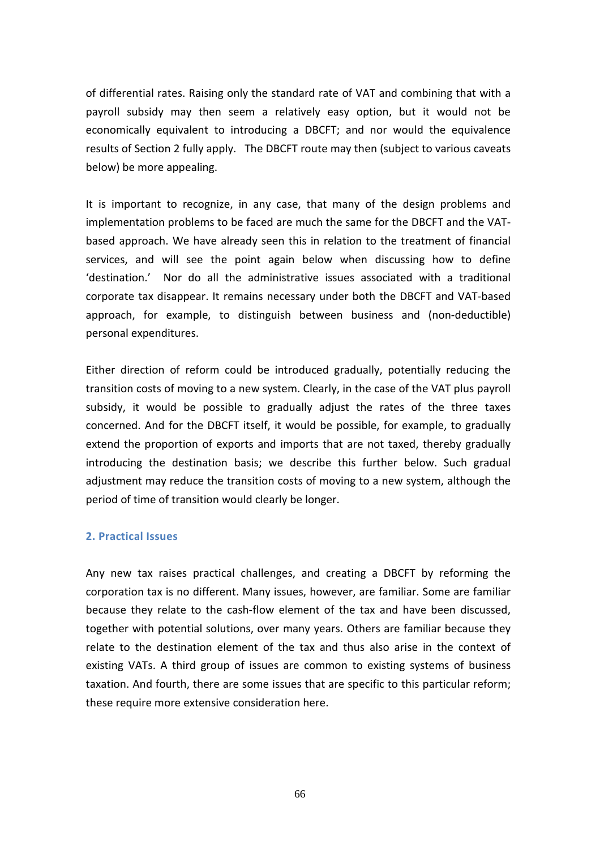of differential rates. Raising only the standard rate of VAT and combining that with a payroll subsidy may then seem a relatively easy option, but it would not be economically equivalent to introducing a DBCFT; and nor would the equivalence results of Section 2 fully apply. The DBCFT route may then (subject to various caveats below) be more appealing.

It is important to recognize, in any case, that many of the design problems and implementation problems to be faced are much the same for the DBCFT and the VATbased approach. We have already seen this in relation to the treatment of financial services, and will see the point again below when discussing how to define 'destination.' Nor do all the administrative issues associated with a traditional corporate tax disappear. It remains necessary under both the DBCFT and VAT-based approach, for example, to distinguish between business and (non-deductible) personal expenditures.

Either direction of reform could be introduced gradually, potentially reducing the transition costs of moving to a new system. Clearly, in the case of the VAT plus payroll subsidy, it would be possible to gradually adjust the rates of the three taxes concerned. And for the DBCFT itself, it would be possible, for example, to gradually extend the proportion of exports and imports that are not taxed, thereby gradually introducing the destination basis; we describe this further below. Such gradual adjustment may reduce the transition costs of moving to a new system, although the period of time of transition would clearly be longer.

## **2. Practical Issues**

Any new tax raises practical challenges, and creating a DBCFT by reforming the corporation tax is no different. Many issues, however, are familiar. Some are familiar because they relate to the cash-flow element of the tax and have been discussed, together with potential solutions, over many years. Others are familiar because they relate to the destination element of the tax and thus also arise in the context of existing VATs. A third group of issues are common to existing systems of business taxation. And fourth, there are some issues that are specific to this particular reform; these require more extensive consideration here.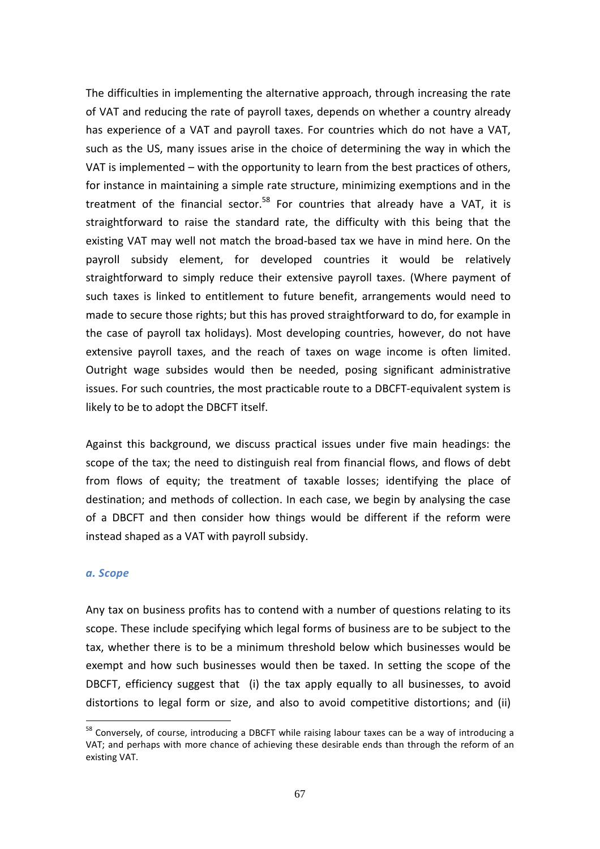The difficulties in implementing the alternative approach, through increasing the rate of VAT and reducing the rate of payroll taxes, depends on whether a country already has experience of a VAT and payroll taxes. For countries which do not have a VAT, such as the US, many issues arise in the choice of determining the way in which the VAT is implemented – with the opportunity to learn from the best practices of others, for instance in maintaining a simple rate structure, minimizing exemptions and in the treatment of the financial sector.<sup>58</sup> For countries that already have a VAT, it is straightforward to raise the standard rate, the difficulty with this being that the existing VAT may well not match the broad-based tax we have in mind here. On the payroll subsidy element, for developed countries it would be relatively straightforward to simply reduce their extensive payroll taxes. (Where payment of such taxes is linked to entitlement to future benefit, arrangements would need to made to secure those rights; but this has proved straightforward to do, for example in the case of payroll tax holidays). Most developing countries, however, do not have extensive payroll taxes, and the reach of taxes on wage income is often limited. Outright wage subsides would then be needed, posing significant administrative issues. For such countries, the most practicable route to a DBCFT-equivalent system is likely to be to adopt the DBCFT itself.

Against this background, we discuss practical issues under five main headings: the scope of the tax; the need to distinguish real from financial flows, and flows of debt from flows of equity; the treatment of taxable losses; identifying the place of destination; and methods of collection. In each case, we begin by analysing the case of a DBCFT and then consider how things would be different if the reform were instead shaped as a VAT with payroll subsidy.

#### *a. Scope*

Any tax on business profits has to contend with a number of questions relating to its scope. These include specifying which legal forms of business are to be subject to the tax, whether there is to be a minimum threshold below which businesses would be exempt and how such businesses would then be taxed. In setting the scope of the DBCFT, efficiency suggest that (i) the tax apply equally to all businesses, to avoid distortions to legal form or size, and also to avoid competitive distortions; and (ii)

<sup>&</sup>lt;sup>58</sup> Conversely, of course, introducing a DBCFT while raising labour taxes can be a way of introducing a VAT; and perhaps with more chance of achieving these desirable ends than through the reform of an existing VAT.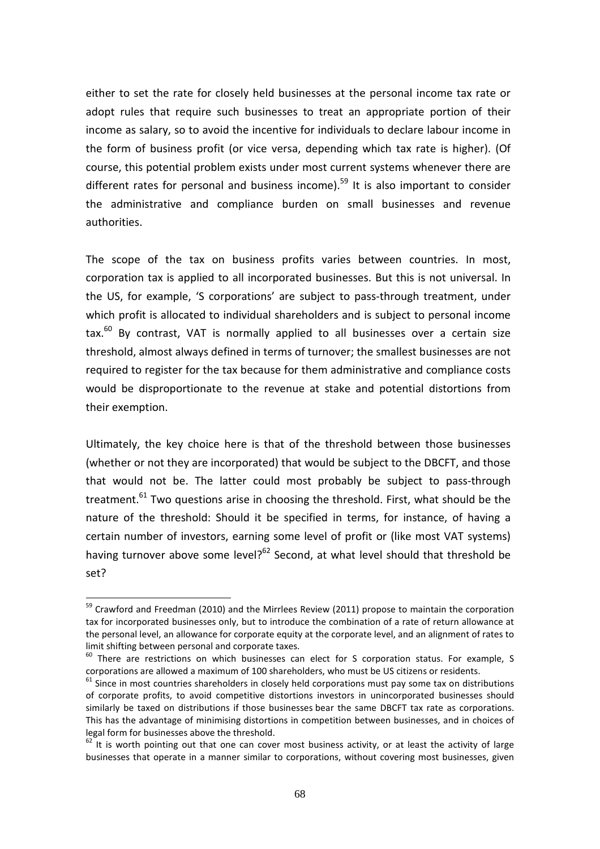either to set the rate for closely held businesses at the personal income tax rate or adopt rules that require such businesses to treat an appropriate portion of their income as salary, so to avoid the incentive for individuals to declare labour income in the form of business profit (or vice versa, depending which tax rate is higher). (Of course, this potential problem exists under most current systems whenever there are different rates for personal and business income).<sup>59</sup> It is also important to consider the administrative and compliance burden on small businesses and revenue authorities.

The scope of the tax on business profits varies between countries. In most, corporation tax is applied to all incorporated businesses. But this is not universal. In the US, for example, 'S corporations' are subject to pass-through treatment, under which profit is allocated to individual shareholders and is subject to personal income  $\text{tax.}^{60}$  By contrast, VAT is normally applied to all businesses over a certain size threshold, almost always defined in terms of turnover; the smallest businesses are not required to register for the tax because for them administrative and compliance costs would be disproportionate to the revenue at stake and potential distortions from their exemption.

Ultimately, the key choice here is that of the threshold between those businesses (whether or not they are incorporated) that would be subject to the DBCFT, and those that would not be. The latter could most probably be subject to pass-through treatment.<sup>61</sup> Two questions arise in choosing the threshold. First, what should be the nature of the threshold: Should it be specified in terms, for instance, of having a certain number of investors, earning some level of profit or (like most VAT systems) having turnover above some level?<sup>62</sup> Second, at what level should that threshold be set?

<sup>&</sup>lt;sup>59</sup> Crawford and Freedman (2010) and the Mirrlees Review (2011) propose to maintain the corporation tax for incorporated businesses only, but to introduce the combination of a rate of return allowance at the personal level, an allowance for corporate equity at the corporate level, and an alignment of rates to limit shifting between personal and corporate taxes.

<sup>&</sup>lt;sup>60</sup> There are restrictions on which businesses can elect for S corporation status. For example, S corporations are allowed a maximum of 100 shareholders, who must be US citizens or residents.

 $61$  Since in most countries shareholders in closely held corporations must pay some tax on distributions of corporate profits, to avoid competitive distortions investors in unincorporated businesses should similarly be taxed on distributions if those businesses bear the same DBCFT tax rate as corporations. This has the advantage of minimising distortions in competition between businesses, and in choices of legal form for businesses above the threshold.

 $62$  It is worth pointing out that one can cover most business activity, or at least the activity of large businesses that operate in a manner similar to corporations, without covering most businesses, given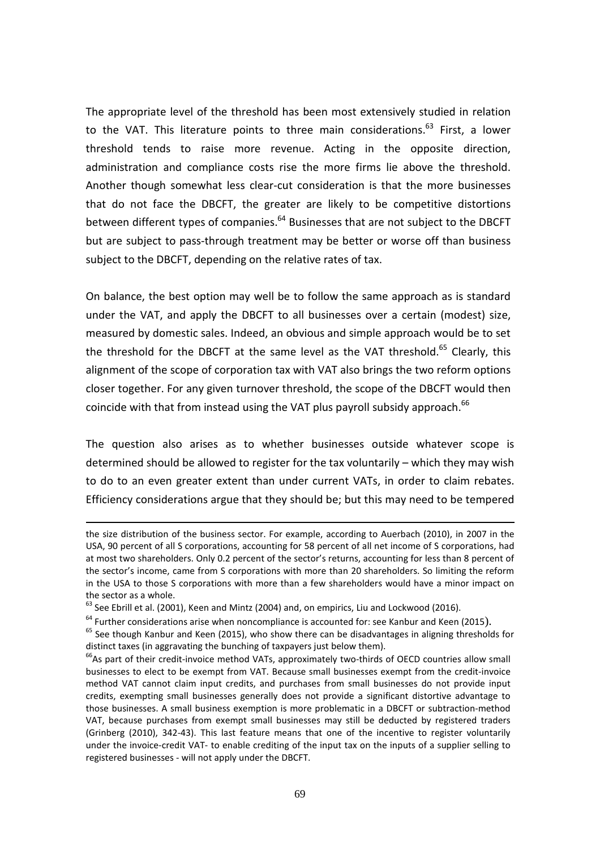The appropriate level of the threshold has been most extensively studied in relation to the VAT. This literature points to three main considerations.<sup>63</sup> First, a lower threshold tends to raise more revenue. Acting in the opposite direction, administration and compliance costs rise the more firms lie above the threshold. Another though somewhat less clear-cut consideration is that the more businesses that do not face the DBCFT, the greater are likely to be competitive distortions between different types of companies.<sup>64</sup> Businesses that are not subject to the DBCFT but are subject to pass-through treatment may be better or worse off than business subject to the DBCFT, depending on the relative rates of tax.

On balance, the best option may well be to follow the same approach as is standard under the VAT, and apply the DBCFT to all businesses over a certain (modest) size, measured by domestic sales. Indeed, an obvious and simple approach would be to set the threshold for the DBCFT at the same level as the VAT threshold.<sup>65</sup> Clearly, this alignment of the scope of corporation tax with VAT also brings the two reform options closer together. For any given turnover threshold, the scope of the DBCFT would then coincide with that from instead using the VAT plus payroll subsidy approach.<sup>66</sup>

The question also arises as to whether businesses outside whatever scope is determined should be allowed to register for the tax voluntarily – which they may wish to do to an even greater extent than under current VATs, in order to claim rebates. Efficiency considerations argue that they should be; but this may need to be tempered

the size distribution of the business sector. For example, according to Auerbach (2010), in 2007 in the USA, 90 percent of all S corporations, accounting for 58 percent of all net income of S corporations, had at most two shareholders. Only 0.2 percent of the sector's returns, accounting for less than 8 percent of the sector's income, came from S corporations with more than 20 shareholders. So limiting the reform in the USA to those S corporations with more than a few shareholders would have a minor impact on the sector as a whole.

 $<sup>63</sup>$  See Ebrill et al. (2001), Keen and Mintz (2004) and, on empirics, Liu and Lockwood (2016).</sup>

 $64$  Further considerations arise when noncompliance is accounted for: see Kanbur and Keen (2015).

 $65$  See though Kanbur and Keen (2015), who show there can be disadvantages in aligning thresholds for distinct taxes (in aggravating the bunching of taxpayers just below them).

 $^{66}$ As part of their credit-invoice method VATs, approximately two-thirds of OECD countries allow small businesses to elect to be exempt from VAT. Because small businesses exempt from the credit-invoice method VAT cannot claim input credits, and purchases from small businesses do not provide input credits, exempting small businesses generally does not provide a significant distortive advantage to those businesses. A small business exemption is more problematic in a DBCFT or subtraction-method VAT, because purchases from exempt small businesses may still be deducted by registered traders (Grinberg (2010), 342-43). This last feature means that one of the incentive to register voluntarily under the invoice-credit VAT- to enable crediting of the input tax on the inputs of a supplier selling to registered businesses - will not apply under the DBCFT.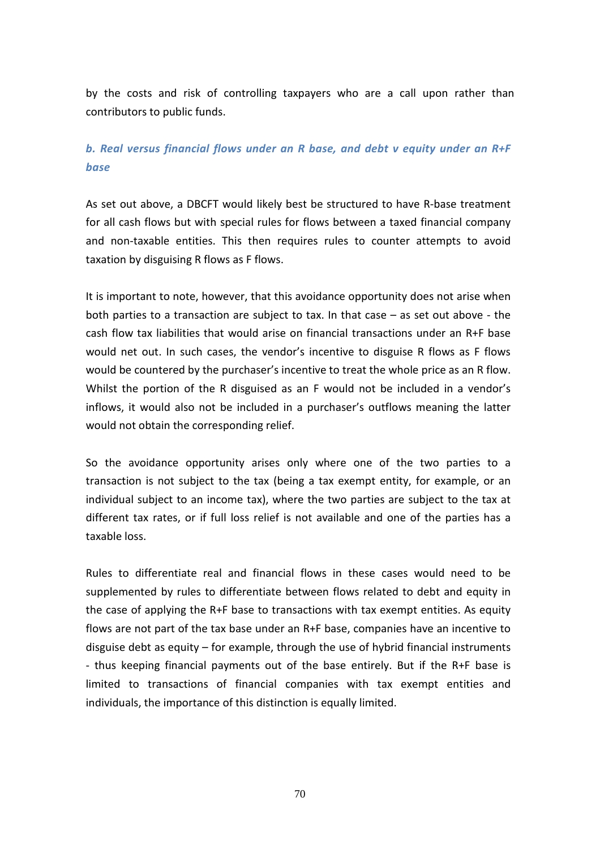by the costs and risk of controlling taxpayers who are a call upon rather than contributors to public funds.

# *b. Real versus financial flows under an R base, and debt v equity under an R+F base*

As set out above, a DBCFT would likely best be structured to have R-base treatment for all cash flows but with special rules for flows between a taxed financial company and non-taxable entities. This then requires rules to counter attempts to avoid taxation by disguising R flows as F flows.

It is important to note, however, that this avoidance opportunity does not arise when both parties to a transaction are subject to tax. In that case – as set out above - the cash flow tax liabilities that would arise on financial transactions under an R+F base would net out. In such cases, the vendor's incentive to disguise R flows as F flows would be countered by the purchaser's incentive to treat the whole price as an R flow. Whilst the portion of the R disguised as an F would not be included in a vendor's inflows, it would also not be included in a purchaser's outflows meaning the latter would not obtain the corresponding relief.

So the avoidance opportunity arises only where one of the two parties to a transaction is not subject to the tax (being a tax exempt entity, for example, or an individual subject to an income tax), where the two parties are subject to the tax at different tax rates, or if full loss relief is not available and one of the parties has a taxable loss.

Rules to differentiate real and financial flows in these cases would need to be supplemented by rules to differentiate between flows related to debt and equity in the case of applying the R+F base to transactions with tax exempt entities. As equity flows are not part of the tax base under an R+F base, companies have an incentive to disguise debt as equity – for example, through the use of hybrid financial instruments - thus keeping financial payments out of the base entirely. But if the R+F base is limited to transactions of financial companies with tax exempt entities and individuals, the importance of this distinction is equally limited.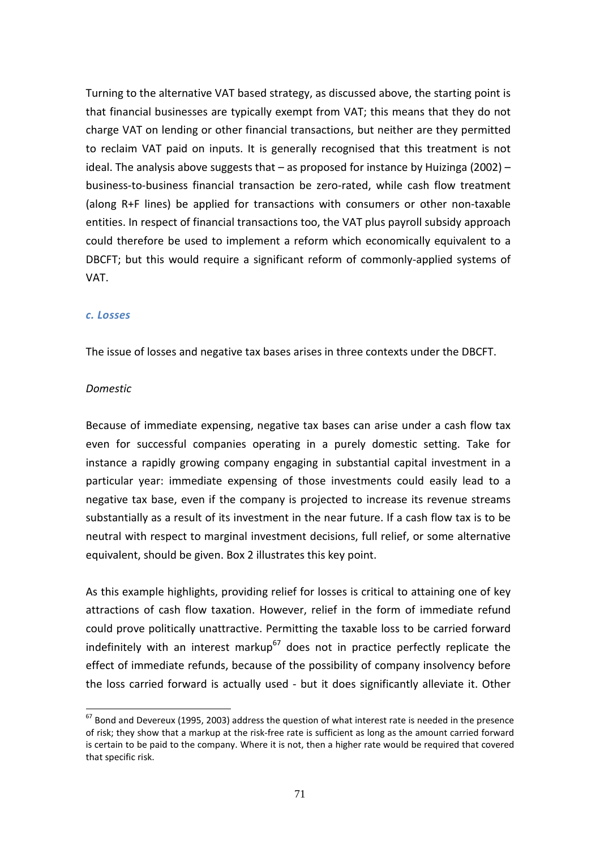Turning to the alternative VAT based strategy, as discussed above, the starting point is that financial businesses are typically exempt from VAT; this means that they do not charge VAT on lending or other financial transactions, but neither are they permitted to reclaim VAT paid on inputs. It is generally recognised that this treatment is not ideal. The analysis above suggests that – as proposed for instance by Huizinga (2002) – business-to-business financial transaction be zero-rated, while cash flow treatment (along R+F lines) be applied for transactions with consumers or other non-taxable entities. In respect of financial transactions too, the VAT plus payroll subsidy approach could therefore be used to implement a reform which economically equivalent to a DBCFT; but this would require a significant reform of commonly-applied systems of VAT.

## *c. Losses*

The issue of losses and negative tax bases arises in three contexts under the DBCFT.

## *Domestic*

Because of immediate expensing, negative tax bases can arise under a cash flow tax even for successful companies operating in a purely domestic setting. Take for instance a rapidly growing company engaging in substantial capital investment in a particular year: immediate expensing of those investments could easily lead to a negative tax base, even if the company is projected to increase its revenue streams substantially as a result of its investment in the near future. If a cash flow tax is to be neutral with respect to marginal investment decisions, full relief, or some alternative equivalent, should be given. Box 2 illustrates this key point.

As this example highlights, providing relief for losses is critical to attaining one of key attractions of cash flow taxation. However, relief in the form of immediate refund could prove politically unattractive. Permitting the taxable loss to be carried forward indefinitely with an interest markup<sup>67</sup> does not in practice perfectly replicate the effect of immediate refunds, because of the possibility of company insolvency before the loss carried forward is actually used - but it does significantly alleviate it. Other

 $67$  Bond and Devereux (1995, 2003) address the question of what interest rate is needed in the presence of risk; they show that a markup at the risk-free rate is sufficient as long as the amount carried forward is certain to be paid to the company. Where it is not, then a higher rate would be required that covered that specific risk.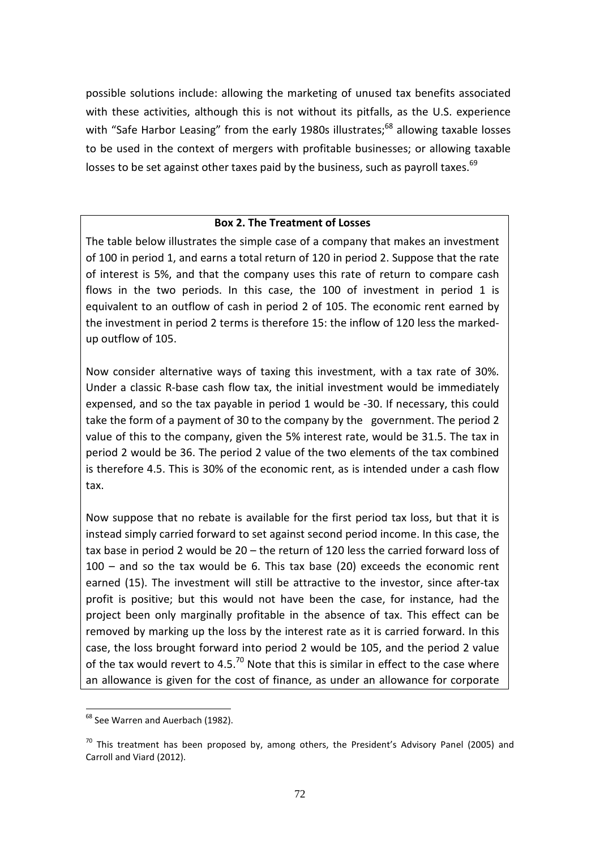possible solutions include: allowing the marketing of unused tax benefits associated with these activities, although this is not without its pitfalls, as the U.S. experience with "Safe Harbor Leasing" from the early 1980s illustrates:<sup>68</sup> allowing taxable losses to be used in the context of mergers with profitable businesses; or allowing taxable losses to be set against other taxes paid by the business, such as payroll taxes.  $69$ 

# **Box 2. The Treatment of Losses**

The table below illustrates the simple case of a company that makes an investment of 100 in period 1, and earns a total return of 120 in period 2. Suppose that the rate of interest is 5%, and that the company uses this rate of return to compare cash flows in the two periods. In this case, the 100 of investment in period 1 is equivalent to an outflow of cash in period 2 of 105. The economic rent earned by the investment in period 2 terms is therefore 15: the inflow of 120 less the markedup outflow of 105.

Now consider alternative ways of taxing this investment, with a tax rate of 30%. Under a classic R-base cash flow tax, the initial investment would be immediately expensed, and so the tax payable in period 1 would be -30. If necessary, this could take the form of a payment of 30 to the company by the government. The period 2 value of this to the company, given the 5% interest rate, would be 31.5. The tax in period 2 would be 36. The period 2 value of the two elements of the tax combined is therefore 4.5. This is 30% of the economic rent, as is intended under a cash flow tax.

Now suppose that no rebate is available for the first period tax loss, but that it is instead simply carried forward to set against second period income. In this case, the tax base in period 2 would be 20 – the return of 120 less the carried forward loss of 100 – and so the tax would be 6. This tax base (20) exceeds the economic rent earned (15). The investment will still be attractive to the investor, since after-tax profit is positive; but this would not have been the case, for instance, had the project been only marginally profitable in the absence of tax. This effect can be removed by marking up the loss by the interest rate as it is carried forward. In this case, the loss brought forward into period 2 would be 105, and the period 2 value of the tax would revert to 4.5.<sup>70</sup> Note that this is similar in effect to the case where an allowance is given for the cost of finance, as under an allowance for corporate

<sup>&</sup>lt;sup>68</sup> See Warren and Auerbach (1982).

 $70$  This treatment has been proposed by, among others, the President's Advisory Panel (2005) and Carroll and Viard (2012).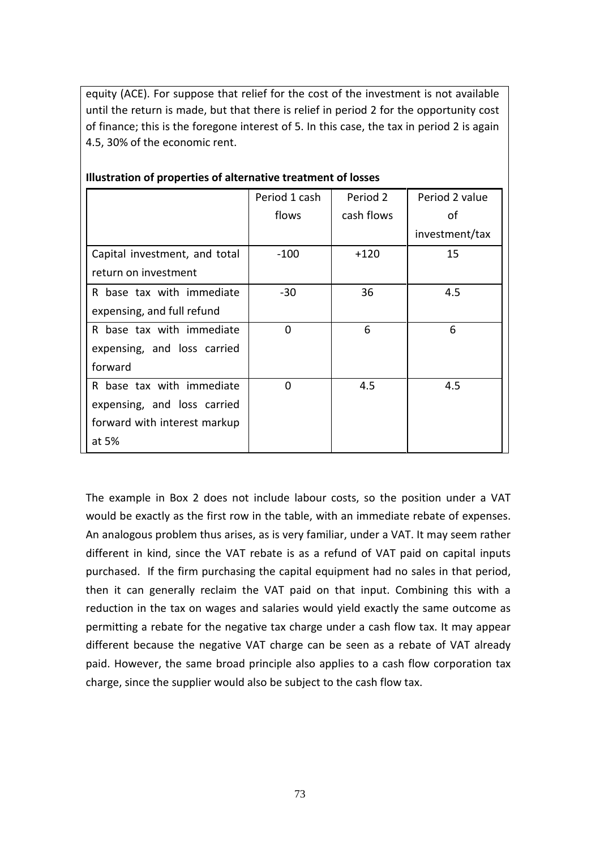equity (ACE). For suppose that relief for the cost of the investment is not available until the return is made, but that there is relief in period 2 for the opportunity cost of finance; this is the foregone interest of 5. In this case, the tax in period 2 is again 4.5, 30% of the economic rent.

|                               | Period 1 cash | Period 2   | Period 2 value |
|-------------------------------|---------------|------------|----------------|
|                               | flows         | cash flows | οf             |
|                               |               |            | investment/tax |
| Capital investment, and total | $-100$        | $+120$     | 15             |
| return on investment          |               |            |                |
| R base tax with immediate     | $-30$         | 36         | 4.5            |
| expensing, and full refund    |               |            |                |
| R base tax with immediate     | $\Omega$      | 6          | 6              |
| expensing, and loss carried   |               |            |                |
| forward                       |               |            |                |
| R base tax with immediate     | $\Omega$      | 4.5        | 4.5            |
| expensing, and loss carried   |               |            |                |
| forward with interest markup  |               |            |                |
| at 5%                         |               |            |                |

# **Illustration of properties of alternative treatment of losses**

The example in Box 2 does not include labour costs, so the position under a VAT would be exactly as the first row in the table, with an immediate rebate of expenses. An analogous problem thus arises, as is very familiar, under a VAT. It may seem rather different in kind, since the VAT rebate is as a refund of VAT paid on capital inputs purchased. If the firm purchasing the capital equipment had no sales in that period, then it can generally reclaim the VAT paid on that input. Combining this with a reduction in the tax on wages and salaries would yield exactly the same outcome as permitting a rebate for the negative tax charge under a cash flow tax. It may appear different because the negative VAT charge can be seen as a rebate of VAT already paid. However, the same broad principle also applies to a cash flow corporation tax charge, since the supplier would also be subject to the cash flow tax.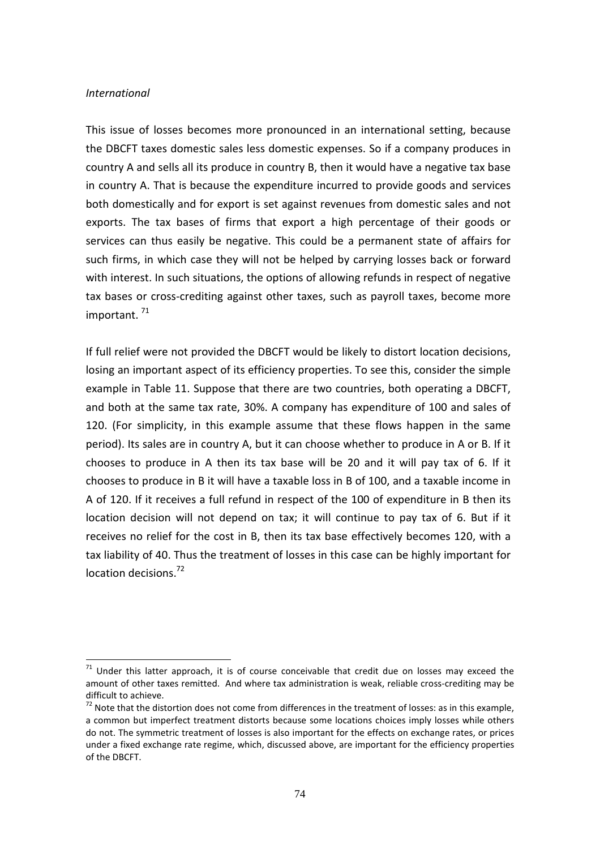#### *International*

This issue of losses becomes more pronounced in an international setting, because the DBCFT taxes domestic sales less domestic expenses. So if a company produces in country A and sells all its produce in country B, then it would have a negative tax base in country A. That is because the expenditure incurred to provide goods and services both domestically and for export is set against revenues from domestic sales and not exports. The tax bases of firms that export a high percentage of their goods or services can thus easily be negative. This could be a permanent state of affairs for such firms, in which case they will not be helped by carrying losses back or forward with interest. In such situations, the options of allowing refunds in respect of negative tax bases or cross-crediting against other taxes, such as payroll taxes, become more important.<sup>71</sup>

If full relief were not provided the DBCFT would be likely to distort location decisions, losing an important aspect of its efficiency properties. To see this, consider the simple example in Table 11. Suppose that there are two countries, both operating a DBCFT, and both at the same tax rate, 30%. A company has expenditure of 100 and sales of 120. (For simplicity, in this example assume that these flows happen in the same period). Its sales are in country A, but it can choose whether to produce in A or B. If it chooses to produce in A then its tax base will be 20 and it will pay tax of 6. If it chooses to produce in B it will have a taxable loss in B of 100, and a taxable income in A of 120. If it receives a full refund in respect of the 100 of expenditure in B then its location decision will not depend on tax; it will continue to pay tax of 6. But if it receives no relief for the cost in B, then its tax base effectively becomes 120, with a tax liability of 40. Thus the treatment of losses in this case can be highly important for location decisions.<sup>72</sup>

 $71$  Under this latter approach, it is of course conceivable that credit due on losses may exceed the amount of other taxes remitted. And where tax administration is weak, reliable cross-crediting may be difficult to achieve.

 $72$  Note that the distortion does not come from differences in the treatment of losses: as in this example, a common but imperfect treatment distorts because some locations choices imply losses while others do not. The symmetric treatment of losses is also important for the effects on exchange rates, or prices under a fixed exchange rate regime, which, discussed above, are important for the efficiency properties of the DBCFT.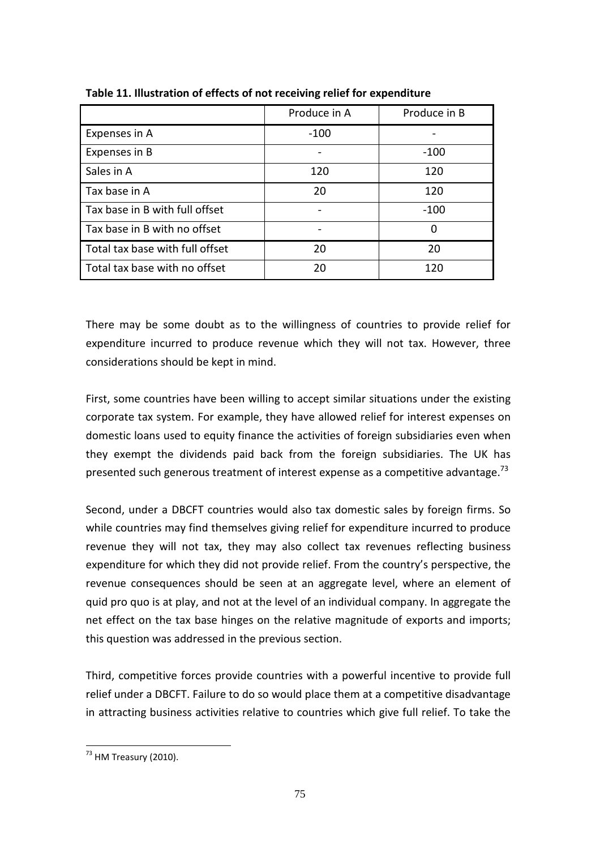|                                 | Produce in A | Produce in B |
|---------------------------------|--------------|--------------|
| Expenses in A                   | $-100$       |              |
| Expenses in B                   |              | $-100$       |
| Sales in A                      | 120          | 120          |
| Tax base in A                   | 20           | 120          |
| Tax base in B with full offset  |              | $-100$       |
| Tax base in B with no offset    |              | 0            |
| Total tax base with full offset | 20           | 20           |
| Total tax base with no offset   | 20           | 120          |

**Table 11. Illustration of effects of not receiving relief for expenditure**

There may be some doubt as to the willingness of countries to provide relief for expenditure incurred to produce revenue which they will not tax. However, three considerations should be kept in mind.

First, some countries have been willing to accept similar situations under the existing corporate tax system. For example, they have allowed relief for interest expenses on domestic loans used to equity finance the activities of foreign subsidiaries even when they exempt the dividends paid back from the foreign subsidiaries. The UK has presented such generous treatment of interest expense as a competitive advantage.<sup>73</sup>

Second, under a DBCFT countries would also tax domestic sales by foreign firms. So while countries may find themselves giving relief for expenditure incurred to produce revenue they will not tax, they may also collect tax revenues reflecting business expenditure for which they did not provide relief. From the country's perspective, the revenue consequences should be seen at an aggregate level, where an element of quid pro quo is at play, and not at the level of an individual company. In aggregate the net effect on the tax base hinges on the relative magnitude of exports and imports; this question was addressed in the previous section.

Third, competitive forces provide countries with a powerful incentive to provide full relief under a DBCFT. Failure to do so would place them at a competitive disadvantage in attracting business activities relative to countries which give full relief. To take the

 $^{73}$  HM Treasury (2010).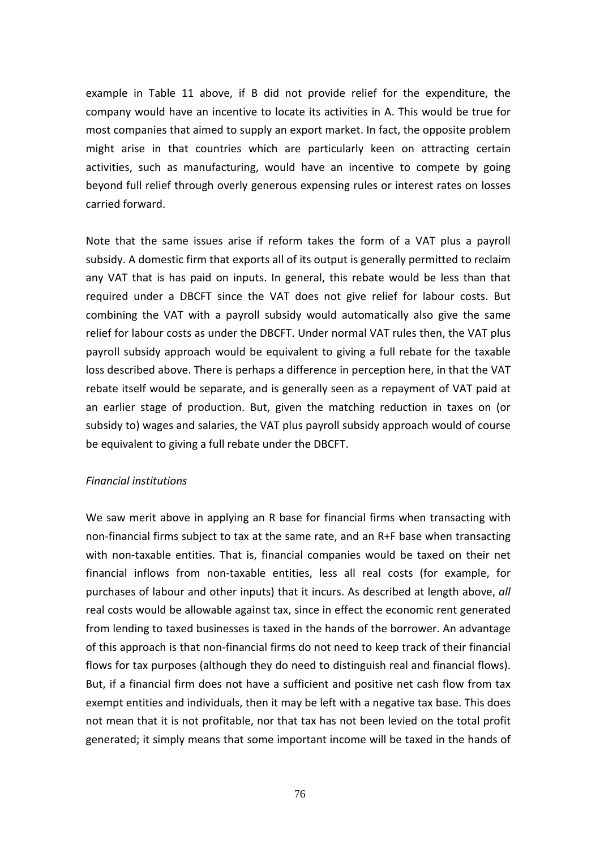example in Table 11 above, if B did not provide relief for the expenditure, the company would have an incentive to locate its activities in A. This would be true for most companies that aimed to supply an export market. In fact, the opposite problem might arise in that countries which are particularly keen on attracting certain activities, such as manufacturing, would have an incentive to compete by going beyond full relief through overly generous expensing rules or interest rates on losses carried forward.

Note that the same issues arise if reform takes the form of a VAT plus a payroll subsidy. A domestic firm that exports all of its output is generally permitted to reclaim any VAT that is has paid on inputs. In general, this rebate would be less than that required under a DBCFT since the VAT does not give relief for labour costs. But combining the VAT with a payroll subsidy would automatically also give the same relief for labour costs as under the DBCFT. Under normal VAT rules then, the VAT plus payroll subsidy approach would be equivalent to giving a full rebate for the taxable loss described above. There is perhaps a difference in perception here, in that the VAT rebate itself would be separate, and is generally seen as a repayment of VAT paid at an earlier stage of production. But, given the matching reduction in taxes on (or subsidy to) wages and salaries, the VAT plus payroll subsidy approach would of course be equivalent to giving a full rebate under the DBCFT.

### *Financial institutions*

We saw merit above in applying an R base for financial firms when transacting with non-financial firms subject to tax at the same rate, and an R+F base when transacting with non-taxable entities. That is, financial companies would be taxed on their net financial inflows from non-taxable entities, less all real costs (for example, for purchases of labour and other inputs) that it incurs. As described at length above, *all* real costs would be allowable against tax, since in effect the economic rent generated from lending to taxed businesses is taxed in the hands of the borrower. An advantage of this approach is that non-financial firms do not need to keep track of their financial flows for tax purposes (although they do need to distinguish real and financial flows). But, if a financial firm does not have a sufficient and positive net cash flow from tax exempt entities and individuals, then it may be left with a negative tax base. This does not mean that it is not profitable, nor that tax has not been levied on the total profit generated; it simply means that some important income will be taxed in the hands of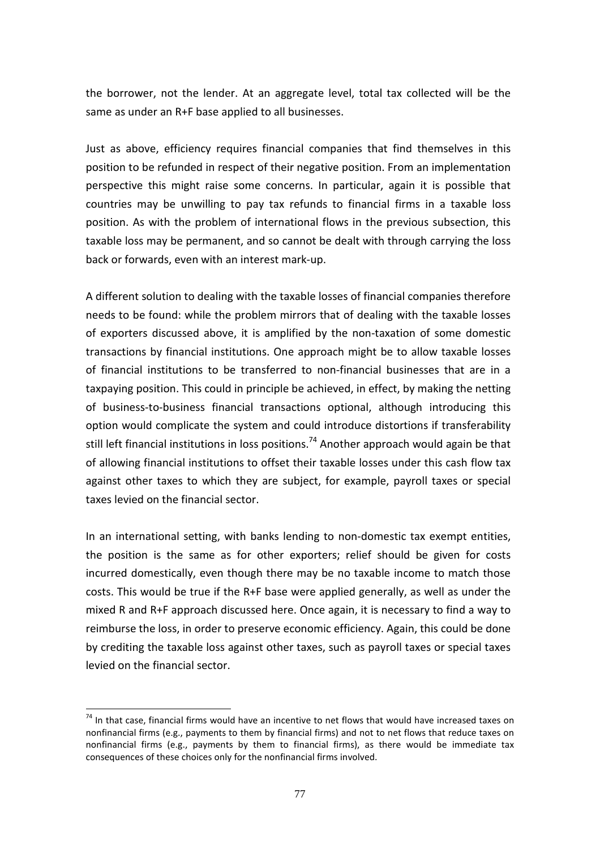the borrower, not the lender. At an aggregate level, total tax collected will be the same as under an R+F base applied to all businesses.

Just as above, efficiency requires financial companies that find themselves in this position to be refunded in respect of their negative position. From an implementation perspective this might raise some concerns. In particular, again it is possible that countries may be unwilling to pay tax refunds to financial firms in a taxable loss position. As with the problem of international flows in the previous subsection, this taxable loss may be permanent, and so cannot be dealt with through carrying the loss back or forwards, even with an interest mark-up.

A different solution to dealing with the taxable losses of financial companies therefore needs to be found: while the problem mirrors that of dealing with the taxable losses of exporters discussed above, it is amplified by the non-taxation of some domestic transactions by financial institutions. One approach might be to allow taxable losses of financial institutions to be transferred to non-financial businesses that are in a taxpaying position. This could in principle be achieved, in effect, by making the netting of business-to-business financial transactions optional, although introducing this option would complicate the system and could introduce distortions if transferability still left financial institutions in loss positions.<sup>74</sup> Another approach would again be that of allowing financial institutions to offset their taxable losses under this cash flow tax against other taxes to which they are subject, for example, payroll taxes or special taxes levied on the financial sector.

In an international setting, with banks lending to non-domestic tax exempt entities, the position is the same as for other exporters; relief should be given for costs incurred domestically, even though there may be no taxable income to match those costs. This would be true if the R+F base were applied generally, as well as under the mixed R and R+F approach discussed here. Once again, it is necessary to find a way to reimburse the loss, in order to preserve economic efficiency. Again, this could be done by crediting the taxable loss against other taxes, such as payroll taxes or special taxes levied on the financial sector.

 $74$  In that case, financial firms would have an incentive to net flows that would have increased taxes on nonfinancial firms (e.g., payments to them by financial firms) and not to net flows that reduce taxes on nonfinancial firms (e.g., payments by them to financial firms), as there would be immediate tax consequences of these choices only for the nonfinancial firms involved.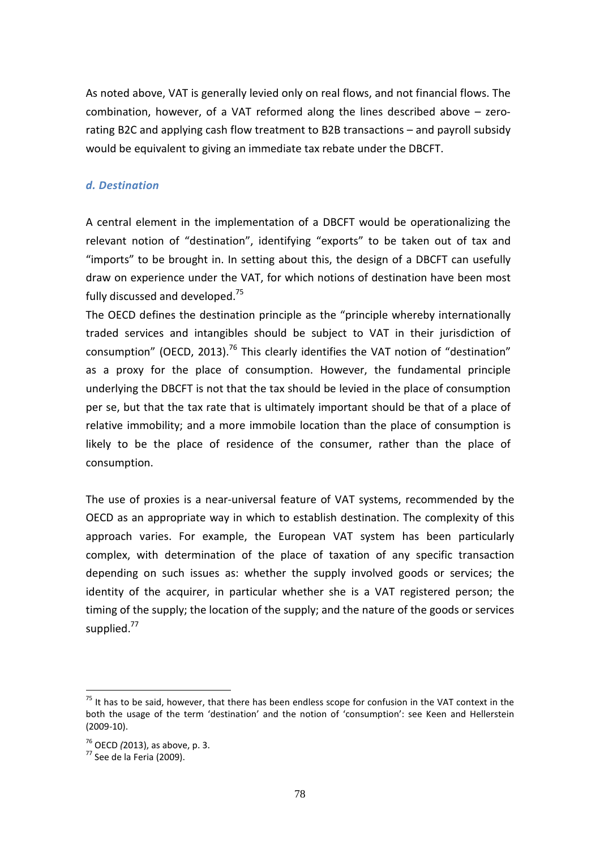As noted above, VAT is generally levied only on real flows, and not financial flows. The combination, however, of a VAT reformed along the lines described above – zerorating B2C and applying cash flow treatment to B2B transactions – and payroll subsidy would be equivalent to giving an immediate tax rebate under the DBCFT.

## *d. Destination*

A central element in the implementation of a DBCFT would be operationalizing the relevant notion of "destination", identifying "exports" to be taken out of tax and "imports" to be brought in. In setting about this, the design of a DBCFT can usefully draw on experience under the VAT, for which notions of destination have been most fully discussed and developed.<sup>75</sup>

The OECD defines the destination principle as the "principle whereby internationally traded services and intangibles should be subject to VAT in their jurisdiction of consumption" (OECD, 2013).<sup>76</sup> This clearly identifies the VAT notion of "destination" as a proxy for the place of consumption. However, the fundamental principle underlying the DBCFT is not that the tax should be levied in the place of consumption per se, but that the tax rate that is ultimately important should be that of a place of relative immobility; and a more immobile location than the place of consumption is likely to be the place of residence of the consumer, rather than the place of consumption.

The use of proxies is a near-universal feature of VAT systems, recommended by the OECD as an appropriate way in which to establish destination. The complexity of this approach varies. For example, the European VAT system has been particularly complex, with determination of the place of taxation of any specific transaction depending on such issues as: whether the supply involved goods or services; the identity of the acquirer, in particular whether she is a VAT registered person; the timing of the supply; the location of the supply; and the nature of the goods or services supplied.<sup>77</sup>

 $75$  It has to be said, however, that there has been endless scope for confusion in the VAT context in the both the usage of the term 'destination' and the notion of 'consumption': see Keen and Hellerstein (2009-10).

<sup>76</sup> OECD *(*2013), as above, p. 3.

 $77$  See de la Feria (2009).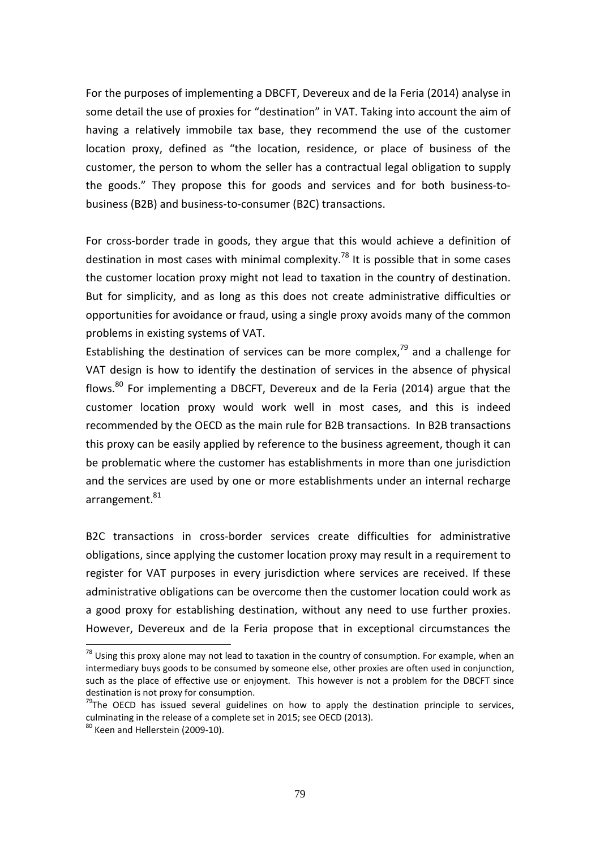For the purposes of implementing a DBCFT, Devereux and de la Feria (2014) analyse in some detail the use of proxies for "destination" in VAT. Taking into account the aim of having a relatively immobile tax base, they recommend the use of the customer location proxy, defined as "the location, residence, or place of business of the customer, the person to whom the seller has a contractual legal obligation to supply the goods." They propose this for goods and services and for both business-tobusiness (B2B) and business-to-consumer (B2C) transactions.

For cross-border trade in goods, they argue that this would achieve a definition of destination in most cases with minimal complexity.<sup>78</sup> It is possible that in some cases the customer location proxy might not lead to taxation in the country of destination. But for simplicity, and as long as this does not create administrative difficulties or opportunities for avoidance or fraud, using a single proxy avoids many of the common problems in existing systems of VAT.

Establishing the destination of services can be more complex, $79$  and a challenge for VAT design is how to identify the destination of services in the absence of physical flows.<sup>80</sup> For implementing a DBCFT, Devereux and de la Feria (2014) argue that the customer location proxy would work well in most cases, and this is indeed recommended by the OECD as the main rule for B2B transactions. In B2B transactions this proxy can be easily applied by reference to the business agreement, though it can be problematic where the customer has establishments in more than one jurisdiction and the services are used by one or more establishments under an internal recharge arrangement.<sup>81</sup>

B2C transactions in cross-border services create difficulties for administrative obligations, since applying the customer location proxy may result in a requirement to register for VAT purposes in every jurisdiction where services are received. If these administrative obligations can be overcome then the customer location could work as a good proxy for establishing destination, without any need to use further proxies. However, Devereux and de la Feria propose that in exceptional circumstances the

 $78$  Using this proxy alone may not lead to taxation in the country of consumption. For example, when an intermediary buys goods to be consumed by someone else, other proxies are often used in conjunction, such as the place of effective use or enjoyment. This however is not a problem for the DBCFT since destination is not proxy for consumption.

 $79$ The OECD has issued several guidelines on how to apply the destination principle to services, culminating in the release of a complete set in 2015; see OECD (2013).

<sup>80</sup> Keen and Hellerstein (2009-10).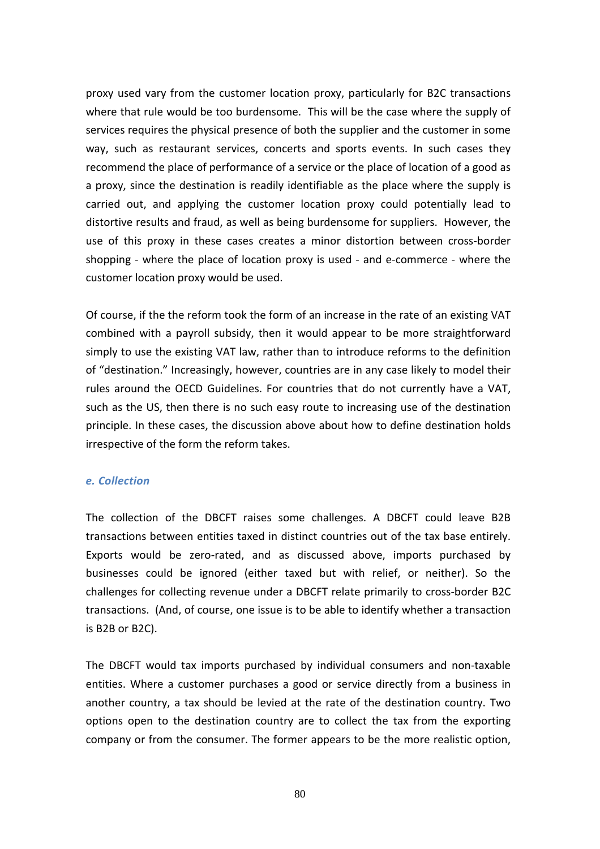proxy used vary from the customer location proxy, particularly for B2C transactions where that rule would be too burdensome. This will be the case where the supply of services requires the physical presence of both the supplier and the customer in some way, such as restaurant services, concerts and sports events. In such cases they recommend the place of performance of a service or the place of location of a good as a proxy, since the destination is readily identifiable as the place where the supply is carried out, and applying the customer location proxy could potentially lead to distortive results and fraud, as well as being burdensome for suppliers. However, the use of this proxy in these cases creates a minor distortion between cross-border shopping - where the place of location proxy is used - and e-commerce - where the customer location proxy would be used.

Of course, if the the reform took the form of an increase in the rate of an existing VAT combined with a payroll subsidy, then it would appear to be more straightforward simply to use the existing VAT law, rather than to introduce reforms to the definition of "destination." Increasingly, however, countries are in any case likely to model their rules around the OECD Guidelines. For countries that do not currently have a VAT, such as the US, then there is no such easy route to increasing use of the destination principle. In these cases, the discussion above about how to define destination holds irrespective of the form the reform takes.

### *e. Collection*

The collection of the DBCFT raises some challenges. A DBCFT could leave B2B transactions between entities taxed in distinct countries out of the tax base entirely. Exports would be zero-rated, and as discussed above, imports purchased by businesses could be ignored (either taxed but with relief, or neither). So the challenges for collecting revenue under a DBCFT relate primarily to cross-border B2C transactions. (And, of course, one issue is to be able to identify whether a transaction is B2B or B2C).

The DBCFT would tax imports purchased by individual consumers and non-taxable entities. Where a customer purchases a good or service directly from a business in another country, a tax should be levied at the rate of the destination country. Two options open to the destination country are to collect the tax from the exporting company or from the consumer. The former appears to be the more realistic option,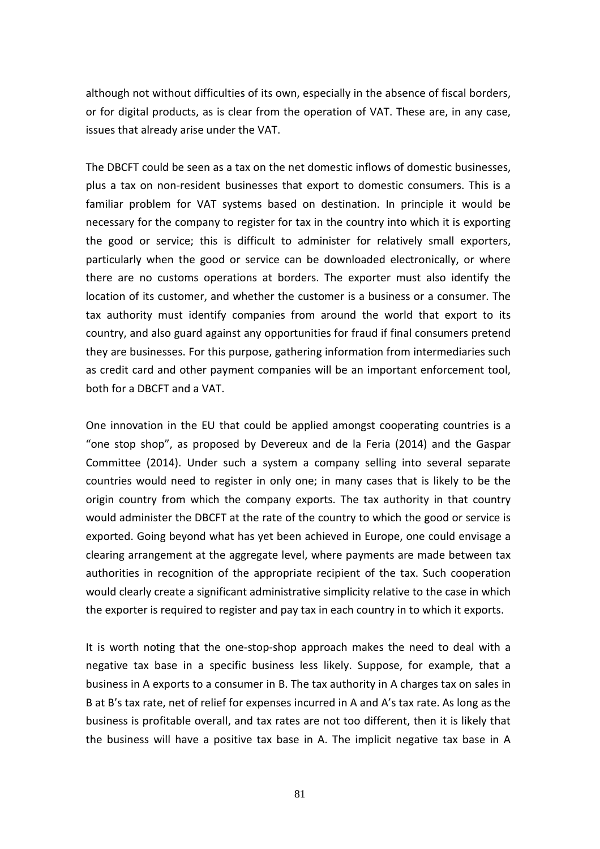although not without difficulties of its own, especially in the absence of fiscal borders, or for digital products, as is clear from the operation of VAT. These are, in any case, issues that already arise under the VAT.

The DBCFT could be seen as a tax on the net domestic inflows of domestic businesses, plus a tax on non-resident businesses that export to domestic consumers. This is a familiar problem for VAT systems based on destination. In principle it would be necessary for the company to register for tax in the country into which it is exporting the good or service; this is difficult to administer for relatively small exporters, particularly when the good or service can be downloaded electronically, or where there are no customs operations at borders. The exporter must also identify the location of its customer, and whether the customer is a business or a consumer. The tax authority must identify companies from around the world that export to its country, and also guard against any opportunities for fraud if final consumers pretend they are businesses. For this purpose, gathering information from intermediaries such as credit card and other payment companies will be an important enforcement tool, both for a DBCFT and a VAT.

One innovation in the EU that could be applied amongst cooperating countries is a "one stop shop", as proposed by Devereux and de la Feria (2014) and the Gaspar Committee (2014). Under such a system a company selling into several separate countries would need to register in only one; in many cases that is likely to be the origin country from which the company exports. The tax authority in that country would administer the DBCFT at the rate of the country to which the good or service is exported. Going beyond what has yet been achieved in Europe, one could envisage a clearing arrangement at the aggregate level, where payments are made between tax authorities in recognition of the appropriate recipient of the tax. Such cooperation would clearly create a significant administrative simplicity relative to the case in which the exporter is required to register and pay tax in each country in to which it exports.

It is worth noting that the one-stop-shop approach makes the need to deal with a negative tax base in a specific business less likely. Suppose, for example, that a business in A exports to a consumer in B. The tax authority in A charges tax on sales in B at B's tax rate, net of relief for expenses incurred in A and A's tax rate. As long as the business is profitable overall, and tax rates are not too different, then it is likely that the business will have a positive tax base in A. The implicit negative tax base in A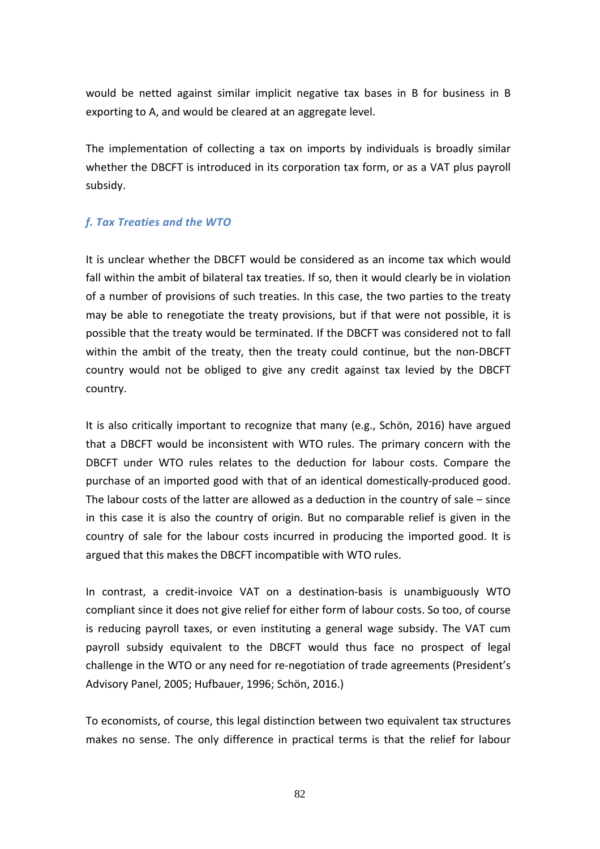would be netted against similar implicit negative tax bases in B for business in B exporting to A, and would be cleared at an aggregate level.

The implementation of collecting a tax on imports by individuals is broadly similar whether the DBCFT is introduced in its corporation tax form, or as a VAT plus payroll subsidy.

# *f. Tax Treaties and the WTO*

It is unclear whether the DBCFT would be considered as an income tax which would fall within the ambit of bilateral tax treaties. If so, then it would clearly be in violation of a number of provisions of such treaties. In this case, the two parties to the treaty may be able to renegotiate the treaty provisions, but if that were not possible, it is possible that the treaty would be terminated. If the DBCFT was considered not to fall within the ambit of the treaty, then the treaty could continue, but the non-DBCFT country would not be obliged to give any credit against tax levied by the DBCFT country.

It is also critically important to recognize that many (e.g., Schön, 2016) have argued that a DBCFT would be inconsistent with WTO rules. The primary concern with the DBCFT under WTO rules relates to the deduction for labour costs. Compare the purchase of an imported good with that of an identical domestically-produced good. The labour costs of the latter are allowed as a deduction in the country of sale – since in this case it is also the country of origin. But no comparable relief is given in the country of sale for the labour costs incurred in producing the imported good. It is argued that this makes the DBCFT incompatible with WTO rules.

In contrast, a credit-invoice VAT on a destination-basis is unambiguously WTO compliant since it does not give relief for either form of labour costs. So too, of course is reducing payroll taxes, or even instituting a general wage subsidy. The VAT cum payroll subsidy equivalent to the DBCFT would thus face no prospect of legal challenge in the WTO or any need for re-negotiation of trade agreements (President's Advisory Panel, 2005; Hufbauer, 1996; Schön, 2016.)

To economists, of course, this legal distinction between two equivalent tax structures makes no sense. The only difference in practical terms is that the relief for labour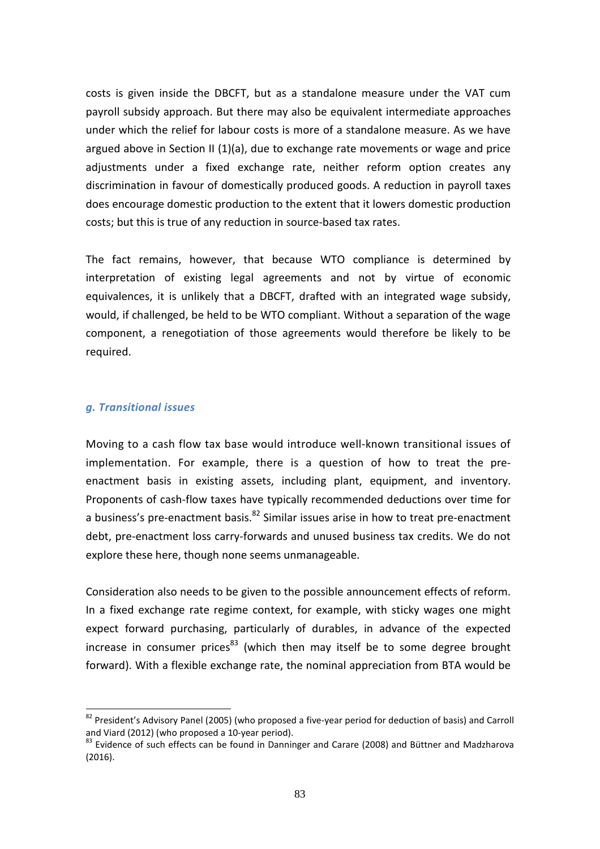costs is given inside the DBCFT, but as a standalone measure under the VAT cum payroll subsidy approach. But there may also be equivalent intermediate approaches under which the relief for labour costs is more of a standalone measure. As we have argued above in Section II (1)(a), due to exchange rate movements or wage and price adjustments under a fixed exchange rate, neither reform option creates any discrimination in favour of domestically produced goods. A reduction in payroll taxes does encourage domestic production to the extent that it lowers domestic production costs; but this is true of any reduction in source-based tax rates.

The fact remains, however, that because WTO compliance is determined by interpretation of existing legal agreements and not by virtue of economic equivalences, it is unlikely that a DBCFT, drafted with an integrated wage subsidy, would, if challenged, be held to be WTO compliant. Without a separation of the wage component, a renegotiation of those agreements would therefore be likely to be required.

## *g. Transitional issues*

Moving to a cash flow tax base would introduce well-known transitional issues of implementation. For example, there is a question of how to treat the preenactment basis in existing assets, including plant, equipment, and inventory. Proponents of cash-flow taxes have typically recommended deductions over time for a business's pre-enactment basis.<sup>82</sup> Similar issues arise in how to treat pre-enactment debt, pre-enactment loss carry-forwards and unused business tax credits. We do not explore these here, though none seems unmanageable.

Consideration also needs to be given to the possible announcement effects of reform. In a fixed exchange rate regime context, for example, with sticky wages one might expect forward purchasing, particularly of durables, in advance of the expected increase in consumer prices $^{83}$  (which then may itself be to some degree brought forward). With a flexible exchange rate, the nominal appreciation from BTA would be

<sup>&</sup>lt;sup>82</sup> President's Advisory Panel (2005) (who proposed a five-year period for deduction of basis) and Carroll and Viard (2012) (who proposed a 10-year period).

<sup>83</sup> Evidence of such effects can be found in Danninger and Carare (2008) and Büttner and Madzharova (2016).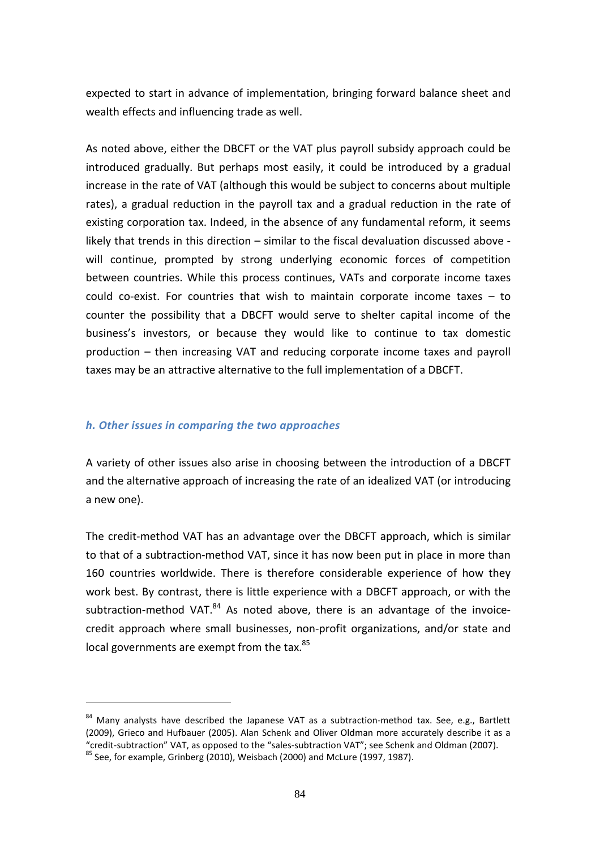expected to start in advance of implementation, bringing forward balance sheet and wealth effects and influencing trade as well.

As noted above, either the DBCFT or the VAT plus payroll subsidy approach could be introduced gradually. But perhaps most easily, it could be introduced by a gradual increase in the rate of VAT (although this would be subject to concerns about multiple rates), a gradual reduction in the payroll tax and a gradual reduction in the rate of existing corporation tax. Indeed, in the absence of any fundamental reform, it seems likely that trends in this direction – similar to the fiscal devaluation discussed above will continue, prompted by strong underlying economic forces of competition between countries. While this process continues, VATs and corporate income taxes could co-exist. For countries that wish to maintain corporate income taxes – to counter the possibility that a DBCFT would serve to shelter capital income of the business's investors, or because they would like to continue to tax domestic production – then increasing VAT and reducing corporate income taxes and payroll taxes may be an attractive alternative to the full implementation of a DBCFT.

## *h. Other issues in comparing the two approaches*

A variety of other issues also arise in choosing between the introduction of a DBCFT and the alternative approach of increasing the rate of an idealized VAT (or introducing a new one).

The credit-method VAT has an advantage over the DBCFT approach, which is similar to that of a subtraction-method VAT, since it has now been put in place in more than 160 countries worldwide. There is therefore considerable experience of how they work best. By contrast, there is little experience with a DBCFT approach, or with the subtraction-method VAT. $^{84}$  As noted above, there is an advantage of the invoicecredit approach where small businesses, non-profit organizations, and/or state and local governments are exempt from the tax.<sup>85</sup>

 $84$  Many analysts have described the Japanese VAT as a subtraction-method tax. See, e.g., Bartlett (2009), Grieco and Hufbauer (2005). Alan Schenk and Oliver Oldman more accurately describe it as a "credit-subtraction" VAT, as opposed to the "sales-subtraction VAT"; see Schenk and Oldman (2007). <sup>85</sup> See, for example, Grinberg (2010), Weisbach (2000) and McLure (1997, 1987).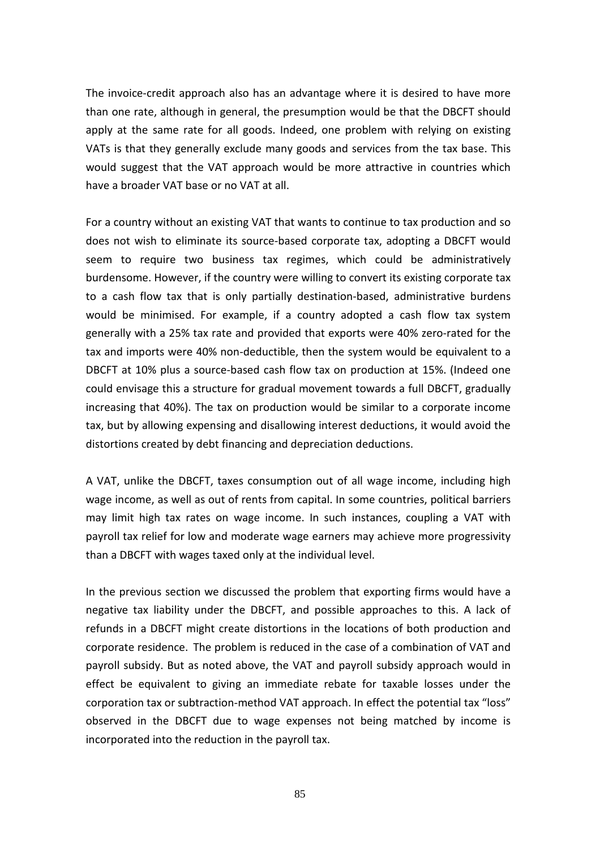The invoice-credit approach also has an advantage where it is desired to have more than one rate, although in general, the presumption would be that the DBCFT should apply at the same rate for all goods. Indeed, one problem with relying on existing VATs is that they generally exclude many goods and services from the tax base. This would suggest that the VAT approach would be more attractive in countries which have a broader VAT base or no VAT at all.

For a country without an existing VAT that wants to continue to tax production and so does not wish to eliminate its source-based corporate tax, adopting a DBCFT would seem to require two business tax regimes, which could be administratively burdensome. However, if the country were willing to convert its existing corporate tax to a cash flow tax that is only partially destination-based, administrative burdens would be minimised. For example, if a country adopted a cash flow tax system generally with a 25% tax rate and provided that exports were 40% zero-rated for the tax and imports were 40% non-deductible, then the system would be equivalent to a DBCFT at 10% plus a source-based cash flow tax on production at 15%. (Indeed one could envisage this a structure for gradual movement towards a full DBCFT, gradually increasing that 40%). The tax on production would be similar to a corporate income tax, but by allowing expensing and disallowing interest deductions, it would avoid the distortions created by debt financing and depreciation deductions.

A VAT, unlike the DBCFT, taxes consumption out of all wage income, including high wage income, as well as out of rents from capital. In some countries, political barriers may limit high tax rates on wage income. In such instances, coupling a VAT with payroll tax relief for low and moderate wage earners may achieve more progressivity than a DBCFT with wages taxed only at the individual level.

In the previous section we discussed the problem that exporting firms would have a negative tax liability under the DBCFT, and possible approaches to this. A lack of refunds in a DBCFT might create distortions in the locations of both production and corporate residence. The problem is reduced in the case of a combination of VAT and payroll subsidy. But as noted above, the VAT and payroll subsidy approach would in effect be equivalent to giving an immediate rebate for taxable losses under the corporation tax or subtraction-method VAT approach. In effect the potential tax "loss" observed in the DBCFT due to wage expenses not being matched by income is incorporated into the reduction in the payroll tax.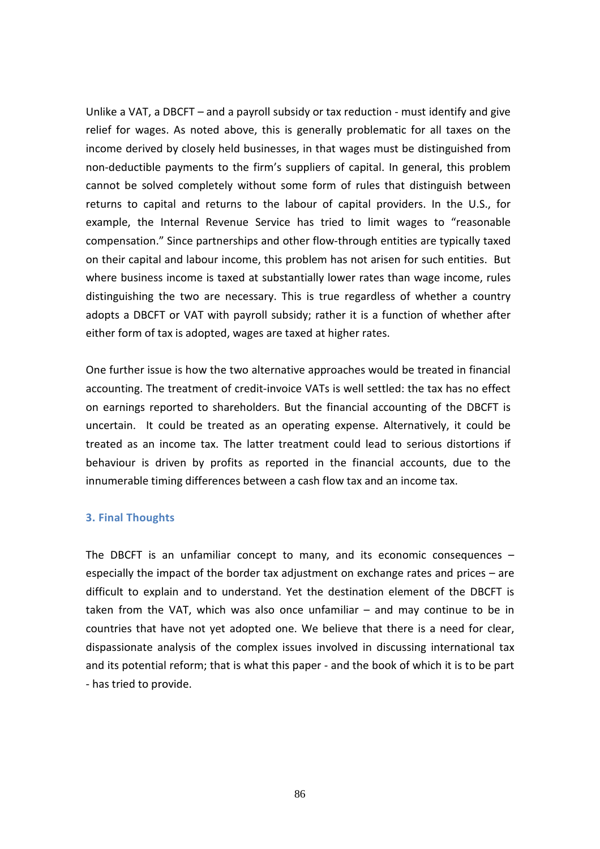Unlike a VAT, a DBCFT – and a payroll subsidy or tax reduction - must identify and give relief for wages. As noted above, this is generally problematic for all taxes on the income derived by closely held businesses, in that wages must be distinguished from non-deductible payments to the firm's suppliers of capital. In general, this problem cannot be solved completely without some form of rules that distinguish between returns to capital and returns to the labour of capital providers. In the U.S., for example, the Internal Revenue Service has tried to limit wages to "reasonable compensation." Since partnerships and other flow-through entities are typically taxed on their capital and labour income, this problem has not arisen for such entities. But where business income is taxed at substantially lower rates than wage income, rules distinguishing the two are necessary. This is true regardless of whether a country adopts a DBCFT or VAT with payroll subsidy; rather it is a function of whether after either form of tax is adopted, wages are taxed at higher rates.

One further issue is how the two alternative approaches would be treated in financial accounting. The treatment of credit-invoice VATs is well settled: the tax has no effect on earnings reported to shareholders. But the financial accounting of the DBCFT is uncertain. It could be treated as an operating expense. Alternatively, it could be treated as an income tax. The latter treatment could lead to serious distortions if behaviour is driven by profits as reported in the financial accounts, due to the innumerable timing differences between a cash flow tax and an income tax.

### **3. Final Thoughts**

The DBCFT is an unfamiliar concept to many, and its economic consequences – especially the impact of the border tax adjustment on exchange rates and prices – are difficult to explain and to understand. Yet the destination element of the DBCFT is taken from the VAT, which was also once unfamiliar – and may continue to be in countries that have not yet adopted one. We believe that there is a need for clear, dispassionate analysis of the complex issues involved in discussing international tax and its potential reform; that is what this paper - and the book of which it is to be part - has tried to provide.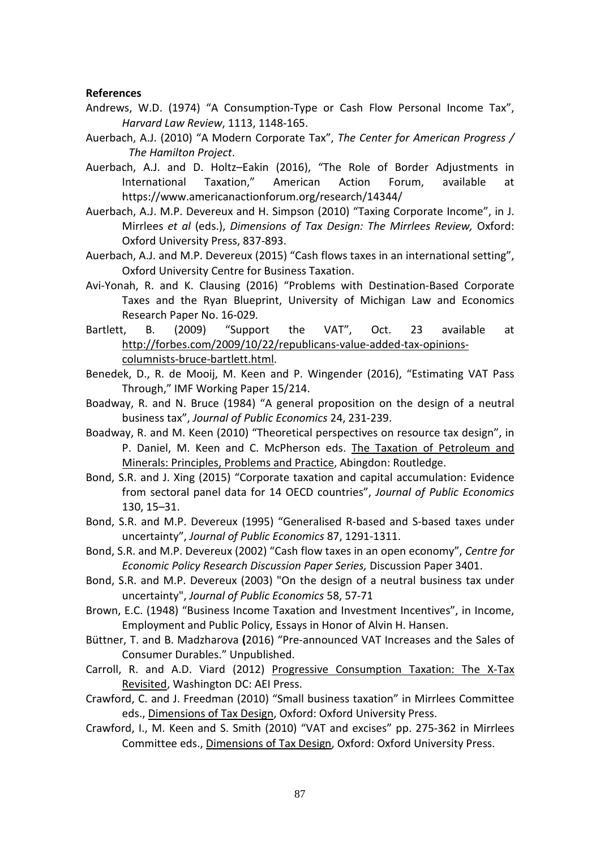### **References**

- Andrews, W.D. (1974) "A Consumption-Type or Cash Flow Personal Income Tax", *Harvard Law Review*, 1113, 1148-165.
- Auerbach, A.J. (2010) "A Modern Corporate Tax", *The Center for American Progress / The Hamilton Project*.
- Auerbach, A.J. and D. Holtz–Eakin (2016), "The Role of Border Adjustments in International Taxation," American Action Forum, available at https://www.americanactionforum.org/research/14344/
- Auerbach, A.J. M.P. Devereux and H. Simpson (2010) "Taxing Corporate Income", in J. Mirrlees *et al* (eds.), *Dimensions of Tax Design: The Mirrlees Review,* Oxford: Oxford University Press, 837-893.
- Auerbach, A.J. and M.P. Devereux (2015) "Cash flows taxes in an international setting", Oxford University Centre for Business Taxation.
- Avi-Yonah, R. and K. Clausing (2016) "Problems with Destination-Based Corporate Taxes and the Ryan Blueprint, University of Michigan Law and Economics Research Paper No. 16-029*.*
- Bartlett, B. (2009) "Support the VAT", Oct. 23 available at http://forbes.com/2009/10/22/republicans-value-added-tax-opinionscolumnists-bruce-bartlett.html.
- Benedek, D., R. de Mooij, M. Keen and P. Wingender (2016), "Estimating VAT Pass Through," IMF Working Paper 15/214.
- Boadway, R. and N. Bruce (1984) "A general proposition on the design of a neutral business tax", *Journal of Public Economics* 24, 231-239.
- Boadway, R. and M. Keen (2010) "Theoretical perspectives on resource tax design", in P. Daniel, M. Keen and C. McPherson eds. The Taxation of Petroleum and Minerals: Principles, Problems and Practice, Abingdon: Routledge.
- Bond, S.R. and J. Xing (2015) "Corporate taxation and capital accumulation: Evidence from sectoral panel data for 14 OECD countries", *Journal of Public Economics* 130, 15–31.
- Bond, S.R. and M.P. Devereux (1995) "Generalised R-based and S-based taxes under uncertainty", *Journal of Public Economics* 87, 1291-1311.
- Bond, S.R. and M.P. Devereux (2002) "Cash flow taxes in an open economy", *Centre for Economic Policy Research Discussion Paper Series,* Discussion Paper 3401.
- Bond, S.R. and M.P. Devereux (2003) "On the design of a neutral business tax under uncertainty", *Journal of Public Economics* 58, 57-71
- Brown, E.C. (1948) "Business Income Taxation and Investment Incentives", in Income, Employment and Public Policy, Essays in Honor of Alvin H. Hansen.
- Büttner, T. and B. Madzharova **(**2016) "Pre-announced VAT Increases and the Sales of Consumer Durables." Unpublished.
- Carroll, R. and A.D. Viard (2012) Progressive Consumption Taxation: The X-Tax Revisited, Washington DC: AEI Press.
- Crawford, C. and J. Freedman (2010) "Small business taxation" in Mirrlees Committee eds., Dimensions of Tax Design, Oxford: Oxford University Press.
- Crawford, I., M. Keen and S. Smith (2010) "VAT and excises" pp. 275-362 in Mirrlees Committee eds., Dimensions of Tax Design, Oxford: Oxford University Press.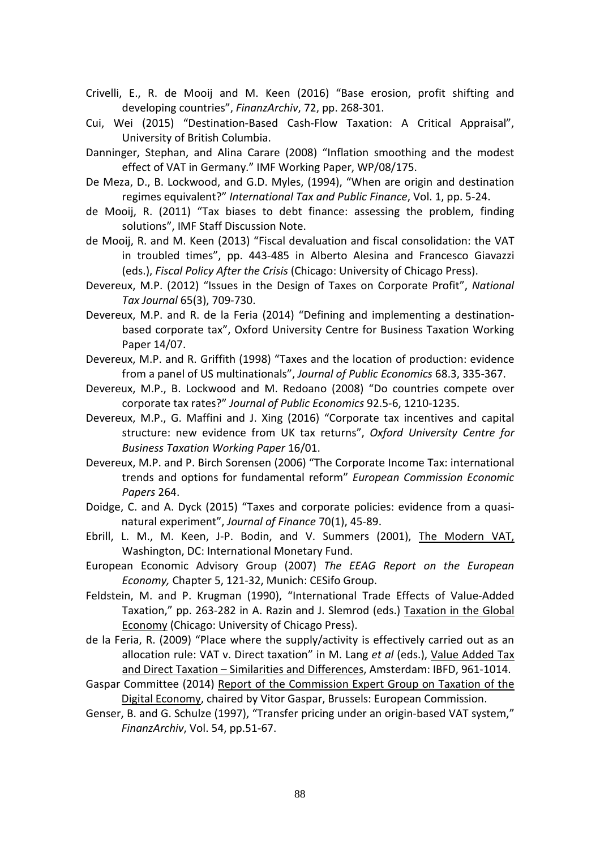- Crivelli, E., R. de Mooij and M. Keen (2016) "Base erosion, profit shifting and developing countries", *FinanzArchiv*, 72, pp. 268-301.
- Cui, Wei (2015) "Destination-Based Cash-Flow Taxation: A Critical Appraisal", University of British Columbia.
- Danninger, Stephan, and Alina Carare (2008) "Inflation smoothing and the modest effect of VAT in Germany." IMF Working Paper, WP/08/175.
- De Meza, D., B. Lockwood, and G.D. Myles, (1994), "When are origin and destination regimes equivalent?" *International Tax and Public Finance*, Vol. 1, pp. 5-24.
- de Mooij, R. (2011) "Tax biases to debt finance: assessing the problem, finding solutions", IMF Staff Discussion Note.
- de Mooij, R. and M. Keen (2013) "Fiscal devaluation and fiscal consolidation: the VAT in troubled times", pp. 443-485 in Alberto Alesina and Francesco Giavazzi (eds.), *Fiscal Policy After the Crisis* (Chicago: University of Chicago Press).
- Devereux, M.P. (2012) "Issues in the Design of Taxes on Corporate Profit", *National Tax Journal* 65(3), 709-730.
- Devereux, M.P. and R. de la Feria (2014) "Defining and implementing a destinationbased corporate tax", Oxford University Centre for Business Taxation Working Paper 14/07.
- Devereux, M.P. and R. Griffith (1998) "Taxes and the location of production: evidence from a panel of US multinationals", *Journal of Public Economics* 68.3, 335-367.
- Devereux, M.P., B. Lockwood and M. Redoano (2008) "Do countries compete over corporate tax rates?" *Journal of Public Economics* 92.5-6, 1210-1235.
- Devereux, M.P., G. Maffini and J. Xing (2016) "Corporate tax incentives and capital structure: new evidence from UK tax returns", *Oxford University Centre for Business Taxation Working Paper* 16/01.
- Devereux, M.P. and P. Birch Sorensen (2006) "The Corporate Income Tax: international trends and options for fundamental reform" *European Commission Economic Papers* 264.
- Doidge, C. and A. Dyck (2015) "Taxes and corporate policies: evidence from a quasinatural experiment", *Journal of Finance* 70(1), 45-89.
- Ebrill, L. M., M. Keen, J-P. Bodin, and V. Summers (2001), The Modern VAT, Washington, DC: International Monetary Fund.
- European Economic Advisory Group (2007) *The EEAG Report on the European Economy,* Chapter 5, 121-32, Munich: CESifo Group.
- Feldstein, M. and P. Krugman (1990), "International Trade Effects of Value-Added Taxation," pp. 263-282 in A. Razin and J. Slemrod (eds.) Taxation in the Global Economy (Chicago: University of Chicago Press).
- de la Feria, R. (2009) "Place where the supply/activity is effectively carried out as an allocation rule: VAT v. Direct taxation" in M. Lang *et al* (eds.), Value Added Tax and Direct Taxation – Similarities and Differences, Amsterdam: IBFD, 961-1014.
- Gaspar Committee (2014) Report of the Commission Expert Group on Taxation of the Digital Economy, chaired by Vitor Gaspar, Brussels: European Commission.
- Genser, B. and G. Schulze (1997), "Transfer pricing under an origin-based VAT system," *FinanzArchiv*, Vol. 54, pp.51-67.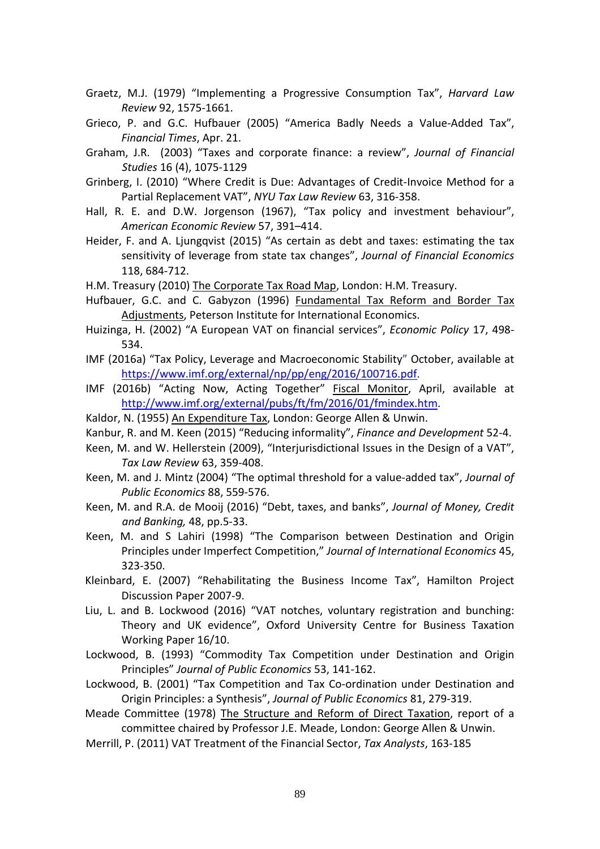- Graetz, M.J. (1979) "Implementing a Progressive Consumption Tax", *Harvard Law Review* 92, 1575-1661.
- Grieco, P. and G.C. Hufbauer (2005) "America Badly Needs a Value-Added Tax", *Financial Times*, Apr. 21.
- Graham, J.R. (2003) "Taxes and corporate finance: a review", *Journal of Financial Studies* 16 (4), 1075-1129
- Grinberg, I. (2010) "Where Credit is Due: Advantages of Credit-Invoice Method for a Partial Replacement VAT", *NYU Tax Law Review* 63, 316-358.
- Hall, R. E. and D.W. Jorgenson (1967), "Tax policy and investment behaviour", *American Economic Review* 57, 391–414.
- Heider, F. and A. Ljungqvist (2015) "As certain as debt and taxes: estimating the tax sensitivity of leverage from state tax changes", *Journal of Financial Economics* 118, 684-712.
- H.M. Treasury (2010) The Corporate Tax Road Map, London: H.M. Treasury.
- Hufbauer, G.C. and C. Gabyzon (1996) Fundamental Tax Reform and Border Tax Adjustments, Peterson Institute for International Economics.
- Huizinga, H. (2002) "A European VAT on financial services", *Economic Policy* 17, 498- 534.
- IMF (2016a) "Tax Policy, Leverage and Macroeconomic Stability" October, available at https://www.imf.org/external/np/pp/eng/2016/100716.pdf.
- IMF (2016b) "Acting Now, Acting Together" Fiscal Monitor, April, available at http://www.imf.org/external/pubs/ft/fm/2016/01/fmindex.htm.
- Kaldor, N. (1955) An Expenditure Tax, London: George Allen & Unwin.
- Kanbur, R. and M. Keen (2015) "Reducing informality", *Finance and Development* 52-4.
- Keen, M. and W. Hellerstein (2009), "Interjurisdictional Issues in the Design of a VAT", *Tax Law Review* 63, 359-408.
- Keen, M. and J. Mintz (2004) "The optimal threshold for a value-added tax", *Journal of Public Economics* 88, 559-576.
- Keen, M. and R.A. de Mooij (2016) "Debt, taxes, and banks", *Journal of Money, Credit and Banking,* 48, pp.5-33.
- Keen, M. and S Lahiri (1998) "The Comparison between Destination and Origin Principles under Imperfect Competition," *Journal of International Economics* 45, 323-350.
- Kleinbard, E. (2007) "Rehabilitating the Business Income Tax", Hamilton Project Discussion Paper 2007-9.
- Liu, L. and B. Lockwood (2016) "VAT notches, voluntary registration and bunching: Theory and UK evidence", Oxford University Centre for Business Taxation Working Paper 16/10.
- Lockwood, B. (1993) "Commodity Tax Competition under Destination and Origin Principles" *Journal of Public Economics* 53, 141-162.
- Lockwood, B. (2001) "Tax Competition and Tax Co-ordination under Destination and Origin Principles: a Synthesis", *Journal of Public Economics* 81, 279-319.
- Meade Committee (1978) The Structure and Reform of Direct Taxation, report of a committee chaired by Professor J.E. Meade, London: George Allen & Unwin.
- Merrill, P. (2011) VAT Treatment of the Financial Sector, *Tax Analysts*, 163-185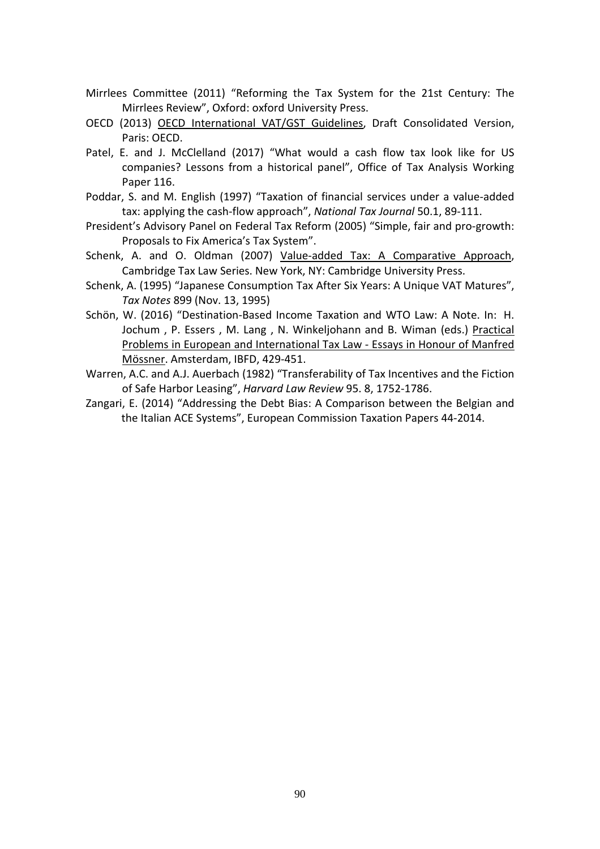- Mirrlees Committee (2011) "Reforming the Tax System for the 21st Century: The Mirrlees Review", Oxford: oxford University Press.
- OECD (2013) OECD International VAT/GST Guidelines, Draft Consolidated Version, Paris: OECD.
- Patel, E. and J. McClelland (2017) "What would a cash flow tax look like for US companies? Lessons from a historical panel", Office of Tax Analysis Working Paper 116.
- Poddar, S. and M. English (1997) "Taxation of financial services under a value-added tax: applying the cash-flow approach", *National Tax Journal* 50.1, 89-111.
- President's Advisory Panel on Federal Tax Reform (2005) "Simple, fair and pro-growth: Proposals to Fix America's Tax System".
- Schenk, A. and O. Oldman (2007) Value-added Tax: A Comparative Approach, Cambridge Tax Law Series. New York, NY: Cambridge University Press.
- Schenk, A. (1995) "Japanese Consumption Tax After Six Years: A Unique VAT Matures", *Tax Notes* 899 (Nov. 13, 1995)
- Schön, W. (2016) "Destination-Based Income Taxation and WTO Law: A Note. In: H. Jochum , P. Essers , M. Lang , N. Winkeljohann and B. Wiman (eds.) Practical Problems in European and International Tax Law - Essays in Honour of Manfred Mössner. Amsterdam, IBFD, 429-451.
- Warren, A.C. and A.J. Auerbach (1982) "Transferability of Tax Incentives and the Fiction of Safe Harbor Leasing", *Harvard Law Review* 95. 8, 1752-1786.
- Zangari, E. (2014) "Addressing the Debt Bias: A Comparison between the Belgian and the Italian ACE Systems", European Commission Taxation Papers 44-2014.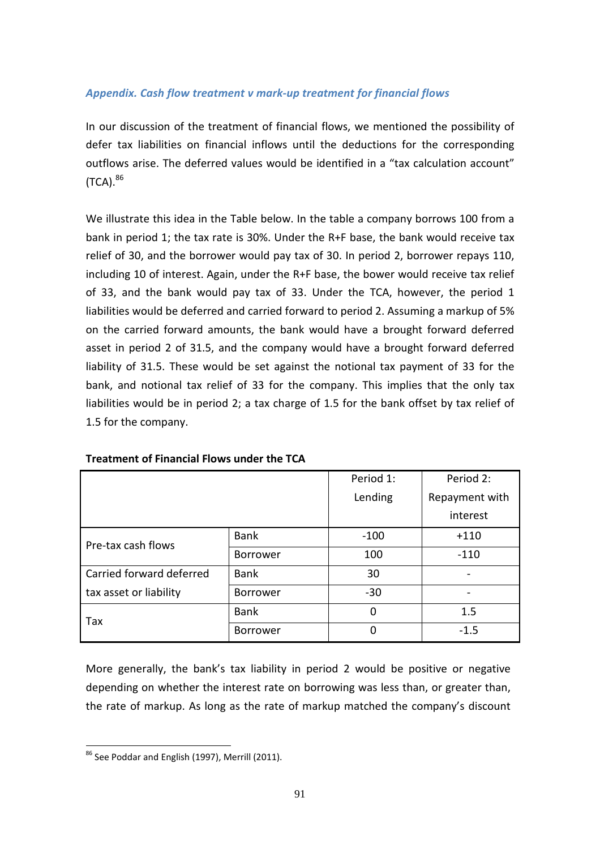# *Appendix. Cash flow treatment v mark-up treatment for financial flows*

In our discussion of the treatment of financial flows, we mentioned the possibility of defer tax liabilities on financial inflows until the deductions for the corresponding outflows arise. The deferred values would be identified in a "tax calculation account"  $(TCA).<sup>86</sup>$ 

We illustrate this idea in the Table below. In the table a company borrows 100 from a bank in period 1; the tax rate is 30%. Under the R+F base, the bank would receive tax relief of 30, and the borrower would pay tax of 30. In period 2, borrower repays 110, including 10 of interest. Again, under the R+F base, the bower would receive tax relief of 33, and the bank would pay tax of 33. Under the TCA, however, the period 1 liabilities would be deferred and carried forward to period 2. Assuming a markup of 5% on the carried forward amounts, the bank would have a brought forward deferred asset in period 2 of 31.5, and the company would have a brought forward deferred liability of 31.5. These would be set against the notional tax payment of 33 for the bank, and notional tax relief of 33 for the company. This implies that the only tax liabilities would be in period 2; a tax charge of 1.5 for the bank offset by tax relief of 1.5 for the company.

|                                                    |                 | Period 1: | Period 2:      |
|----------------------------------------------------|-----------------|-----------|----------------|
|                                                    |                 | Lending   | Repayment with |
|                                                    |                 |           | interest       |
| Pre-tax cash flows                                 | <b>Bank</b>     | $-100$    | $+110$         |
|                                                    | <b>Borrower</b> | 100       | $-110$         |
| Carried forward deferred<br>tax asset or liability | <b>Bank</b>     | 30        |                |
|                                                    | <b>Borrower</b> | $-30$     |                |
| Tax                                                | <b>Bank</b>     | $\Omega$  | 1.5            |
|                                                    | <b>Borrower</b> | $\Omega$  | $-1.5$         |

**Treatment of Financial Flows under the TCA**

More generally, the bank's tax liability in period 2 would be positive or negative depending on whether the interest rate on borrowing was less than, or greater than, the rate of markup. As long as the rate of markup matched the company's discount

<sup>86</sup> See Poddar and English (1997), Merrill (2011).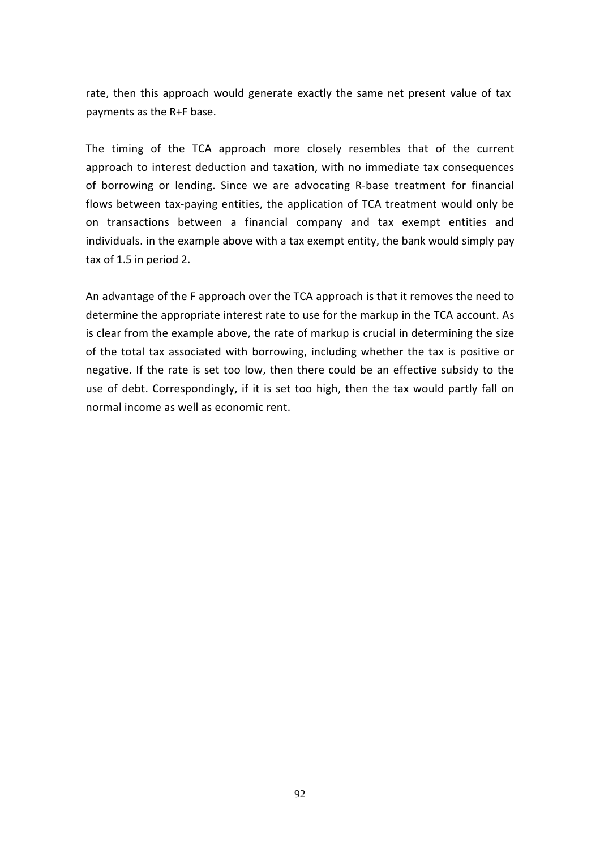rate, then this approach would generate exactly the same net present value of tax payments as the R+F base.

The timing of the TCA approach more closely resembles that of the current approach to interest deduction and taxation, with no immediate tax consequences of borrowing or lending. Since we are advocating R-base treatment for financial flows between tax-paying entities, the application of TCA treatment would only be on transactions between a financial company and tax exempt entities and individuals. in the example above with a tax exempt entity, the bank would simply pay tax of 1.5 in period 2.

An advantage of the F approach over the TCA approach is that it removes the need to determine the appropriate interest rate to use for the markup in the TCA account. As is clear from the example above, the rate of markup is crucial in determining the size of the total tax associated with borrowing, including whether the tax is positive or negative. If the rate is set too low, then there could be an effective subsidy to the use of debt. Correspondingly, if it is set too high, then the tax would partly fall on normal income as well as economic rent.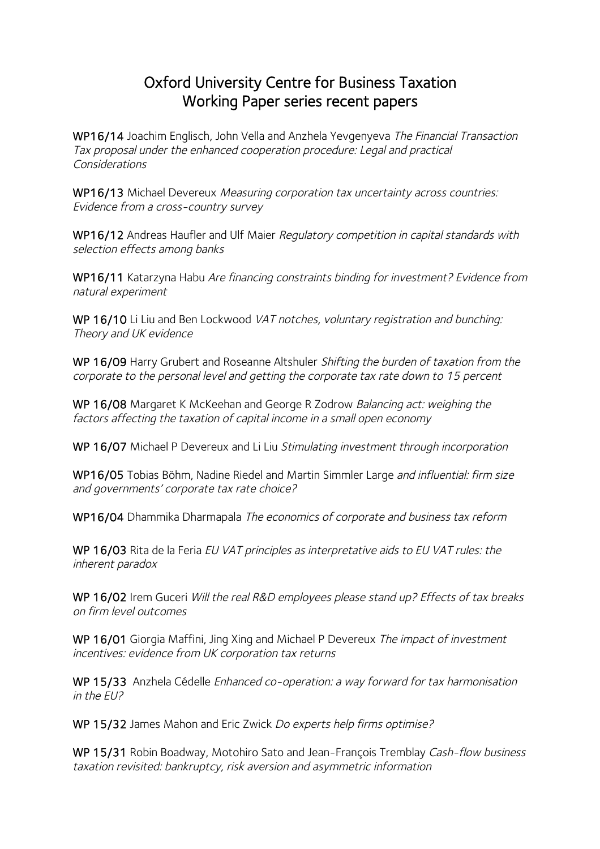# Oxford University Centre for Business Taxation Working Paper series recent papers

WP16/14 Joachim Englisch, John Vella and Anzhela Yevgenyeva The Financial Transaction Tax proposal under the enhanced cooperation procedure: Legal and practical Considerations

WP16/13 Michael Devereux Measuring corporation tax uncertainty across countries: Evidence from <sup>a</sup> cross-country survey

WP16/12 Andreas Haufler and Ulf Maier Regulatory competition in capital standards with selection effects among banks

WP16/11 Katarzyna Habu Are financing constraints binding for investment? Evidence from natural experiment

WP 16/10 Li Liu and Ben Lockwood VAT notches, voluntary registration and bunching: Theory and UK evidence

WP 16/09 Harry Grubert and Roseanne Altshuler Shifting the burden of taxation from the corporate to the personal level and getting the corporate tax rate down to <sup>15</sup> percent

WP 16/08 Margaret K McKeehan and George R Zodrow Balancing act: weighing the factors affecting the taxation of capital income in <sup>a</sup> small open economy

WP 16/07 Michael P Devereux and Li Liu Stimulating investment through incorporation

WP16/05 Tobias Böhm, Nadine Riedel and Martin Simmler Large and influential: firm size and governments' corporate tax rate choice?

WP16/04 Dhammika Dharmapala The economics of corporate and business tax reform

WP 16/03 Rita de la Feria EU VAT principles as interpretative aids to EU VAT rules: the inherent paradox

WP 16/02 Irem Guceri Will the real R&D employees please stand up? Effects of tax breaks on firm level outcomes

WP 16/01 Giorgia Maffini, Jing Xing and Michael P Devereux The impact of investment incentives: evidence from UK corporation tax returns

WP 15/33 Anzhela Cédelle Enhanced co-operation: a way forward for tax harmonisation in the EU?

WP 15/32 James Mahon and Eric Zwick Do experts help firms optimise?

WP 15/31 Robin Boadway, Motohiro Sato and Jean-François Tremblay Cash-flow business taxation revisited: bankruptcy, risk aversion and asymmetric information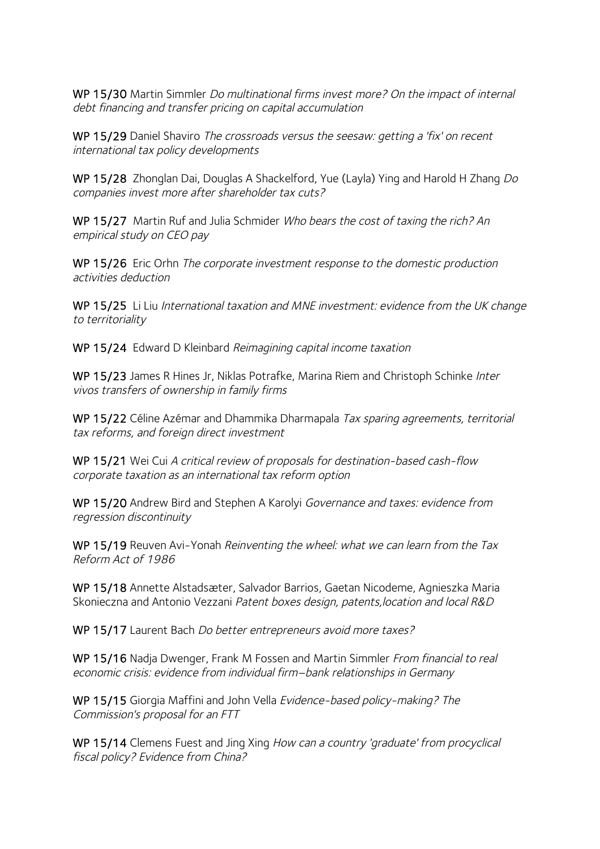WP 15/30 Martin Simmler *Do multinational firms invest more? On the impact of internal* debt financing and transfer pricing on capital accumulation

WP 15/29 Daniel Shaviro The crossroads versus the seesaw: getting a 'fix' on recent international tax policy developments

WP 15/28 Zhonglan Dai, Douglas A Shackelford, Yue (Layla) Ying and Harold H Zhang Do companies invest more after shareholder tax cuts?

WP 15/27 Martin Ruf and Julia Schmider Who bears the cost of taxing the rich? An empirical study on CEO pay

WP 15/26 Eric Orhn The corporate investment response to the domestic production activities deduction

WP 15/25 Li Liu International taxation and MNE investment: evidence from the UK change to territoriality

WP 15/24 Edward D Kleinbard Reimagining capital income taxation

WP 15/23 James R Hines Jr, Niklas Potrafke, Marina Riem and Christoph Schinke Inter vivos transfers of ownership in family firms

WP 15/22 Céline Azémar and Dhammika Dharmapala Tax sparing agreements, territorial tax reforms, and foreign direct investment

WP 15/21 Wei Cui A critical review of proposals for destination-based cash-flow corporate taxation as an international tax reform option

WP 15/20 Andrew Bird and Stephen A Karolyi Governance and taxes: evidence from regression discontinuity

WP 15/19 Reuven Avi-Yonah Reinventing the wheel: what we can learn from the Tax Reform Act of <sup>1986</sup>

WP 15/18 Annette Alstadsæter, Salvador Barrios, Gaetan Nicodeme, Agnieszka Maria Skonieczna and Antonio Vezzani Patent boxes design, patents, location and local R&D

WP 15/17 Laurent Bach Do better entrepreneurs avoid more taxes?

WP 15/16 Nadja Dwenger, Frank M Fossen and Martin Simmler From financial to real economic crisis: evidence from individual firm–bank relationships in Germany

WP 15/15 Giorgia Maffini and John Vella Evidence-based policy-making? The Commission's proposal for an FTT

WP 15/14 Clemens Fuest and Jing Xing How can a country 'graduate' from procyclical fiscal policy? Evidence from China?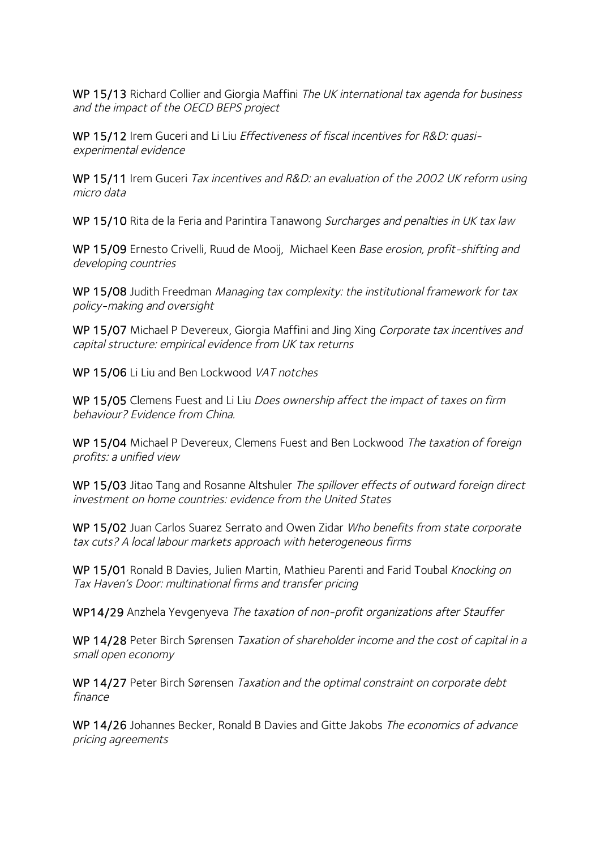WP 15/13 Richard Collier and Giorgia Maffini The UK international tax agenda for business and the impact of the OECD BEPS project

WP 15/12 Irem Guceri and Li Liu Effectiveness of fiscal incentives for R&D: quasiexperimental evidence

WP 15/11 Irem Guceri Tax incentives and R&D: an evaluation of the 2002 UK reform using micro data

WP 15/10 Rita de la Feria and Parintira Tanawong Surcharges and penalties in UK tax law

WP 15/09 Ernesto Crivelli, Ruud de Mooij, Michael Keen Base erosion, profit-shifting and developing countries

WP 15/08 Judith Freedman Managing tax complexity: the institutional framework for tax policy-making and oversight

WP 15/07 Michael P Devereux, Giorgia Maffini and Jing Xing Corporate tax incentives and capital structure: empirical evidence from UK tax returns

WP 15/06 Li Liu and Ben Lockwood VAT notches

WP 15/05 Clemens Fuest and Li Liu Does ownership affect the impact of taxes on firm behaviour? Evidence from China.

WP 15/04 Michael P Devereux, Clemens Fuest and Ben Lockwood The taxation of foreign profits: <sup>a</sup> unified view

WP 15/03 Jitao Tang and Rosanne Altshuler The spillover effects of outward foreign direct investment on home countries: evidence from the United States

WP 15/02 Juan Carlos Suarez Serrato and Owen Zidar Who benefits from state corporate tax cuts? <sup>A</sup> local labour markets approach with heterogeneous firms

WP 15/01 Ronald B Davies, Julien Martin, Mathieu Parenti and Farid Toubal Knocking on Tax Haven's Door: multinational firms and transfer pricing

WP14/29 Anzhela Yevgenyeva The taxation of non-profit organizations after Stauffer

WP 14/28 Peter Birch Sørensen Taxation of shareholder income and the cost of capital in a small open economy

WP 14/27 Peter Birch Sørensen Taxation and the optimal constraint on corporate debt finance

WP 14/26 Johannes Becker, Ronald B Davies and Gitte Jakobs The economics of advance pricing agreements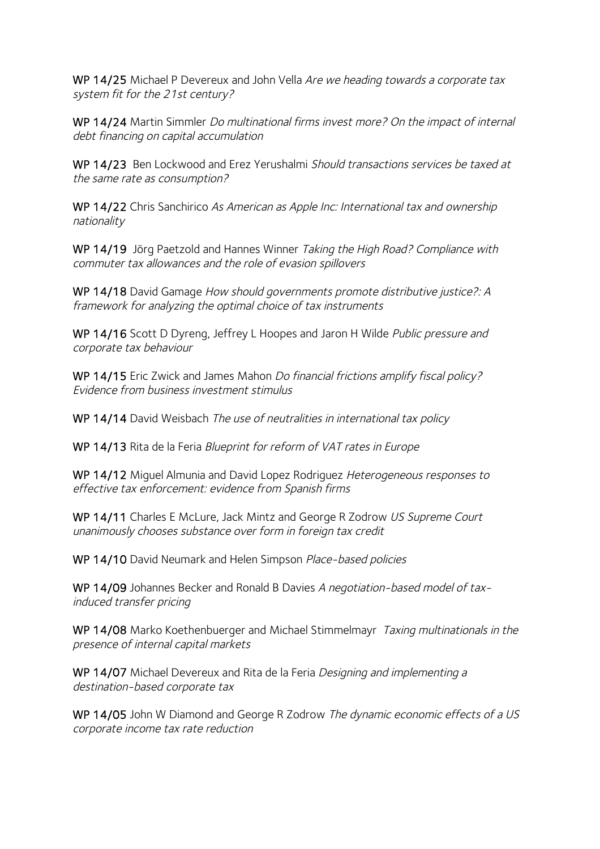WP 14/25 Michael P Devereux and John Vella Are we heading towards a corporate tax system fit for the 21st century?

WP 14/24 Martin Simmler Do multinational firms invest more? On the impact of internal debt financing on capital accumulation

WP 14/23 Ben Lockwood and Erez Yerushalmi Should transactions services be taxed at the same rate as consumption?

WP 14/22 Chris Sanchirico As American as Apple Inc: International tax and ownership nationality

WP 14/19 Jörg Paetzold and Hannes Winner Taking the High Road? Compliance with commuter tax allowances and the role of evasion spillovers

WP 14/18 David Gamage How should governments promote distributive justice?: A framework for analyzing the optimal choice of tax instruments

WP 14/16 Scott D Dyreng, Jeffrey L Hoopes and Jaron H Wilde Public pressure and corporate tax behaviour

WP 14/15 Eric Zwick and James Mahon Do financial frictions amplify fiscal policy? Evidence from business investment stimulus

WP 14/14 David Weisbach The use of neutralities in international tax policy

WP 14/13 Rita de la Feria Blueprint for reform of VAT rates in Europe

WP 14/12 Miguel Almunia and David Lopez Rodriguez Heterogeneous responses to effective tax enforcement: evidence from Spanish firms

WP 14/11 Charles E McLure, Jack Mintz and George R Zodrow US Supreme Court unanimously chooses substance over form in foreign tax credit

WP 14/10 David Neumark and Helen Simpson Place-based policies

WP 14/09 Johannes Becker and Ronald B Davies A negotiation-based model of taxinduced transfer pricing

WP 14/08 Marko Koethenbuerger and Michael Stimmelmayr Taxing multinationals in the presence of internal capital markets

WP 14/07 Michael Devereux and Rita de la Feria Designing and implementing a destination-based corporate tax

WP 14/05 John W Diamond and George R Zodrow The dynamic economic effects of a US corporate income tax rate reduction